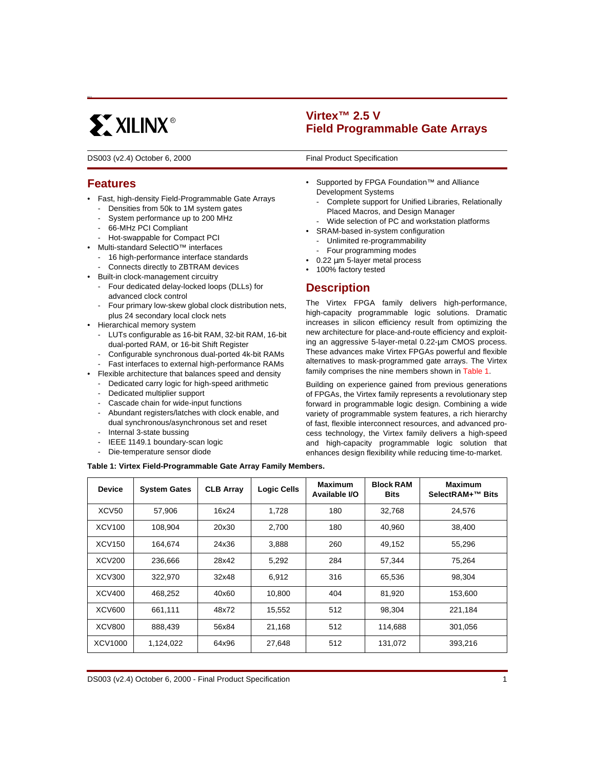# **EXILINX®**

**Virtex™ 2.5 V Field Programmable Gate Arrays**

DS003 (v2.4) October 6, 2000 **DS003** Final Product Specification

## **Features**

6023

- Fast, high-density Field-Programmable Gate Arrays
	- Densities from 50k to 1M system gates
	- System performance up to 200 MHz
	- 66-MHz PCI Compliant
- Hot-swappable for Compact PCI
- Multi-standard SelectIO™ interfaces
	- 16 high-performance interface standards
	- Connects directly to ZBTRAM devices
- Built-in clock-management circuitry
	- Four dedicated delay-locked loops (DLLs) for advanced clock control
	- Four primary low-skew global clock distribution nets, plus 24 secondary local clock nets
- Hierarchical memory system
	- LUTs configurable as 16-bit RAM, 32-bit RAM, 16-bit dual-ported RAM, or 16-bit Shift Register
	- Configurable synchronous dual-ported 4k-bit RAMs
	- Fast interfaces to external high-performance RAMs
- Flexible architecture that balances speed and density
	- Dedicated carry logic for high-speed arithmetic
	- Dedicated multiplier support
	- Cascade chain for wide-input functions
	- Abundant registers/latches with clock enable, and dual synchronous/asynchronous set and reset
	- Internal 3-state bussing
	- IEEE 1149.1 boundary-scan logic
	- Die-temperature sensor diode

**0**

- Supported by FPGA Foundation™ and Alliance Development Systems
	- Complete support for Unified Libraries, Relationally Placed Macros, and Design Manager
	- Wide selection of PC and workstation platforms
- SRAM-based in-system configuration
	- Unlimited re-programmability
	- Four programming modes
- $0.22 \mu m$  5-layer metal process
- 100% factory tested

## **Description**

The Virtex FPGA family delivers high-performance, high-capacity programmable logic solutions. Dramatic increases in silicon efficiency result from optimizing the new architecture for place-and-route efficiency and exploiting an aggressive 5-layer-metal 0.22-µm CMOS process. These advances make Virtex FPGAs powerful and flexible alternatives to mask-programmed gate arrays. The Virtex family comprises the nine members shown in [Table 1](#page-0-0).

Building on experience gained from previous generations of FPGAs, the Virtex family represents a revolutionary step forward in programmable logic design. Combining a wide variety of programmable system features, a rich hierarchy of fast, flexible interconnect resources, and advanced process technology, the Virtex family delivers a high-speed and high-capacity programmable logic solution that enhances design flexibility while reducing time-to-market.

<span id="page-0-0"></span>

|  | Table 1: Virtex Field-Programmable Gate Array Family Members. |  |  |
|--|---------------------------------------------------------------|--|--|
|--|---------------------------------------------------------------|--|--|

| <b>Device</b> | <b>System Gates</b> | <b>CLB Array</b> | <b>Logic Cells</b> | Maximum<br>Available I/O | <b>Block RAM</b><br><b>Bits</b> | Maximum<br>SelectRAM+™ Bits |
|---------------|---------------------|------------------|--------------------|--------------------------|---------------------------------|-----------------------------|
| XCV50         | 57,906              | 16x24            | 1,728              | 180                      | 32,768                          | 24,576                      |
| <b>XCV100</b> | 108.904             | 20x30            | 2,700              | 180                      | 40.960                          | 38.400                      |
| <b>XCV150</b> | 164,674             | 24x36            | 3,888              | 260                      | 49,152                          | 55,296                      |
| <b>XCV200</b> | 236,666             | 28x42            | 5,292              | 284                      | 57,344                          | 75.264                      |
| <b>XCV300</b> | 322,970             | 32x48            | 6,912              | 316                      | 65,536                          | 98.304                      |
| <b>XCV400</b> | 468,252             | 40x60            | 10,800             | 404                      | 81,920                          | 153.600                     |
| <b>XCV600</b> | 661,111             | 48x72            | 15,552             | 512                      | 98,304                          | 221,184                     |
| <b>XCV800</b> | 888,439             | 56x84            | 21,168             | 512                      | 114.688                         | 301.056                     |
| XCV1000       | 1,124,022           | 64x96            | 27,648             | 512                      | 131,072                         | 393,216                     |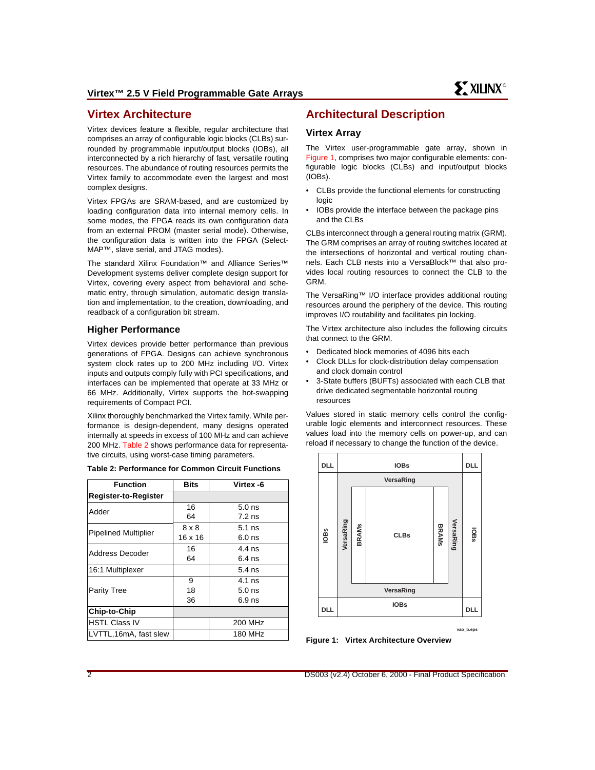## **Virtex Architecture**

Virtex devices feature a flexible, regular architecture that comprises an array of configurable logic blocks (CLBs) surrounded by programmable input/output blocks (IOBs), all interconnected by a rich hierarchy of fast, versatile routing resources. The abundance of routing resources permits the Virtex family to accommodate even the largest and most complex designs.

Virtex FPGAs are SRAM-based, and are customized by loading configuration data into internal memory cells. In some modes, the FPGA reads its own configuration data from an external PROM (master serial mode). Otherwise, the configuration data is written into the FPGA (Select-MAP™, slave serial, and JTAG modes).

The standard Xilinx Foundation™ and Alliance Series™ Development systems deliver complete design support for Virtex, covering every aspect from behavioral and schematic entry, through simulation, automatic design translation and implementation, to the creation, downloading, and readback of a configuration bit stream.

#### **Higher Performance**

Virtex devices provide better performance than previous generations of FPGA. Designs can achieve synchronous system clock rates up to 200 MHz including I/O. Virtex inputs and outputs comply fully with PCI specifications, and interfaces can be implemented that operate at 33 MHz or 66 MHz. Additionally, Virtex supports the hot-swapping requirements of Compact PCI.

Xilinx thoroughly benchmarked the Virtex family. While performance is design-dependent, many designs operated internally at speeds in excess of 100 MHz and can achieve 200 MHz. [Table 2](#page-1-0) shows performance data for representative circuits, using worst-case timing parameters.

<span id="page-1-0"></span>

| <b>Table 2: Performance for Common Circuit Functions</b> |  |  |  |  |
|----------------------------------------------------------|--|--|--|--|
|----------------------------------------------------------|--|--|--|--|

| <b>Function</b>             | <b>Bits</b>    | Virtex -6         |             |            |           |       | VersaRing                              |              |                |            |
|-----------------------------|----------------|-------------------|-------------|------------|-----------|-------|----------------------------------------|--------------|----------------|------------|
| <b>Register-to-Register</b> |                |                   |             |            |           |       |                                        |              |                |            |
| Adder                       | 16             | 5.0 <sub>ns</sub> |             |            |           |       |                                        |              |                |            |
|                             | 64             | $7.2$ ns          |             |            |           |       |                                        |              |                |            |
| <b>Pipelined Multiplier</b> | $8 \times 8$   | $5.1$ ns          |             |            | VersaRing |       |                                        | <b>BRAMS</b> | VersaRin       |            |
|                             | $16 \times 16$ | $6.0$ ns          | <b>IOBs</b> |            |           | BRAMs | <b>CLBs</b>                            |              |                | lOBS       |
| Address Decoder             | 16             | $4.4$ ns          |             |            |           |       |                                        |              | $\overline{6}$ |            |
|                             | 64             | $6.4$ ns          |             |            |           |       |                                        |              |                |            |
| 16:1 Multiplexer            |                | $5.4$ ns          |             |            |           |       |                                        |              |                |            |
|                             | 9              | $4.1$ ns          |             |            |           |       |                                        |              |                |            |
| <b>Parity Tree</b>          | 18             | $5.0$ ns          |             |            |           |       | VersaRing                              |              |                |            |
|                             | 36             | $6.9$ ns          |             |            |           |       | <b>IOBs</b>                            |              |                |            |
| Chip-to-Chip                |                |                   |             | <b>DLL</b> |           |       |                                        |              |                | <b>DLL</b> |
| <b>HSTL Class IV</b>        |                | 200 MHz           |             |            |           |       |                                        |              |                |            |
| LVTTL,16mA, fast slew       |                | 180 MHz           |             |            |           |       | Eiguro 1: Virtor Arabitaoturo Overview |              |                | vao_b.eps  |

## **Architectural Description**

#### **Virtex Array**

The Virtex user-programmable gate array, shown in [Figure 1](#page-1-1), comprises two major configurable elements: configurable logic blocks (CLBs) and input/output blocks (IOBs).

- CLBs provide the functional elements for constructing logic
- IOBs provide the interface between the package pins and the CLBs

CLBs interconnect through a general routing matrix (GRM). The GRM comprises an array of routing switches located at the intersections of horizontal and vertical routing channels. Each CLB nests into a VersaBlock™ that also provides local routing resources to connect the CLB to the GRM.

The VersaRing™ I/O interface provides additional routing resources around the periphery of the device. This routing improves I/O routability and facilitates pin locking.

The Virtex architecture also includes the following circuits that connect to the GRM.

- Dedicated block memories of 4096 bits each
- Clock DLLs for clock-distribution delay compensation and clock domain control
- 3-State buffers (BUFTs) associated with each CLB that drive dedicated segmentable horizontal routing resources

Values stored in static memory cells control the configurable logic elements and interconnect resources. These values load into the memory cells on power-up, and can reload if necessary to change the function of the device.



<span id="page-1-1"></span>**Figure 1: Virtex Architecture Overview**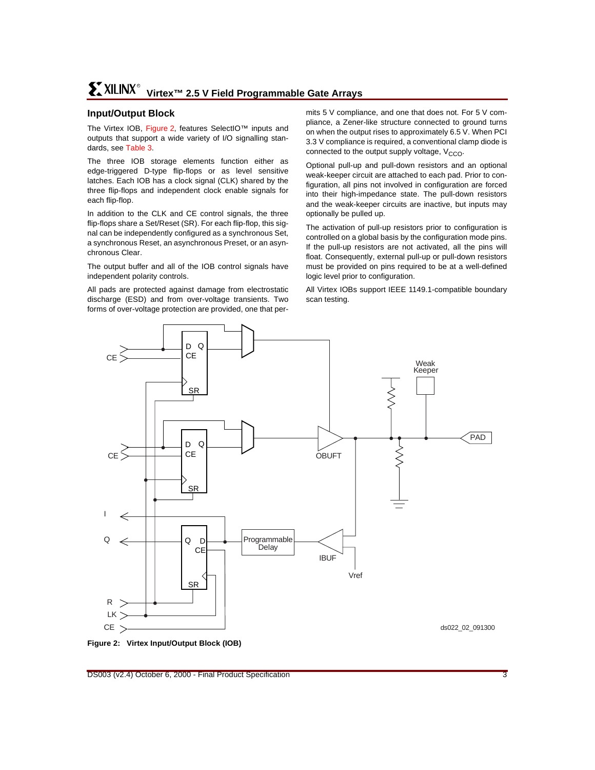## **Input/Output Block**

The Virtex IOB, [Figure 2](#page-2-0), features SelectIO™ inputs and outputs that support a wide variety of I/O signalling standards, see [Table 3](#page-3-0).

The three IOB storage elements function either as edge-triggered D-type flip-flops or as level sensitive latches. Each IOB has a clock signal (CLK) shared by the three flip-flops and independent clock enable signals for each flip-flop.

In addition to the CLK and CE control signals, the three flip-flops share a Set/Reset (SR). For each flip-flop, this signal can be independently configured as a synchronous Set, a synchronous Reset, an asynchronous Preset, or an asynchronous Clear.

The output buffer and all of the IOB control signals have independent polarity controls.

All pads are protected against damage from electrostatic discharge (ESD) and from over-voltage transients. Two forms of over-voltage protection are provided, one that permits 5 V compliance, and one that does not. For 5 V compliance, a Zener-like structure connected to ground turns on when the output rises to approximately 6.5 V. When PCI 3.3 V compliance is required, a conventional clamp diode is connected to the output supply voltage,  $V_{CCO}$ .

Optional pull-up and pull-down resistors and an optional weak-keeper circuit are attached to each pad. Prior to configuration, all pins not involved in configuration are forced into their high-impedance state. The pull-down resistors and the weak-keeper circuits are inactive, but inputs may optionally be pulled up.

The activation of pull-up resistors prior to configuration is controlled on a global basis by the configuration mode pins. If the pull-up resistors are not activated, all the pins will float. Consequently, external pull-up or pull-down resistors must be provided on pins required to be at a well-defined logic level prior to configuration.

All Virtex IOBs support IEEE 1149.1-compatible boundary scan testing.



<span id="page-2-0"></span>**Figure 2: Virtex Input/Output Block (IOB)**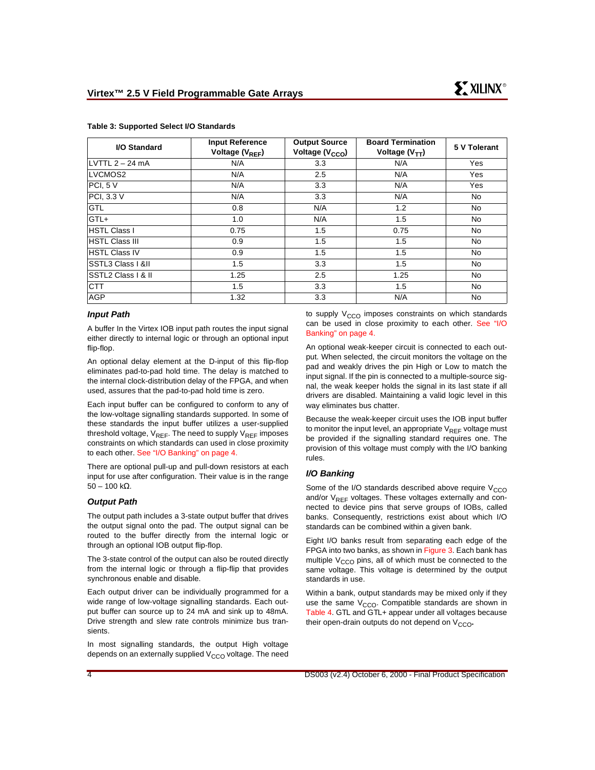| I/O Standard          | <b>Input Reference</b><br>Voltage (V <sub>REF</sub> ) | <b>Output Source</b><br>Voltage (V <sub>CCO</sub> ) | <b>Board Termination</b><br>Voltage $(V_{TT})$ | 5 V Tolerant |
|-----------------------|-------------------------------------------------------|-----------------------------------------------------|------------------------------------------------|--------------|
| LVTTL 2 – 24 mA       | N/A                                                   | 3.3                                                 | N/A                                            | Yes          |
| LVCMOS2               | N/A                                                   | 2.5                                                 | N/A                                            | Yes          |
| PCI, 5 V              | N/A                                                   | 3.3                                                 | N/A                                            | Yes          |
| PCI, 3.3 V            | N/A                                                   | 3.3                                                 | N/A                                            | No           |
| <b>GTL</b>            | 0.8                                                   | N/A                                                 | 1.2                                            | No           |
| GTL+                  | 1.0                                                   | N/A                                                 | 1.5                                            | No.          |
| <b>HSTL Class I</b>   | 0.75                                                  | 1.5                                                 | 0.75                                           | No           |
| <b>HSTL Class III</b> | 0.9                                                   | 1.5                                                 | 1.5                                            | No           |
| <b>HSTL Class IV</b>  | 0.9                                                   | 1.5                                                 | 1.5                                            | No           |
| SSTL3 Class   &II     | 1.5                                                   | 3.3                                                 | 1.5                                            | <b>No</b>    |
| SSTL2 Class   & II    | 1.25                                                  | 2.5                                                 | 1.25                                           | <b>No</b>    |
| <b>CTT</b>            | 1.5                                                   | 3.3                                                 | 1.5                                            | <b>No</b>    |
| <b>AGP</b>            | 1.32                                                  | 3.3                                                 | N/A                                            | <b>No</b>    |

#### <span id="page-3-0"></span>**Table 3: Supported Select I/O Standards**

#### **Input Path**

A buffer In the Virtex IOB input path routes the input signal either directly to internal logic or through an optional input flip-flop.

An optional delay element at the D-input of this flip-flop eliminates pad-to-pad hold time. The delay is matched to the internal clock-distribution delay of the FPGA, and when used, assures that the pad-to-pad hold time is zero.

Each input buffer can be configured to conform to any of the low-voltage signalling standards supported. In some of these standards the input buffer utilizes a user-supplied threshold voltage,  $V_{REF}$ . The need to supply  $V_{REF}$  imposes constraints on which standards can used in close proximity to each other. [See "I/O Banking" on page 4.](#page-3-1)

There are optional pull-up and pull-down resistors at each input for use after configuration. Their value is in the range  $50 - 100$  kΩ.

#### **Output Path**

The output path includes a 3-state output buffer that drives the output signal onto the pad. The output signal can be routed to the buffer directly from the internal logic or through an optional IOB output flip-flop.

The 3-state control of the output can also be routed directly from the internal logic or through a flip-flip that provides synchronous enable and disable.

Each output driver can be individually programmed for a wide range of low-voltage signalling standards. Each output buffer can source up to 24 mA and sink up to 48mA. Drive strength and slew rate controls minimize bus transients.

In most signalling standards, the output High voltage depends on an externally supplied  $V_{CCO}$  voltage. The need to supply  $V_{CCO}$  imposes constraints on which standards can be used in close proximity to each other. [See "I/O](#page-3-1) [Banking" on page 4.](#page-3-1)

An optional weak-keeper circuit is connected to each output. When selected, the circuit monitors the voltage on the pad and weakly drives the pin High or Low to match the input signal. If the pin is connected to a multiple-source signal, the weak keeper holds the signal in its last state if all drivers are disabled. Maintaining a valid logic level in this way eliminates bus chatter.

Because the weak-keeper circuit uses the IOB input buffer to monitor the input level, an appropriate  $V_{RFF}$  voltage must be provided if the signalling standard requires one. The provision of this voltage must comply with the I/O banking rules.

#### <span id="page-3-1"></span>**I/O Banking**

Some of the I/O standards described above require  $V_{CCO}$ and/or  $V_{REF}$  voltages. These voltages externally and connected to device pins that serve groups of IOBs, called banks. Consequently, restrictions exist about which I/O standards can be combined within a given bank.

Eight I/O banks result from separating each edge of the FPGA into two banks, as shown in [Figure 3.](#page-4-0) Each bank has multiple  $V_{CCO}$  pins, all of which must be connected to the same voltage. This voltage is determined by the output standards in use.

Within a bank, output standards may be mixed only if they use the same  $V_{CCO}$ . Compatible standards are shown in [Table 4.](#page-4-1) GTL and GTL+ appear under all voltages because their open-drain outputs do not depend on  $V_{CCO}$ .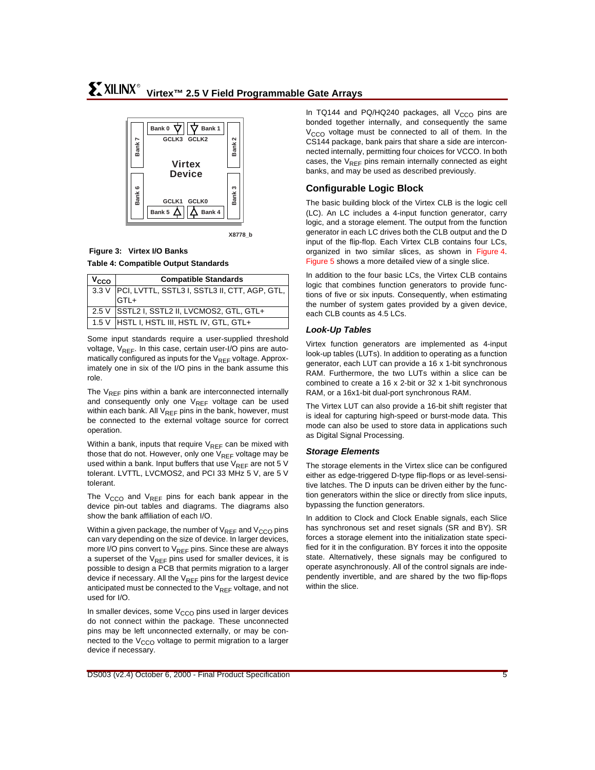

#### **X8778\_b**

#### <span id="page-4-1"></span><span id="page-4-0"></span>**Table 4: Compatible Output Standards Figure 3: Virtex I/O Banks**

| $v_{\rm cco}$ | <b>Compatible Standards</b>                         |
|---------------|-----------------------------------------------------|
|               | 3.3 V PCI, LVTTL, SSTL3 I, SSTL3 II, CTT, AGP, GTL, |
|               | GTL+                                                |
|               | 2.5 V SSTL2 I, SSTL2 II, LVCMOS2, GTL, GTL+         |
|               | 1.5 V   HSTL I, HSTL III, HSTL IV, GTL, GTL+        |

Some input standards require a user-supplied threshold voltage,  $V_{RFF}$ . In this case, certain user-I/O pins are automatically configured as inputs for the  $V_{REF}$  voltage. Approximately one in six of the I/O pins in the bank assume this role.

The  $V_{RFF}$  pins within a bank are interconnected internally and consequently only one  $V_{REF}$  voltage can be used within each bank. All  $V_{REF}$  pins in the bank, however, must be connected to the external voltage source for correct operation.

Within a bank, inputs that require  $V_{RFF}$  can be mixed with those that do not. However, only one  $V_{REF}$  voltage may be used within a bank. Input buffers that use  $V_{REF}$  are not 5 V tolerant. LVTTL, LVCMOS2, and PCI 33 MHz 5 V, are 5 V tolerant.

The  $V_{CCO}$  and  $V_{REF}$  pins for each bank appear in the device pin-out tables and diagrams. The diagrams also show the bank affiliation of each I/O.

Within a given package, the number of  $V_{REF}$  and  $V_{CCO}$  pins can vary depending on the size of device. In larger devices, more I/O pins convert to  $V_{RFF}$  pins. Since these are always a superset of the  $V_{REF}$  pins used for smaller devices, it is possible to design a PCB that permits migration to a larger device if necessary. All the  $V_{RFF}$  pins for the largest device anticipated must be connected to the  $V_{REF}$  voltage, and not used for I/O.

In smaller devices, some  $V_{CCO}$  pins used in larger devices do not connect within the package. These unconnected pins may be left unconnected externally, or may be connected to the  $V_{CCO}$  voltage to permit migration to a larger device if necessary.

In TQ144 and PQ/HQ240 packages, all  $V_{CCO}$  pins are bonded together internally, and consequently the same  $V<sub>CCO</sub>$  voltage must be connected to all of them. In the CS144 package, bank pairs that share a side are interconnected internally, permitting four choices for VCCO. In both cases, the  $V_{REF}$  pins remain internally connected as eight banks, and may be used as described previously.

## **Configurable Logic Block**

The basic building block of the Virtex CLB is the logic cell (LC). An LC includes a 4-input function generator, carry logic, and a storage element. The output from the function generator in each LC drives both the CLB output and the D input of the flip-flop. Each Virtex CLB contains four LCs, organized in two similar slices, as shown in [Figure 4.](#page-5-0) [Figure 5](#page-6-0) shows a more detailed view of a single slice.

In addition to the four basic LCs, the Virtex CLB contains logic that combines function generators to provide functions of five or six inputs. Consequently, when estimating the number of system gates provided by a given device, each CLB counts as 4.5 LCs.

#### **Look-Up Tables**

Virtex function generators are implemented as 4-input look-up tables (LUTs). In addition to operating as a function generator, each LUT can provide a 16 x 1-bit synchronous RAM. Furthermore, the two LUTs within a slice can be combined to create a 16 x 2-bit or 32 x 1-bit synchronous RAM, or a 16x1-bit dual-port synchronous RAM.

The Virtex LUT can also provide a 16-bit shift register that is ideal for capturing high-speed or burst-mode data. This mode can also be used to store data in applications such as Digital Signal Processing.

#### **Storage Elements**

The storage elements in the Virtex slice can be configured either as edge-triggered D-type flip-flops or as level-sensitive latches. The D inputs can be driven either by the function generators within the slice or directly from slice inputs, bypassing the function generators.

In addition to Clock and Clock Enable signals, each Slice has synchronous set and reset signals (SR and BY). SR forces a storage element into the initialization state specified for it in the configuration. BY forces it into the opposite state. Alternatively, these signals may be configured to operate asynchronously. All of the control signals are independently invertible, and are shared by the two flip-flops within the slice.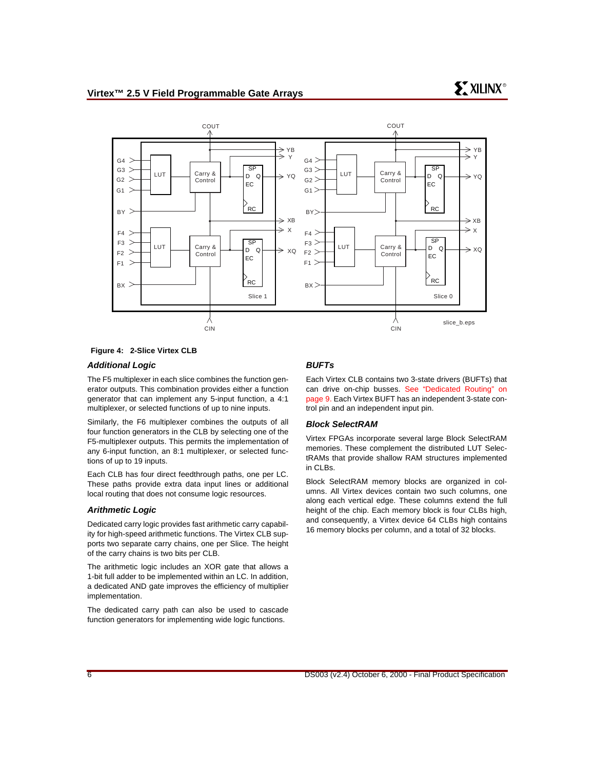

#### <span id="page-5-0"></span>**Figure 4: 2-Slice Virtex CLB**

#### **Additional Logic**

The F5 multiplexer in each slice combines the function generator outputs. This combination provides either a function generator that can implement any 5-input function, a 4:1 multiplexer, or selected functions of up to nine inputs.

Similarly, the F6 multiplexer combines the outputs of all four function generators in the CLB by selecting one of the F5-multiplexer outputs. This permits the implementation of any 6-input function, an 8:1 multiplexer, or selected functions of up to 19 inputs.

Each CLB has four direct feedthrough paths, one per LC. These paths provide extra data input lines or additional local routing that does not consume logic resources.

#### **Arithmetic Logic**

Dedicated carry logic provides fast arithmetic carry capability for high-speed arithmetic functions. The Virtex CLB supports two separate carry chains, one per Slice. The height of the carry chains is two bits per CLB.

The arithmetic logic includes an XOR gate that allows a 1-bit full adder to be implemented within an LC. In addition, a dedicated AND gate improves the efficiency of multiplier implementation.

The dedicated carry path can also be used to cascade function generators for implementing wide logic functions.

#### **BUFTs**

Each Virtex CLB contains two 3-state drivers (BUFTs) that can drive on-chip busses. [See "Dedicated Routing" on](#page-8-0) [page 9.](#page-8-0) Each Virtex BUFT has an independent 3-state control pin and an independent input pin.

#### **Block SelectRAM**

Virtex FPGAs incorporate several large Block SelectRAM memories. These complement the distributed LUT SelectRAMs that provide shallow RAM structures implemented in CLBs.

Block SelectRAM memory blocks are organized in columns. All Virtex devices contain two such columns, one along each vertical edge. These columns extend the full height of the chip. Each memory block is four CLBs high, and consequently, a Virtex device 64 CLBs high contains 16 memory blocks per column, and a total of 32 blocks.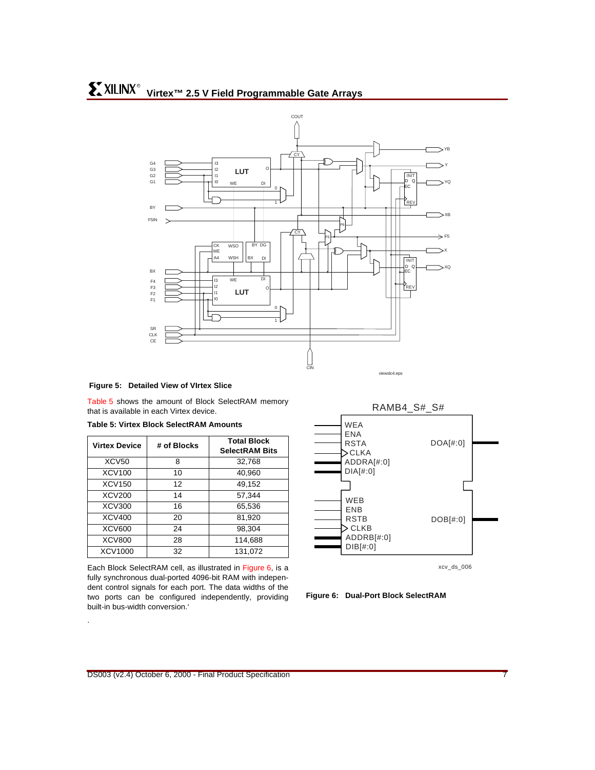

#### <span id="page-6-0"></span>**Figure 5: Detailed View of VIrtex Slice**

[Table 5](#page-6-1) shows the amount of Block SelectRAM memory that is available in each Virtex device.

<span id="page-6-1"></span>

| <b>Table 5: Virtex Block SelectRAM Amounts</b> |  |  |  |  |  |
|------------------------------------------------|--|--|--|--|--|
|------------------------------------------------|--|--|--|--|--|

| <b>Virtex Device</b> | # of Blocks | <b>Total Block</b><br><b>SelectRAM Bits</b> |
|----------------------|-------------|---------------------------------------------|
| XCV <sub>50</sub>    | 8           | 32,768                                      |
| XCV100               | 10          | 40,960                                      |
| <b>XCV150</b>        | 12          | 49.152                                      |
| XCV200               | 14          | 57,344                                      |
| <b>XCV300</b>        | 16          | 65,536                                      |
| XCV400               | 20          | 81,920                                      |
| <b>XCV600</b>        | 24          | 98,304                                      |
| <b>XCV800</b>        | 28          | 114,688                                     |
| XCV1000              | 32          | 131.072                                     |

Each Block SelectRAM cell, as illustrated in [Figure 6](#page-6-2), is a fully synchronous dual-ported 4096-bit RAM with independent control signals for each port. The data widths of the two ports can be configured independently, providing built-in bus-width conversion.'

.



xcv\_ds\_006

<span id="page-6-2"></span>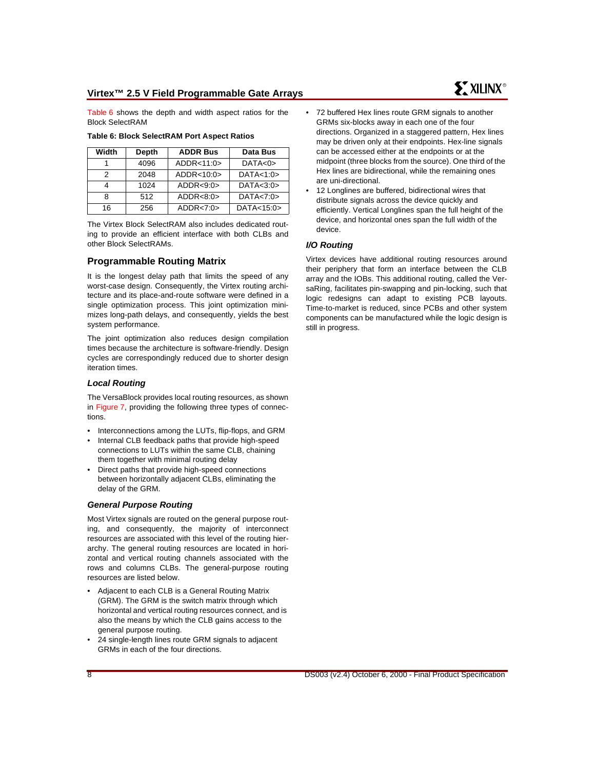[Table 6](#page-7-0) shows the depth and width aspect ratios for the Block SelectRAM

| Width | Depth | <b>ADDR Bus</b> | Data Bus   |
|-------|-------|-----------------|------------|
|       | 4096  | ADDR<11:0>      | DATA<0>    |
| 2     | 2048  | ADDR<10:0>      | DATA<1:0>  |
|       | 1024  | ADDR < 9:0      | DATA<3:0>  |
| 8     | 512   | ADDR < 8:0>     | DATA<7:0>  |
| 16    | 256   | ADDR < 7:0>     | DATA<15:0> |

<span id="page-7-0"></span>**Table 6: Block SelectRAM Port Aspect Ratios**

The Virtex Block SelectRAM also includes dedicated routing to provide an efficient interface with both CLBs and other Block SelectRAMs.

#### **Programmable Routing Matrix**

It is the longest delay path that limits the speed of any worst-case design. Consequently, the Virtex routing architecture and its place-and-route software were defined in a single optimization process. This joint optimization minimizes long-path delays, and consequently, yields the best system performance.

The joint optimization also reduces design compilation times because the architecture is software-friendly. Design cycles are correspondingly reduced due to shorter design iteration times.

#### **Local Routing**

The VersaBlock provides local routing resources, as shown in [Figure 7](#page-8-1), providing the following three types of connections.

- Interconnections among the LUTs, flip-flops, and GRM
- Internal CLB feedback paths that provide high-speed connections to LUTs within the same CLB, chaining them together with minimal routing delay
- Direct paths that provide high-speed connections between horizontally adjacent CLBs, eliminating the delay of the GRM.

#### **General Purpose Routing**

Most Virtex signals are routed on the general purpose routing, and consequently, the majority of interconnect resources are associated with this level of the routing hierarchy. The general routing resources are located in horizontal and vertical routing channels associated with the rows and columns CLBs. The general-purpose routing resources are listed below.

- Adjacent to each CLB is a General Routing Matrix (GRM). The GRM is the switch matrix through which horizontal and vertical routing resources connect, and is also the means by which the CLB gains access to the general purpose routing.
- 24 single-length lines route GRM signals to adjacent GRMs in each of the four directions.

72 buffered Hex lines route GRM signals to another GRMs six-blocks away in each one of the four directions. Organized in a staggered pattern, Hex lines may be driven only at their endpoints. Hex-line signals can be accessed either at the endpoints or at the midpoint (three blocks from the source). One third of the Hex lines are bidirectional, while the remaining ones are uni-directional.

**SY XILINX<sup>®</sup>** 

12 Longlines are buffered, bidirectional wires that distribute signals across the device quickly and efficiently. Vertical Longlines span the full height of the device, and horizontal ones span the full width of the device.

#### **I/O Routing**

Virtex devices have additional routing resources around their periphery that form an interface between the CLB array and the IOBs. This additional routing, called the VersaRing, facilitates pin-swapping and pin-locking, such that logic redesigns can adapt to existing PCB layouts. Time-to-market is reduced, since PCBs and other system components can be manufactured while the logic design is still in progress.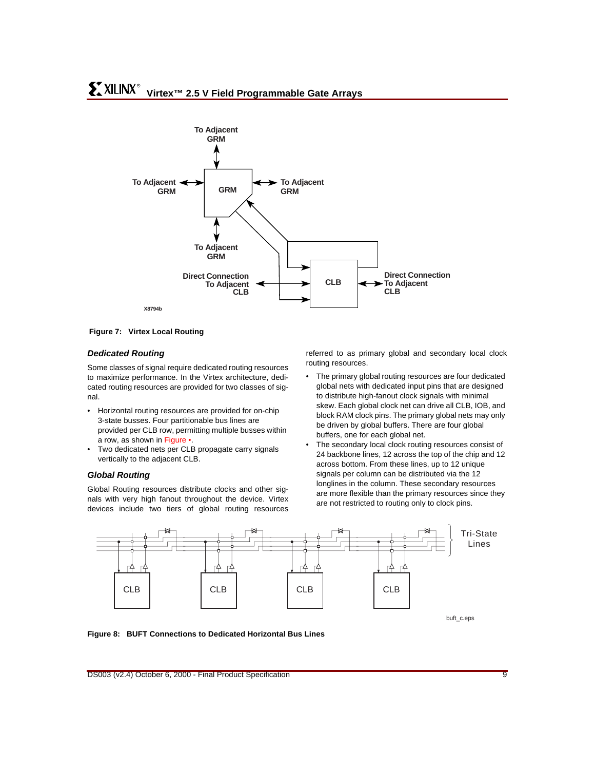

<span id="page-8-1"></span>**Figure 7: Virtex Local Routing**

#### <span id="page-8-0"></span>**Dedicated Routing**

Some classes of signal require dedicated routing resources to maximize performance. In the Virtex architecture, dedicated routing resources are provided for two classes of signal.

- Horizontal routing resources are provided for on-chip 3-state busses. Four partitionable bus lines are provided per CLB row, permitting multiple busses within a row, as shown in [Figure](#page-8-2) •.
- Two dedicated nets per CLB propagate carry signals vertically to the adjacent CLB.

#### **Global Routing**

Global Routing resources distribute clocks and other signals with very high fanout throughout the device. Virtex devices include two tiers of global routing resources referred to as primary global and secondary local clock routing resources.

- The primary global routing resources are four dedicated global nets with dedicated input pins that are designed to distribute high-fanout clock signals with minimal skew. Each global clock net can drive all CLB, IOB, and block RAM clock pins. The primary global nets may only be driven by global buffers. There are four global buffers, one for each global net.
- <span id="page-8-2"></span>The secondary local clock routing resources consist of 24 backbone lines, 12 across the top of the chip and 12 across bottom. From these lines, up to 12 unique signals per column can be distributed via the 12 longlines in the column. These secondary resources are more flexible than the primary resources since they are not restricted to routing only to clock pins.



buft\_c.eps

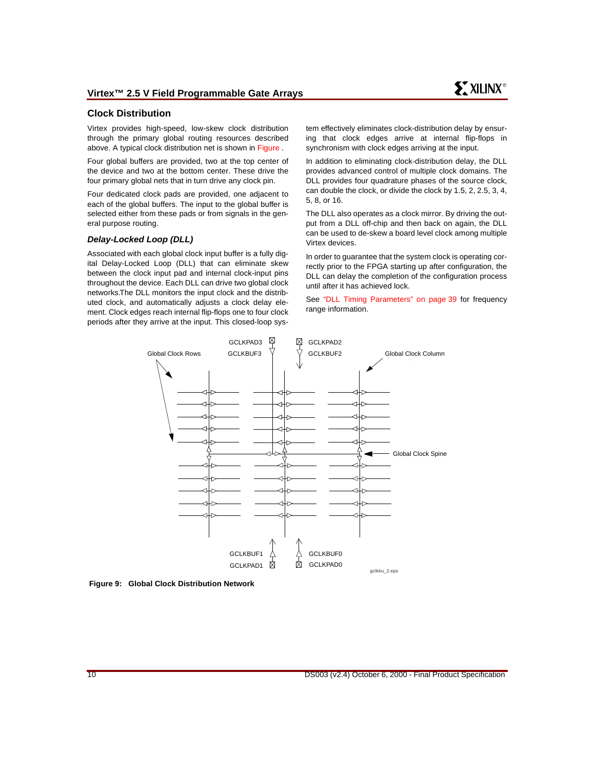#### **Clock Distribution**

Virtex provides high-speed, low-skew clock distribution through the primary global routing resources described above. A typical clock distribution net is shown in [Figure](#page-9-0) .

Four global buffers are provided, two at the top center of the device and two at the bottom center. These drive the four primary global nets that in turn drive any clock pin.

Four dedicated clock pads are provided, one adjacent to each of the global buffers. The input to the global buffer is selected either from these pads or from signals in the general purpose routing.

#### **Delay-Locked Loop (DLL)**

Associated with each global clock input buffer is a fully digital Delay-Locked Loop (DLL) that can eliminate skew between the clock input pad and internal clock-input pins throughout the device. Each DLL can drive two global clock networks.The DLL monitors the input clock and the distributed clock, and automatically adjusts a clock delay element. Clock edges reach internal flip-flops one to four clock periods after they arrive at the input. This closed-loop system effectively eliminates clock-distribution delay by ensuring that clock edges arrive at internal flip-flops in synchronism with clock edges arriving at the input.

In addition to eliminating clock-distribution delay, the DLL provides advanced control of multiple clock domains. The DLL provides four quadrature phases of the source clock, can double the clock, or divide the clock by 1.5, 2, 2.5, 3, 4, 5, 8, or 16.

The DLL also operates as a clock mirror. By driving the output from a DLL off-chip and then back on again, the DLL can be used to de-skew a board level clock among multiple Virtex devices.

In order to guarantee that the system clock is operating correctly prior to the FPGA starting up after configuration, the DLL can delay the completion of the configuration process until after it has achieved lock.

<span id="page-9-0"></span>See ["DLL Timing Parameters" on page 39](#page-38-0) for frequency range information.



**Figure 9: Global Clock Distribution Network**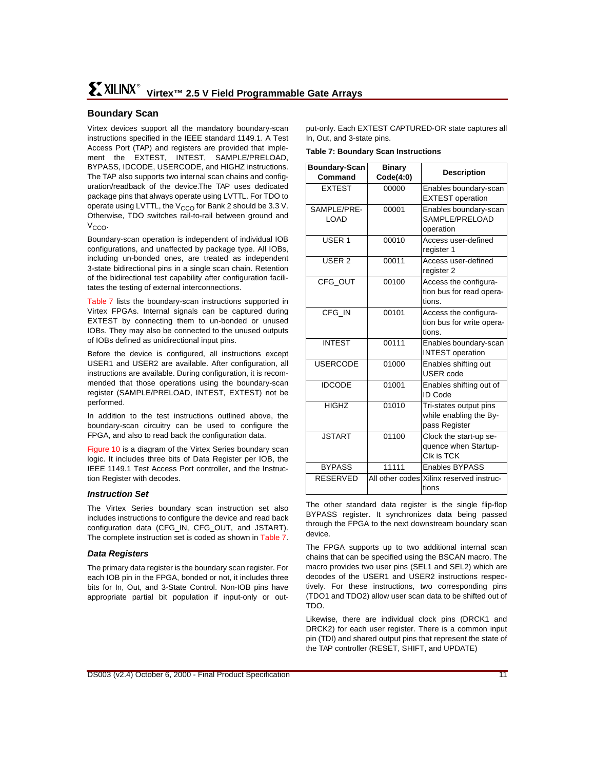## **Boundary Scan**

Virtex devices support all the mandatory boundary-scan instructions specified in the IEEE standard 1149.1. A Test Access Port (TAP) and registers are provided that implement the EXTEST, INTEST, SAMPLE/PRELOAD, BYPASS, IDCODE, USERCODE, and HIGHZ instructions. The TAP also supports two internal scan chains and configuration/readback of the device.The TAP uses dedicated package pins that always operate using LVTTL. For TDO to operate using LVTTL, the  $V_{CCO}$  for Bank 2 should be 3.3 V. Otherwise, TDO switches rail-to-rail between ground and  $V_{CCO}$ 

Boundary-scan operation is independent of individual IOB configurations, and unaffected by package type. All IOBs, including un-bonded ones, are treated as independent 3-state bidirectional pins in a single scan chain. Retention of the bidirectional test capability after configuration facilitates the testing of external interconnections.

[Table 7](#page-10-0) lists the boundary-scan instructions supported in Virtex FPGAs. Internal signals can be captured during EXTEST by connecting them to un-bonded or unused IOBs. They may also be connected to the unused outputs of IOBs defined as unidirectional input pins.

Before the device is configured, all instructions except USER1 and USER2 are available. After configuration, all instructions are available. During configuration, it is recommended that those operations using the boundary-scan register (SAMPLE/PRELOAD, INTEST, EXTEST) not be performed.

In addition to the test instructions outlined above, the boundary-scan circuitry can be used to configure the FPGA, and also to read back the configuration data.

[Figure 10](#page-11-0) is a diagram of the Virtex Series boundary scan logic. It includes three bits of Data Register per IOB, the IEEE 1149.1 Test Access Port controller, and the Instruction Register with decodes.

#### **Instruction Set**

The Virtex Series boundary scan instruction set also includes instructions to configure the device and read back configuration data (CFG\_IN, CFG\_OUT, and JSTART). The complete instruction set is coded as shown in [Table 7.](#page-10-0)

#### **Data Registers**

The primary data register is the boundary scan register. For each IOB pin in the FPGA, bonded or not, it includes three bits for In, Out, and 3-State Control. Non-IOB pins have appropriate partial bit population if input-only or output-only. Each EXTEST CAPTURED-OR state captures all In, Out, and 3-state pins.

<span id="page-10-0"></span>**Table 7: Boundary Scan Instructions**

| Boundary-Scan<br>Command | <b>Binary</b><br>Code(4:0) | <b>Description</b>                                                |
|--------------------------|----------------------------|-------------------------------------------------------------------|
| <b>EXTEST</b>            | 00000                      | Enables boundary-scan<br><b>EXTEST</b> operation                  |
| SAMPLE/PRE-<br>LOAD      | 00001                      | Enables boundary-scan<br>SAMPLE/PRELOAD<br>operation              |
| USER <sub>1</sub>        | 00010                      | Access user-defined<br>register 1                                 |
| USER <sub>2</sub>        | 00011                      | Access user-defined<br>register 2                                 |
| CFG OUT                  | 00100                      | Access the configura-<br>tion bus for read opera-<br>tions.       |
| CFG IN                   | 00101                      | Access the configura-<br>tion bus for write opera-<br>tions.      |
| <b>INTEST</b>            | 00111                      | Enables boundary-scan<br><b>INTEST</b> operation                  |
| <b>USERCODE</b>          | 01000                      | Enables shifting out<br><b>USER</b> code                          |
| <b>IDCODE</b>            | 01001                      | Enables shifting out of<br><b>ID Code</b>                         |
| <b>HIGHZ</b>             | 01010                      | Tri-states output pins<br>while enabling the By-<br>pass Register |
| <b>JSTART</b>            | 01100                      | Clock the start-up se-<br>quence when Startup-<br>Clk is TCK      |
| <b>BYPASS</b>            | 11111                      | <b>Enables BYPASS</b>                                             |
| <b>RESERVED</b>          |                            | All other codes Xilinx reserved instruc-<br>tions                 |

The other standard data register is the single flip-flop BYPASS register. It synchronizes data being passed through the FPGA to the next downstream boundary scan device.

The FPGA supports up to two additional internal scan chains that can be specified using the BSCAN macro. The macro provides two user pins (SEL1 and SEL2) which are decodes of the USER1 and USER2 instructions respectively. For these instructions, two corresponding pins (TDO1 and TDO2) allow user scan data to be shifted out of TDO.

Likewise, there are individual clock pins (DRCK1 and DRCK2) for each user register. There is a common input pin (TDI) and shared output pins that represent the state of the TAP controller (RESET, SHIFT, and UPDATE)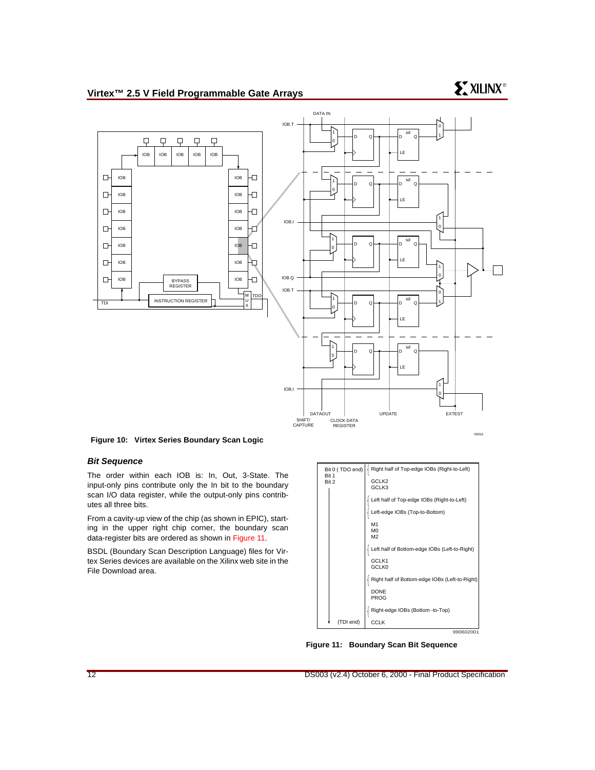## **Virtex™ 2.5 V Field Programmable Gate Arrays**

## **EXILINX<sup>®</sup>**



<span id="page-11-0"></span>**Figure 10: Virtex Series Boundary Scan Logic**

#### **Bit Sequence**

The order within each IOB is: In, Out, 3-State. The input-only pins contribute only the In bit to the boundary scan I/O data register, while the output-only pins contributes all three bits.

From a cavity-up view of the chip (as shown in EPIC), starting in the upper right chip corner, the boundary scan data-register bits are ordered as shown in [Figure 11.](#page-11-1)

BSDL (Boundary Scan Description Language) files for Virtex Series devices are available on the Xilinx web site in the File Download area.



990602001

<span id="page-11-1"></span>**Figure 11: Boundary Scan Bit Sequence**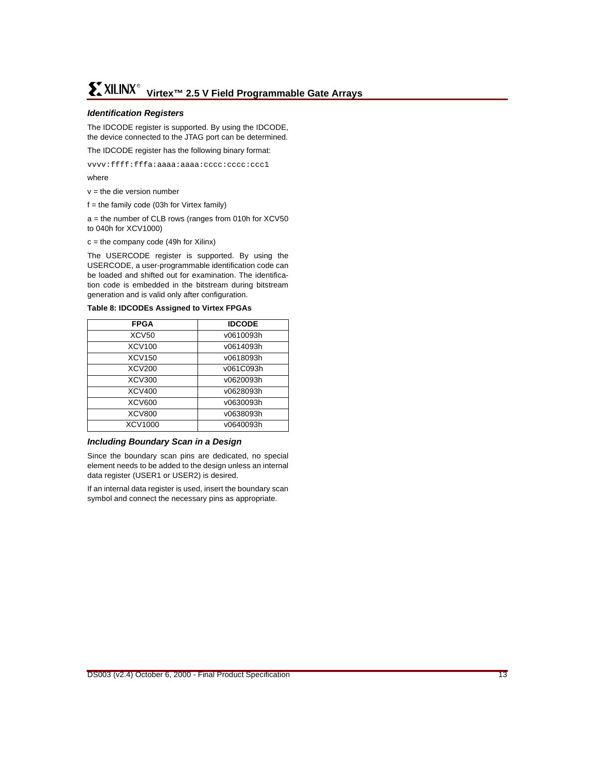#### **Identification Registers**

The IDCODE register is supported. By using the IDCODE, the device connected to the JTAG port can be determined.

The IDCODE register has the following binary format:

vvvv:ffff:fffa:aaaa:aaaa:cccc:cccc:ccc1

where

 $v =$  the die version number

 $f =$  the family code (03h for Virtex family)

a = the number of CLB rows (ranges from 010h for XCV50 to 040h for XCV1000)

 $c =$  the company code (49h for Xilinx)

The USERCODE register is supported. By using the USERCODE, a user-programmable identification code can be loaded and shifted out for examination. The identification code is embedded in the bitstream during bitstream generation and is valid only after configuration.

**Table 8: IDCODEs Assigned to Virtex FPGAs**

| <b>FPGA</b>       | <b>IDCODE</b> |
|-------------------|---------------|
| XCV <sub>50</sub> | v0610093h     |
| XCV100            | v0614093h     |
| XCV150            | v0618093h     |
| XCV200            | v061C093h     |
| XCV300            | v0620093h     |
| XCV400            | v0628093h     |
| XCV600            | v0630093h     |
| <b>XCV800</b>     | v0638093h     |
| XCV1000           | v0640093h     |

#### **Including Boundary Scan in a Design**

Since the boundary scan pins are dedicated, no special element needs to be added to the design unless an internal data register (USER1 or USER2) is desired.

If an internal data register is used, insert the boundary scan symbol and connect the necessary pins as appropriate.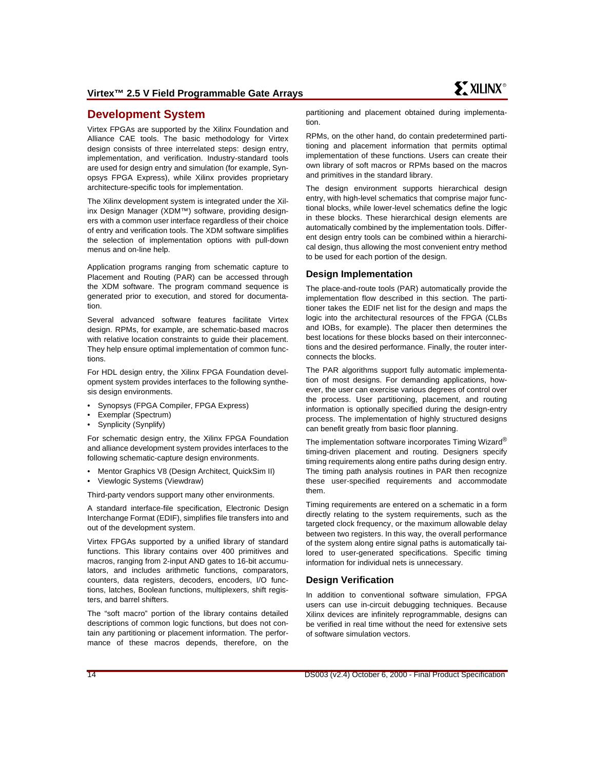## **Development System**

Virtex FPGAs are supported by the Xilinx Foundation and Alliance CAE tools. The basic methodology for Virtex design consists of three interrelated steps: design entry, implementation, and verification. Industry-standard tools are used for design entry and simulation (for example, Synopsys FPGA Express), while Xilinx provides proprietary architecture-specific tools for implementation.

The Xilinx development system is integrated under the Xilinx Design Manager (XDM™) software, providing designers with a common user interface regardless of their choice of entry and verification tools. The XDM software simplifies the selection of implementation options with pull-down menus and on-line help.

Application programs ranging from schematic capture to Placement and Routing (PAR) can be accessed through the XDM software. The program command sequence is generated prior to execution, and stored for documentation.

Several advanced software features facilitate Virtex design. RPMs, for example, are schematic-based macros with relative location constraints to guide their placement. They help ensure optimal implementation of common functions.

For HDL design entry, the Xilinx FPGA Foundation development system provides interfaces to the following synthesis design environments.

- Synopsys (FPGA Compiler, FPGA Express)
- Exemplar (Spectrum)
- Synplicity (Synplify)

For schematic design entry, the Xilinx FPGA Foundation and alliance development system provides interfaces to the following schematic-capture design environments.

- Mentor Graphics V8 (Design Architect, QuickSim II)
- Viewlogic Systems (Viewdraw)

Third-party vendors support many other environments.

A standard interface-file specification, Electronic Design Interchange Format (EDIF), simplifies file transfers into and out of the development system.

Virtex FPGAs supported by a unified library of standard functions. This library contains over 400 primitives and macros, ranging from 2-input AND gates to 16-bit accumulators, and includes arithmetic functions, comparators, counters, data registers, decoders, encoders, I/O functions, latches, Boolean functions, multiplexers, shift registers, and barrel shifters.

The "soft macro" portion of the library contains detailed descriptions of common logic functions, but does not contain any partitioning or placement information. The performance of these macros depends, therefore, on the partitioning and placement obtained during implementation.

RPMs, on the other hand, do contain predetermined partitioning and placement information that permits optimal implementation of these functions. Users can create their own library of soft macros or RPMs based on the macros and primitives in the standard library.

The design environment supports hierarchical design entry, with high-level schematics that comprise major functional blocks, while lower-level schematics define the logic in these blocks. These hierarchical design elements are automatically combined by the implementation tools. Different design entry tools can be combined within a hierarchical design, thus allowing the most convenient entry method to be used for each portion of the design.

#### **Design Implementation**

The place-and-route tools (PAR) automatically provide the implementation flow described in this section. The partitioner takes the EDIF net list for the design and maps the logic into the architectural resources of the FPGA (CLBs and IOBs, for example). The placer then determines the best locations for these blocks based on their interconnections and the desired performance. Finally, the router interconnects the blocks.

The PAR algorithms support fully automatic implementation of most designs. For demanding applications, however, the user can exercise various degrees of control over the process. User partitioning, placement, and routing information is optionally specified during the design-entry process. The implementation of highly structured designs can benefit greatly from basic floor planning.

The implementation software incorporates Timing Wizard<sup>®</sup> timing-driven placement and routing. Designers specify timing requirements along entire paths during design entry. The timing path analysis routines in PAR then recognize these user-specified requirements and accommodate them.

Timing requirements are entered on a schematic in a form directly relating to the system requirements, such as the targeted clock frequency, or the maximum allowable delay between two registers. In this way, the overall performance of the system along entire signal paths is automatically tailored to user-generated specifications. Specific timing information for individual nets is unnecessary.

#### **Design Verification**

In addition to conventional software simulation, FPGA users can use in-circuit debugging techniques. Because Xilinx devices are infinitely reprogrammable, designs can be verified in real time without the need for extensive sets of software simulation vectors.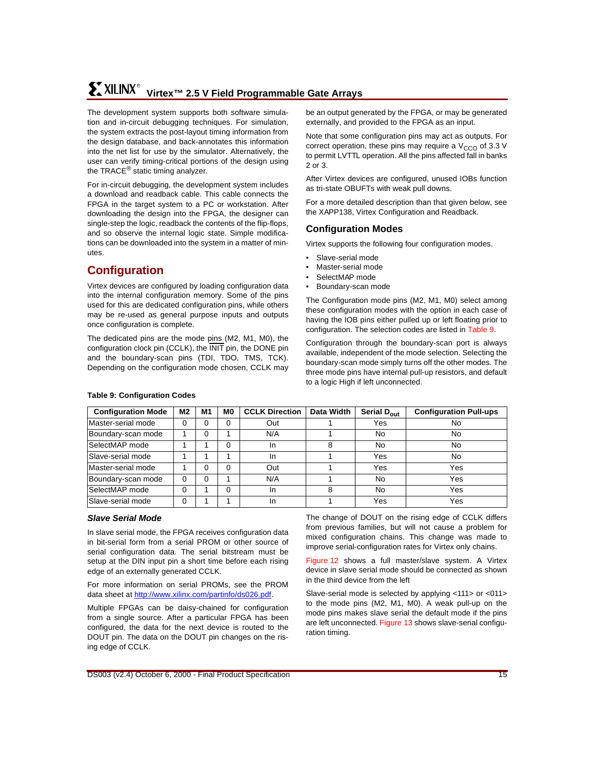## **Virtex™ 2.5 V Field Programmable Gate Arrays** R

The development system supports both software simulation and in-circuit debugging techniques. For simulation, the system extracts the post-layout timing information from the design database, and back-annotates this information into the net list for use by the simulator. Alternatively, the user can verify timing-critical portions of the design using the TRACE<sup>®</sup> static timing analyzer.

For in-circuit debugging, the development system includes a download and readback cable. This cable connects the FPGA in the target system to a PC or workstation. After downloading the design into the FPGA, the designer can single-step the logic, readback the contents of the flip-flops, and so observe the internal logic state. Simple modifications can be downloaded into the system in a matter of minutes.

## **Configuration**

Virtex devices are configured by loading configuration data into the internal configuration memory. Some of the pins used for this are dedicated configuration pins, while others may be re-used as general purpose inputs and outputs once configuration is complete.

The dedicated pins are the mode pins (M2, M1, M0), the configuration clock pin (CCLK), the INIT pin, the DONE pin and the boundary-scan pins (TDI, TDO, TMS, TCK). Depending on the configuration mode chosen, CCLK may be an output generated by the FPGA, or may be generated externally, and provided to the FPGA as an input.

Note that some configuration pins may act as outputs. For correct operation, these pins may require a  $V_{CCO}$  of 3.3 V to permit LVTTL operation. All the pins affected fall in banks 2 or 3.

After Virtex devices are configured, unused IOBs function as tri-state OBUFTs with weak pull downs.

For a more detailed description than that given below, see the XAPP138, Virtex Configuration and Readback.

## **Configuration Modes**

Virtex supports the following four configuration modes.

- Slave-serial mode
- Master-serial mode
- SelectMAP mode
- Boundary-scan mode

The Configuration mode pins (M2, M1, M0) select among these configuration modes with the option in each case of having the IOB pins either pulled up or left floating prior to configuration. The selection codes are listed in [Table 9](#page-14-0).

Configuration through the boundary-scan port is always available, independent of the mode selection. Selecting the boundary-scan mode simply turns off the other modes. The three mode pins have internal pull-up resistors, and default to a logic High if left unconnected.

| <b>Configuration Mode</b> | M2       | M1 | M0 | <b>CCLK Direction</b> | Data Width | Serial D <sub>out</sub> | <b>Configuration Pull-ups</b> |
|---------------------------|----------|----|----|-----------------------|------------|-------------------------|-------------------------------|
| Master-serial mode        |          |    |    | Out                   |            | Yes                     | No                            |
| Boundary-scan mode        |          | 0  |    | N/A                   |            | No                      | No.                           |
| SelectMAP mode            |          |    | O  | <b>In</b>             | 8          | No                      | No.                           |
| Slave-serial mode         |          |    |    | In.                   |            | Yes                     | No                            |
| Master-serial mode        |          | 0  | 0  | Out                   |            | Yes                     | Yes                           |
| Boundary-scan mode        | $\Omega$ | 0  |    | N/A                   |            | No                      | Yes                           |
| SelectMAP mode            | $\Omega$ |    | 0  | In.                   | 8          | No                      | Yes                           |
| Slave-serial mode         | $\Omega$ |    |    | In                    |            | Yes                     | Yes                           |

#### <span id="page-14-0"></span>**Table 9: Configuration Codes**

#### **Slave Serial Mode**

In slave serial mode, the FPGA receives configuration data in bit-serial form from a serial PROM or other source of serial configuration data. The serial bitstream must be setup at the DIN input pin a short time before each rising edge of an externally generated CCLK.

For more information on serial PROMs, see the PROM data sheet at<http://www.xilinx.com/partinfo/ds026.pdf>.

Multiple FPGAs can be daisy-chained for configuration from a single source. After a particular FPGA has been configured, the data for the next device is routed to the DOUT pin. The data on the DOUT pin changes on the rising edge of CCLK.

The change of DOUT on the rising edge of CCLK differs from previous families, but will not cause a problem for mixed configuration chains. This change was made to improve serial-configuration rates for Virtex only chains.

[Figure 12](#page-15-0) shows a full master/slave system. A Virtex device in slave serial mode should be connected as shown in the third device from the left

Slave-serial mode is selected by applying <111> or <011> to the mode pins (M2, M1, M0). A weak pull-up on the mode pins makes slave serial the default mode if the pins are left unconnected. [Figure 13](#page-15-1) shows slave-serial configuration timing.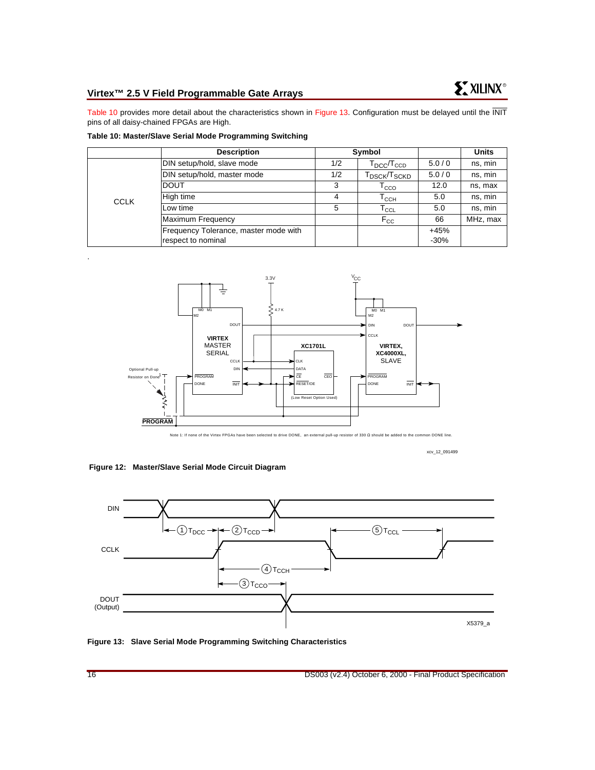## **Virtex™ 2.5 V Field Programmable Gate Arrays**

[Table 10](#page-15-2) provides more detail about the characteristics shown in [Figure 13](#page-15-1). Configuration must be delayed until the INIT pins of all daisy-chained FPGAs are High.

<span id="page-15-2"></span>

|             | <b>Description</b>                                          | Symbol |                                         |                  | <b>Units</b> |
|-------------|-------------------------------------------------------------|--------|-----------------------------------------|------------------|--------------|
|             | DIN setup/hold, slave mode                                  | 1/2    | $T_{\text{DCC}}$ $T_{\text{CCD}}$       | 5.0/0            | ns, min      |
| <b>CCLK</b> | DIN setup/hold, master mode                                 | 1/2    | ${\sf T}_{\sf DSCK}/{\sf T}_{\sf SCKD}$ | 5.0/0            | ns, min      |
|             | <b>DOUT</b>                                                 | 3      | $\mathsf{T}_{\text{CCO}}$               | 12.0             | ns, max      |
|             | High time                                                   | 4      | Т $_{\rm CCH}$                          | 5.0              | ns, min      |
|             | Low time                                                    | 5      | $\mathsf{T}_{\mathsf{CCL}}$             | 5.0              | ns, min      |
|             | Maximum Frequency                                           |        | $F_{\rm CC}$                            | 66               | MHz, max     |
|             | Frequency Tolerance, master mode with<br>respect to nominal |        |                                         | $+45%$<br>$-30%$ |              |



Note 1: If none of the Virtex FPGAs have been selected to drive DONE, an external pull-up resistor of 330 Ω should be added to the common DONE line.

xcv\_12\_091499

<span id="page-15-0"></span>**Figure 12: Master/Slave Serial Mode Circuit Diagram**



<span id="page-15-1"></span>**Figure 13: Slave Serial Mode Programming Switching Characteristics**

.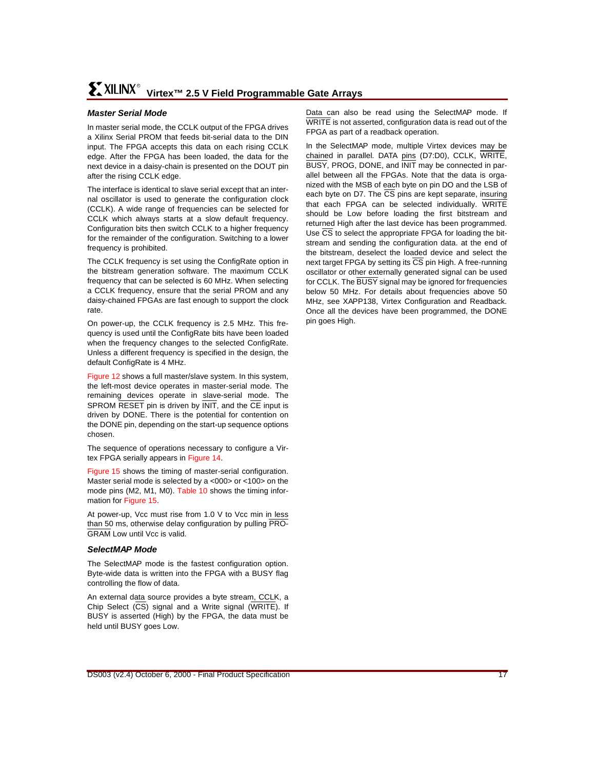#### **Master Serial Mode**

In master serial mode, the CCLK output of the FPGA drives a Xilinx Serial PROM that feeds bit-serial data to the DIN input. The FPGA accepts this data on each rising CCLK edge. After the FPGA has been loaded, the data for the next device in a daisy-chain is presented on the DOUT pin after the rising CCLK edge.

The interface is identical to slave serial except that an internal oscillator is used to generate the configuration clock (CCLK). A wide range of frequencies can be selected for CCLK which always starts at a slow default frequency. Configuration bits then switch CCLK to a higher frequency for the remainder of the configuration. Switching to a lower frequency is prohibited.

The CCLK frequency is set using the ConfigRate option in the bitstream generation software. The maximum CCLK frequency that can be selected is 60 MHz. When selecting a CCLK frequency, ensure that the serial PROM and any daisy-chained FPGAs are fast enough to support the clock rate.

On power-up, the CCLK frequency is 2.5 MHz. This frequency is used until the ConfigRate bits have been loaded when the frequency changes to the selected ConfigRate. Unless a different frequency is specified in the design, the default ConfigRate is 4 MHz.

[Figure 12](#page-15-0) shows a full master/slave system. In this system, the left-most device operates in master-serial mode. The remaining devices operate in slave-serial mode. The SPROM RESET pin is driven by **INIT**, and the CE input is driven by DONE. There is the potential for contention on the DONE pin, depending on the start-up sequence options chosen.

The sequence of operations necessary to configure a Virtex FPGA serially appears in [Figure 14](#page-17-0).

[Figure 15](#page-17-1) shows the timing of master-serial configuration. Master serial mode is selected by a <000> or <100> on the mode pins (M2, M1, M0). [Table 10](#page-15-2) shows the timing information for [Figure 15](#page-17-1).

At power-up, Vcc must rise from 1.0 V to Vcc min in less than 50 ms, otherwise delay configuration by pulling PRO-GRAM Low until Vcc is valid.

#### **SelectMAP Mode**

The SelectMAP mode is the fastest configuration option. Byte-wide data is written into the FPGA with a BUSY flag controlling the flow of data.

An external data source provides a byte stream, CCLK, a Chip Select (CS) signal and a Write signal (WRITE). If BUSY is asserted (High) by the FPGA, the data must be held until BUSY goes Low.

Data can also be read using the SelectMAP mode. If WRITE is not asserted, configuration data is read out of the FPGA as part of a readback operation.

In the SelectMAP mode, multiple Virtex devices may be chained in parallel. DATA pins (D7:D0), CCLK, WRITE, BUSY, PROG, DONE, and INIT may be connected in parallel between all the FPGAs. Note that the data is organized with the MSB of each byte on pin DO and the LSB of each byte on D7. The  $\overline{CS}$  pins are kept separate, insuring that each FPGA can be selected individually. WRITE should be Low before loading the first bitstream and returned High after the last device has been programmed. Use  $\overline{CS}$  to select the appropriate FPGA for loading the bitstream and sending the configuration data. at the end of the bitstream, deselect the loaded device and select the next target FPGA by setting its  $\overline{CS}$  pin High. A free-running oscillator or other externally generated signal can be used for CCLK. The BUSY signal may be ignored for frequencies below 50 MHz. For details about frequencies above 50 MHz, see XAPP138, Virtex Configuration and Readback. Once all the devices have been programmed, the DONE pin goes High.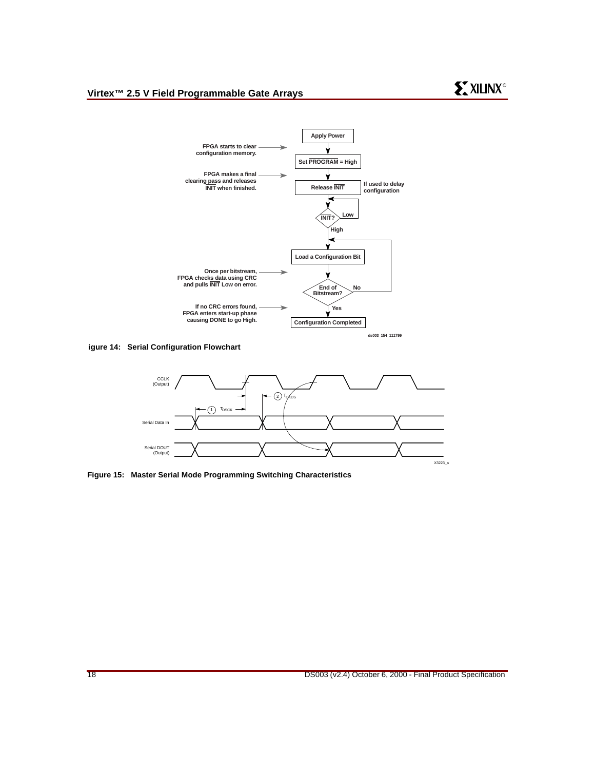

<span id="page-17-0"></span>**igure 14: Serial Configuration Flowchart**



<span id="page-17-1"></span>**Figure 15: Master Serial Mode Programming Switching Characteristics**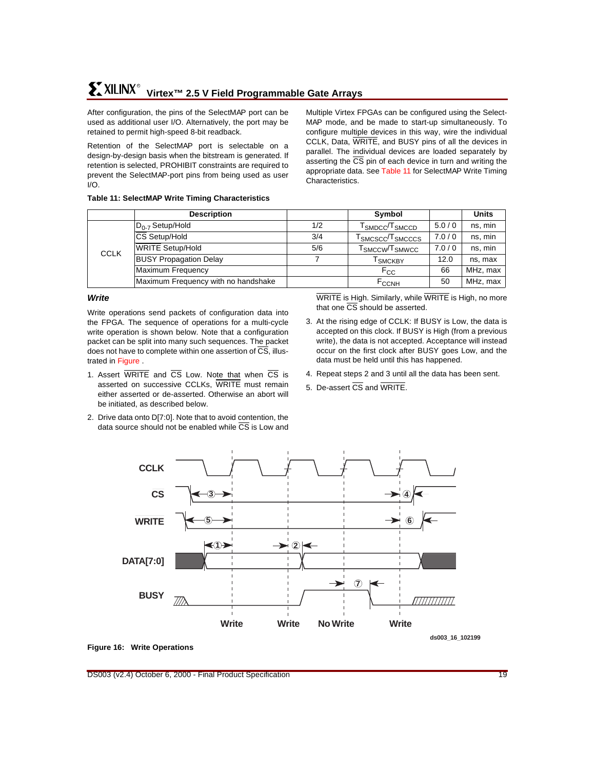## **Virtex™ 2.5 V Field Programmable Gate Arrays** R

After configuration, the pins of the SelectMAP port can be used as additional user I/O. Alternatively, the port may be retained to permit high-speed 8-bit readback.

Retention of the SelectMAP port is selectable on a design-by-design basis when the bitstream is generated. If retention is selected, PROHIBIT constraints are required to prevent the SelectMAP-port pins from being used as user I/O.

Multiple Virtex FPGAs can be configured using the Select-MAP mode, and be made to start-up simultaneously. To configure multiple devices in this way, wire the individual CCLK, Data, WRITE, and BUSY pins of all the devices in parallel. The individual devices are loaded separately by asserting the  $\overline{CS}$  pin of each device in turn and writing the appropriate data. See [Table 11](#page-18-0) for SelectMAP Write Timing Characteristics.

|             | <b>Description</b>                  |     | Symbol                                    |       | <b>Units</b> |
|-------------|-------------------------------------|-----|-------------------------------------------|-------|--------------|
| <b>CCLK</b> | $D_{0.7}$ Setup/Hold                | 1/2 | ${\sf T}_{\sf SMDCC}/{\sf T}_{\sf SMCCD}$ | 5.0/0 | ns, min      |
|             | <b>CS Setup/Hold</b>                | 3/4 | T <sub>SMCSCC</sub> /T <sub>SMCCCS</sub>  | 7.0/0 | ns, min      |
|             | <b>WRITE Setup/Hold</b>             | 5/6 | $\sf{T}_{SMCCW}\!/\sf{T}_{SMWCC}$         | 7.0/0 | ns, min      |
|             | <b>BUSY Propagation Delay</b>       |     | <sup>I</sup> SMCKBY                       | 12.0  | ns, max      |
|             | <b>Maximum Frequency</b>            |     | $F_{CC}$                                  | 66    | MHz, max     |
|             | Maximum Frequency with no handshake |     | <b>F<sub>CCNH</sub></b>                   | 50    | MHz, max     |

#### <span id="page-18-0"></span>**Table 11: SelectMAP Write Timing Characteristics**

#### **Write**

Write operations send packets of configuration data into the FPGA. The sequence of operations for a multi-cycle write operation is shown below. Note that a configuration packet can be split into many such sequences. The packet does not have to complete within one assertion of  $\overline{\text{CS}}$ , illustrated in [Figure](#page-18-1) .

- 1. Assert  $\overline{\text{WRITE}}$  and  $\overline{\text{CS}}$  Low. Note that when  $\overline{\text{CS}}$  is asserted on successive CCLKs, WRITE must remain either asserted or de-asserted. Otherwise an abort will be initiated, as described below.
- 2. Drive data onto D[7:0]. Note that to avoid contention, the data source should not be enabled while  $\overline{CS}$  is Low and

WRITE is High. Similarly, while WRITE is High, no more that one  $\overline{\text{CS}}$  should be asserted.

- 3. At the rising edge of CCLK: If BUSY is Low, the data is accepted on this clock. If BUSY is High (from a previous write), the data is not accepted. Acceptance will instead occur on the first clock after BUSY goes Low, and the data must be held until this has happened.
- 4. Repeat steps 2 and 3 until all the data has been sent.
- <span id="page-18-1"></span>5. De-assert CS and WRITE.



#### **Figure 16: Write Operations**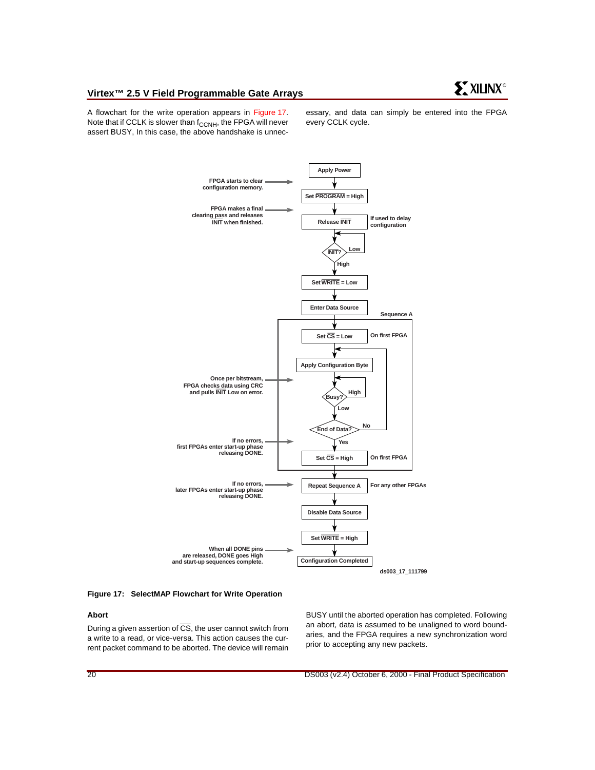#### **Virtex™ 2.5 V Field Programmable Gate Arrays**

A flowchart for the write operation appears in [Figure 17.](#page-19-0) Note that if CCLK is slower than  $f_{CCNH}$ , the FPGA will never assert BUSY, In this case, the above handshake is unnecessary, and data can simply be entered into the FPGA every CCLK cycle.



#### <span id="page-19-0"></span>**Figure 17: SelectMAP Flowchart for Write Operation**

#### **Abort**

During a given assertion of  $\overline{CS}$ , the user cannot switch from a write to a read, or vice-versa. This action causes the current packet command to be aborted. The device will remain BUSY until the aborted operation has completed. Following an abort, data is assumed to be unaligned to word boundaries, and the FPGA requires a new synchronization word prior to accepting any new packets.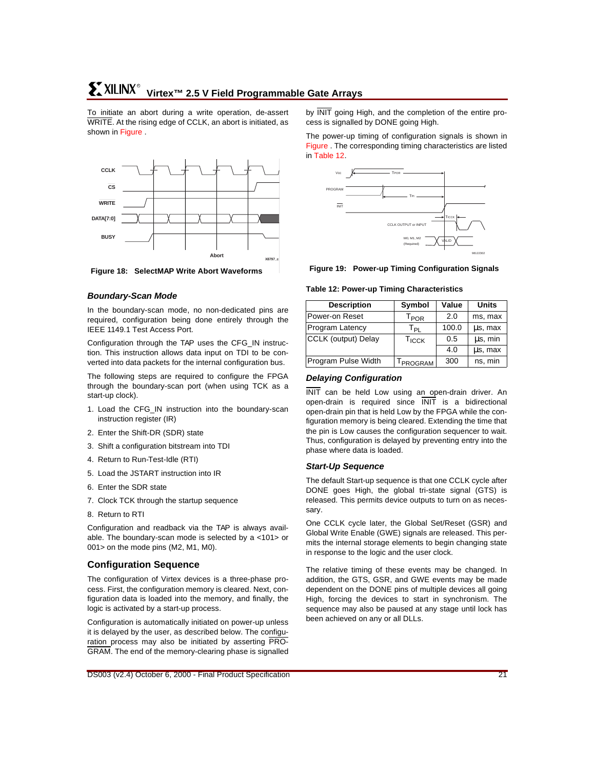<span id="page-20-0"></span>To initiate an abort during a write operation, de-assert WRITE. At the rising edge of CCLK, an abort is initiated, as shown in [Figure](#page-20-0) .



**Figure 18: SelectMAP Write Abort Waveforms**

## **Boundary-Scan Mode**

In the boundary-scan mode, no non-dedicated pins are required, configuration being done entirely through the IEEE 1149.1 Test Access Port.

Configuration through the TAP uses the CFG\_IN instruction. This instruction allows data input on TDI to be converted into data packets for the internal configuration bus.

The following steps are required to configure the FPGA through the boundary-scan port (when using TCK as a start-up clock).

- 1. Load the CFG\_IN instruction into the boundary-scan instruction register (IR)
- 2. Enter the Shift-DR (SDR) state
- 3. Shift a configuration bitstream into TDI
- 4. Return to Run-Test-Idle (RTI)
- 5. Load the JSTART instruction into IR
- 6. Enter the SDR state
- 7. Clock TCK through the startup sequence
- 8. Return to RTI

Configuration and readback via the TAP is always available. The boundary-scan mode is selected by a <101> or 001> on the mode pins (M2, M1, M0).

## **Configuration Sequence**

The configuration of Virtex devices is a three-phase process. First, the configuration memory is cleared. Next, configuration data is loaded into the memory, and finally, the logic is activated by a start-up process.

Configuration is automatically initiated on power-up unless it is delayed by the user, as described below. The configuration process may also be initiated by asserting PRO-GRAM. The end of the memory-clearing phase is signalled by INIT going High, and the completion of the entire process is signalled by DONE going High.

<span id="page-20-1"></span>The power-up timing of configuration signals is shown in [Figure](#page-20-1) . The corresponding timing characteristics are listed in [Table 12.](#page-20-2)



**Figure 19: Power-up Timing Configuration Signals**

#### <span id="page-20-2"></span>**Table 12: Power-up Timing Characteristics**

| <b>Description</b>  | Symbol                      | Value | <b>Units</b> |
|---------------------|-----------------------------|-------|--------------|
| Power-on Reset      | $\mathsf{T}_{\mathsf{POR}}$ | 2.0   | ms, max      |
| Program Latency     | Ты                          | 100.0 | us, max      |
| CCLK (output) Delay | <b>T<sub>ICCK</sub></b>     | 0.5   | us, min      |
|                     |                             | 4.0   | us, max      |
| Program Pulse Width | TPROGRAM                    | 300   | ns, min      |

#### **Delaying Configuration**

INIT can be held Low using an open-drain driver. An open-drain is required since INIT is a bidirectional open-drain pin that is held Low by the FPGA while the configuration memory is being cleared. Extending the time that the pin is Low causes the configuration sequencer to wait. Thus, configuration is delayed by preventing entry into the phase where data is loaded.

#### **Start-Up Sequence**

The default Start-up sequence is that one CCLK cycle after DONE goes High, the global tri-state signal (GTS) is released. This permits device outputs to turn on as necessary.

One CCLK cycle later, the Global Set/Reset (GSR) and Global Write Enable (GWE) signals are released. This permits the internal storage elements to begin changing state in response to the logic and the user clock.

The relative timing of these events may be changed. In addition, the GTS, GSR, and GWE events may be made dependent on the DONE pins of multiple devices all going High, forcing the devices to start in synchronism. The sequence may also be paused at any stage until lock has been achieved on any or all DLLs.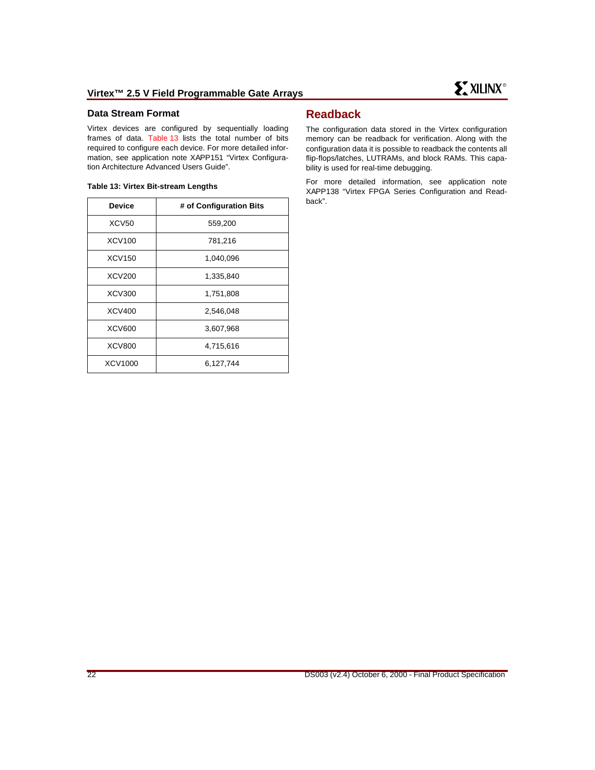#### **Data Stream Format**

Virtex devices are configured by sequentially loading frames of data. [Table 13](#page-21-0) lists the total number of bits required to configure each device. For more detailed information, see application note XAPP151 "Virtex Configuration Architecture Advanced Users Guide".

#### <span id="page-21-0"></span>**Table 13: Virtex Bit-stream Lengths**

| <b>Device</b> | # of Configuration Bits |
|---------------|-------------------------|
| <b>XCV50</b>  | 559,200                 |
| XCV100        | 781,216                 |
| XCV150        | 1,040,096               |
| XCV200        | 1,335,840               |
| XCV300        | 1,751,808               |
| XCV400        | 2,546,048               |
| <b>XCV600</b> | 3,607,968               |
| <b>XCV800</b> | 4,715,616               |
| XCV1000       | 6,127,744               |

## **Readback**

The configuration data stored in the Virtex configuration memory can be readback for verification. Along with the configuration data it is possible to readback the contents all flip-flops/latches, LUTRAMs, and block RAMs. This capability is used for real-time debugging.

For more detailed information, see application note XAPP138 "Virtex FPGA Series Configuration and Readback".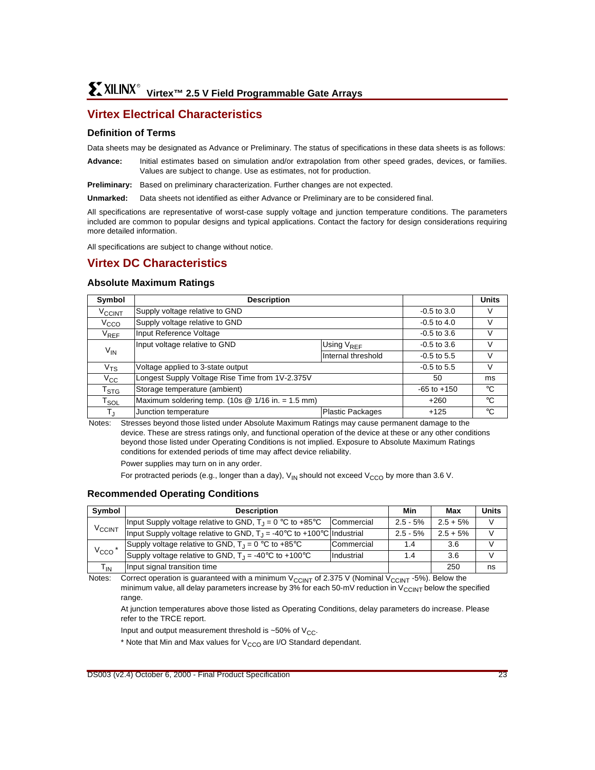## **Virtex Electrical Characteristics**

#### **Definition of Terms**

Data sheets may be designated as Advance or Preliminary. The status of specifications in these data sheets is as follows:

**Advance:** Initial estimates based on simulation and/or extrapolation from other speed grades, devices, or families. Values are subject to change. Use as estimates, not for production.

**Preliminary:** Based on preliminary characterization. Further changes are not expected.

**Unmarked:** Data sheets not identified as either Advance or Preliminary are to be considered final.

All specifications are representative of worst-case supply voltage and junction temperature conditions. The parameters included are common to popular designs and typical applications. Contact the factory for design considerations requiring more detailed information.

All specifications are subject to change without notice.

## **Virtex DC Characteristics**

#### **Absolute Maximum Ratings**

| Symbol                      | <b>Description</b>                                  |                        |                 | <b>Units</b> |
|-----------------------------|-----------------------------------------------------|------------------------|-----------------|--------------|
| <b>V<sub>CCINT</sub></b>    | Supply voltage relative to GND                      | $-0.5$ to $3.0$        | V               |              |
| V <sub>CCO</sub>            | Supply voltage relative to GND                      | $-0.5$ to 4.0          | V               |              |
| $V_{REF}$                   | Input Reference Voltage                             | $-0.5$ to $3.6$        | V               |              |
|                             | Input voltage relative to GND                       | Using V <sub>REF</sub> | $-0.5$ to $3.6$ | V            |
| $V_{\textsf{IN}}$           |                                                     | Internal threshold     | $-0.5$ to 5.5   | V            |
| $\rm v_{\rm TS}$            | Voltage applied to 3-state output                   |                        | $-0.5$ to 5.5   | V            |
| $V_{\rm CC}$                | Longest Supply Voltage Rise Time from 1V-2.375V     |                        | 50              | ms           |
| $\mathsf{T}_{\text{STG}}$   | Storage temperature (ambient)                       |                        | $-65$ to $+150$ | °C           |
| $\mathsf{T}_{\mathsf{SOL}}$ | Maximum soldering temp. (10s $@ 1/16$ in. = 1.5 mm) | $+260$                 | ℃               |              |
| $T_{\sf J}$                 | Junction temperature                                | Plastic Packages       | $+125$          | °C           |

Notes: Stresses beyond those listed under Absolute Maximum Ratings may cause permanent damage to the device. These are stress ratings only, and functional operation of the device at these or any other conditions beyond those listed under Operating Conditions is not implied. Exposure to Absolute Maximum Ratings conditions for extended periods of time may affect device reliability.

Power supplies may turn on in any order.

For protracted periods (e.g., longer than a day),  $V_{IN}$  should not exceed  $V_{CCO}$  by more than 3.6 V.

#### **Recommended Operating Conditions**

| Symbol                   | <b>Description</b>                                                                       |            |             | Max         | <b>Units</b>  |
|--------------------------|------------------------------------------------------------------------------------------|------------|-------------|-------------|---------------|
|                          | Input Supply voltage relative to GND, $T_1 = 0$ °C to +85°C                              | Commercial | $2.5 - 5\%$ | $2.5 + 5\%$ | $\mathcal{U}$ |
| <b>V<sub>CCINT</sub></b> | Input Supply voltage relative to GND, $T_1 = -40^{\circ}C$ to $+100^{\circ}C$ Industrial |            | $2.5 - 5\%$ | $2.5 + 5%$  |               |
|                          | Supply voltage relative to GND, $T_1 = 0$ °C to +85°C                                    | Commercial | 1.4         | 3.6         |               |
| $V_{CCO}$ *              | Supply voltage relative to GND, $T_J = -40^{\circ}C$ to $+100^{\circ}C$                  | Industrial | 1.4         | 3.6         |               |
| $T_{IN}$                 | Input signal transition time                                                             |            |             | 250         | ns            |

Notes: Correct operation is guaranteed with a minimum  $V_{\text{CCINT}}$  of 2.375 V (Nominal V<sub>CCINT</sub> -5%). Below the minimum value, all delay parameters increase by 3% for each 50-mV reduction in  $V_{CCLNT}$  below the specified range.

At junction temperatures above those listed as Operating Conditions, delay parameters do increase. Please refer to the TRCE report.

Input and output measurement threshold is  $\sim$  50% of V<sub>CC</sub>.

 $*$  Note that Min and Max values for  $V_{CCO}$  are I/O Standard dependant.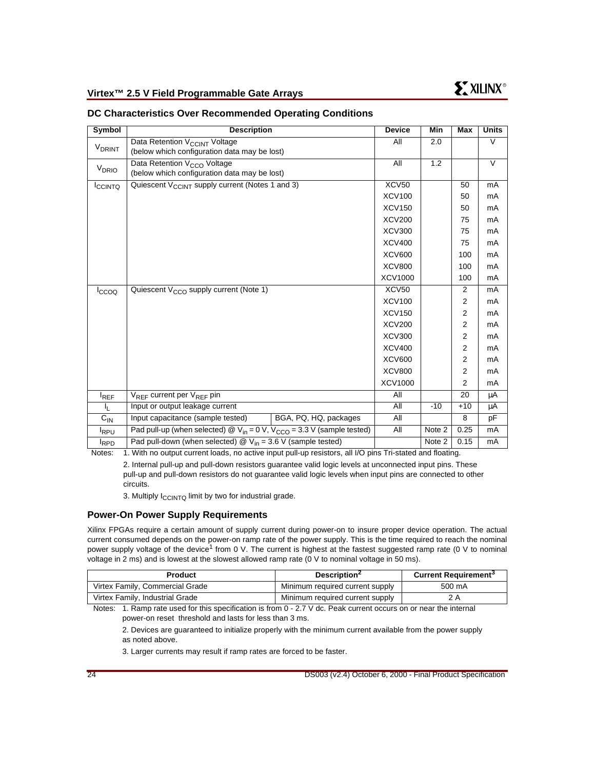| Symbol                   | <b>Description</b>                                                                                      | <b>Device</b>     | Min    | Max   | <b>Units</b> |
|--------------------------|---------------------------------------------------------------------------------------------------------|-------------------|--------|-------|--------------|
| <b>V<sub>DRINT</sub></b> | Data Retention V <sub>CCINT</sub> Voltage                                                               | All               | 2.0    |       | $\vee$       |
|                          | (below which configuration data may be lost)                                                            |                   |        |       |              |
| V <sub>DRIO</sub>        | Data Retention V <sub>CCO</sub> Voltage                                                                 | All               | 1.2    |       | $\vee$       |
|                          | (below which configuration data may be lost)                                                            |                   |        |       |              |
| ICCINTQ                  | Quiescent V <sub>CCINT</sub> supply current (Notes 1 and 3)                                             | XCV <sub>50</sub> |        | 50    | mA           |
|                          |                                                                                                         | <b>XCV100</b>     |        | 50    | mA           |
|                          |                                                                                                         | <b>XCV150</b>     |        | 50    | mA           |
|                          |                                                                                                         | <b>XCV200</b>     |        | 75    | mA           |
|                          |                                                                                                         | <b>XCV300</b>     |        | 75    | mA           |
|                          |                                                                                                         | <b>XCV400</b>     |        | 75    | mA           |
|                          |                                                                                                         | <b>XCV600</b>     |        | 100   | mA           |
|                          |                                                                                                         | <b>XCV800</b>     |        | 100   | mA           |
|                          |                                                                                                         | XCV1000           |        | 100   | mA           |
| ccoo                     | Quiescent $V_{CCO}$ supply current (Note 1)                                                             | XCV50             |        | 2     | mA           |
|                          |                                                                                                         | <b>XCV100</b>     |        | 2     | mA           |
|                          |                                                                                                         | <b>XCV150</b>     |        | 2     | mA           |
|                          |                                                                                                         | <b>XCV200</b>     |        | 2     | mA           |
|                          |                                                                                                         | <b>XCV300</b>     |        | 2     | mA           |
|                          |                                                                                                         | <b>XCV400</b>     |        | 2     | mA           |
|                          |                                                                                                         | <b>XCV600</b>     |        | 2     | mA           |
|                          |                                                                                                         | <b>XCV800</b>     |        | 2     | mA           |
|                          |                                                                                                         | XCV1000           |        | 2     | mA           |
| $I_{REF}$                | $V_{RFF}$ current per $V_{RFF}$ pin                                                                     | All               |        | 20    | μA           |
| IL.                      | Input or output leakage current                                                                         | All               | $-10$  | $+10$ | μA           |
| $C_{\text{IN}}$          | Input capacitance (sample tested)<br>BGA, PQ, HQ, packages                                              | All               |        | 8     | pF           |
| <sup>I</sup> RPU         | Pad pull-up (when selected) $\circledR$ V <sub>in</sub> = 0 V, V <sub>CCO</sub> = 3.3 V (sample tested) | All               | Note 2 | 0.25  | mA           |
| <b>RPD</b>               | Pad pull-down (when selected) $\mathcal{Q}$ V <sub>in</sub> = 3.6 V (sample tested)                     |                   | Note 2 | 0.15  | mA           |

#### **DC Characteristics Over Recommended Operating Conditions**

Notes: 1. With no output current loads, no active input pull-up resistors, all I/O pins Tri-stated and floating.

2. Internal pull-up and pull-down resistors guarantee valid logic levels at unconnected input pins. These pull-up and pull-down resistors do not guarantee valid logic levels when input pins are connected to other circuits.

3. Multiply  $I_{\text{CCINTO}}$  limit by two for industrial grade.

#### **Power-On Power Supply Requirements**

Xilinx FPGAs require a certain amount of supply current during power-on to insure proper device operation. The actual current consumed depends on the power-on ramp rate of the power supply. This is the time required to reach the nominal power supply voltage of the device<sup>1</sup> from 0 V. The current is highest at the fastest suggested ramp rate (0 V to nominal voltage in 2 ms) and is lowest at the slowest allowed ramp rate (0 V to nominal voltage in 50 ms).

| <b>Product</b>                  | Description <sup>2</sup>        | <b>Current Requirement<sup>3</sup></b> |  |
|---------------------------------|---------------------------------|----------------------------------------|--|
| Virtex Family, Commercial Grade | Minimum required current supply | 500 mA                                 |  |
| Virtex Family, Industrial Grade | Minimum required current supply | 2 A                                    |  |

Notes: 1. Ramp rate used for this specification is from 0 - 2.7 V dc. Peak current occurs on or near the internal power-on reset threshold and lasts for less than 3 ms.

2. Devices are guaranteed to initialize properly with the minimum current available from the power supply as noted above.

3. Larger currents may result if ramp rates are forced to be faster.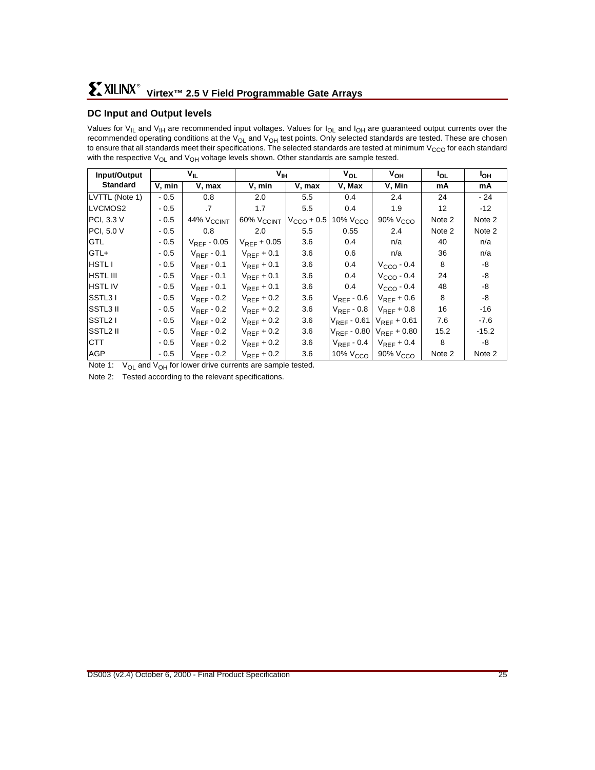## **DC Input and Output levels**

Values for  $V_{II}$  and  $V_{II}$  are recommended input voltages. Values for  $I_{OL}$  and  $I_{OH}$  are guaranteed output currents over the recommended operating conditions at the  $V_{OL}$  and  $V_{OH}$  test points. Only selected standards are tested. These are chosen to ensure that all standards meet their specifications. The selected standards are tested at minimum  $V_{CCO}$  for each standard with the respective  $V_{OL}$  and  $V_{OH}$  voltage levels shown. Other standards are sample tested.

| Input/Output         |        | V <sub>IL</sub>        |                        | $V_{\text{IH}}$ |                      | V <sub>OH</sub>      | l <sub>OL</sub> | I <sub>OH</sub> |
|----------------------|--------|------------------------|------------------------|-----------------|----------------------|----------------------|-----------------|-----------------|
| <b>Standard</b>      | V, min | V, max                 | V, min                 | V, max          | V, Max               | V, Min               | mA              | mA              |
| LVTTL (Note 1)       | $-0.5$ | 0.8                    | 2.0                    | 5.5             | 0.4                  | 2.4                  | 24              | - 24            |
| LVCMOS2              | $-0.5$ | .7                     | 1.7                    | 5.5             | 0.4                  | 1.9                  | 12              | $-12$           |
| PCI, 3.3 V           | $-0.5$ | 44% V <sub>CCINT</sub> | 60% V <sub>CCINT</sub> | $VCCO + 0.5$    | 10% V <sub>CCO</sub> | 90% V <sub>CCO</sub> | Note 2          | Note 2          |
| PCI, 5.0 V           | $-0.5$ | 0.8                    | 2.0                    | 5.5             | 0.55                 | 2.4                  | Note 2          | Note 2          |
| <b>GTL</b>           | $-0.5$ | $V_{REF}$ - 0.05       | $V_{REF}$ + 0.05       | 3.6             | 0.4                  | n/a                  | 40              | n/a             |
| GTL+                 | $-0.5$ | $V_{REF}$ - 0.1        | $V_{REF}$ + 0.1        | 3.6             | 0.6                  | n/a                  | 36              | n/a             |
| <b>HSTL I</b>        | $-0.5$ | $V_{REF}$ - 0.1        | $V_{REF}$ + 0.1        | 3.6             | 0.4                  | $VCCO - 0.4$         | 8               | -8              |
| <b>HSTL III</b>      | $-0.5$ | $V_{REF}$ - 0.1        | $V_{REF}$ + 0.1        | 3.6             | 0.4                  | $VCCO - 0.4$         | 24              | -8              |
| <b>HSTLIV</b>        | $-0.5$ | $V_{REF}$ - 0.1        | $V_{REF}$ + 0.1        | 3.6             | 0.4                  | $VCCO - 0.4$         | 48              | -8              |
| SSTL31               | $-0.5$ | $V_{REF}$ - 0.2        | $V_{REF}$ + 0.2        | 3.6             | $V_{REF}$ - 0.6      | $V_{REF}$ + 0.6      | 8               | -8              |
| SSTL3 II             | $-0.5$ | $V_{REF}$ - 0.2        | $V_{REF}$ + 0.2        | 3.6             | $V_{REF}$ - 0.8      | $V_{REF}$ + 0.8      | 16              | -16             |
| SSTL <sub>2</sub> I  | $-0.5$ | $V_{REF}$ - 0.2        | $V_{REF}$ + 0.2        | 3.6             | $V_{REF}$ - 0.61     | $V_{REF}$ + 0.61     | 7.6             | $-7.6$          |
| SSTL <sub>2</sub> II | $-0.5$ | $V_{REF}$ - 0.2        | $V_{REF}$ + 0.2        | 3.6             | $V_{REF}$ - 0.80     | $V_{REF} + 0.80$     | 15.2            | $-15.2$         |
| <b>CTT</b>           | $-0.5$ | $V_{REF}$ - 0.2        | $V_{REF}$ + 0.2        | 3.6             | $V_{REF}$ - 0.4      | $V_{REF}$ + 0.4      | 8               | -8              |
| <b>AGP</b>           | $-0.5$ | $V_{REF}$ - 0.2        | $V_{REF}$ + 0.2        | 3.6             | 10% V <sub>CCO</sub> | 90% V <sub>CCO</sub> | Note 2          | Note 2          |

Note 1:  $V_{OL}$  and  $V_{OH}$  for lower drive currents are sample tested.

Note 2: Tested according to the relevant specifications.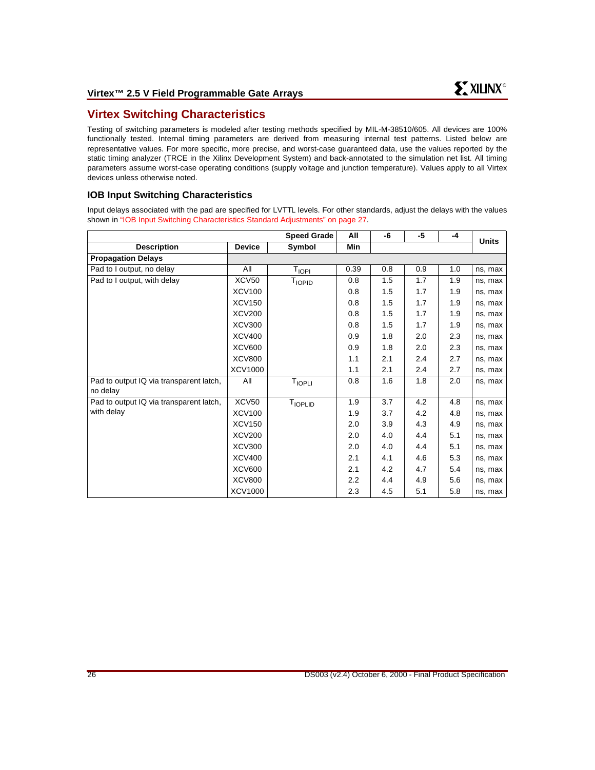## **Virtex Switching Characteristics**

Testing of switching parameters is modeled after testing methods specified by MIL-M-38510/605. All devices are 100% functionally tested. Internal timing parameters are derived from measuring internal test patterns. Listed below are representative values. For more specific, more precise, and worst-case guaranteed data, use the values reported by the static timing analyzer (TRCE in the Xilinx Development System) and back-annotated to the simulation net list. All timing parameters assume worst-case operating conditions (supply voltage and junction temperature). Values apply to all Virtex devices unless otherwise noted.

## **IOB Input Switching Characteristics**

Input delays associated with the pad are specified for LVTTL levels. For other standards, adjust the delays with the values shown in ["IOB Input Switching Characteristics Standard Adjustments" on page 27](#page-26-0).

|                                                     |               | <b>Speed Grade</b>        | All  | -6  | -5  | $-4$ | <b>Units</b> |
|-----------------------------------------------------|---------------|---------------------------|------|-----|-----|------|--------------|
| <b>Description</b>                                  | <b>Device</b> | Symbol                    | Min  |     |     |      |              |
| <b>Propagation Delays</b>                           |               |                           |      |     |     |      |              |
| Pad to I output, no delay                           | All           | T <sub>IOPI</sub>         | 0.39 | 0.8 | 0.9 | 1.0  | ns, max      |
| Pad to I output, with delay                         | XCV50         | <b>T</b> <sub>IOPID</sub> | 0.8  | 1.5 | 1.7 | 1.9  | ns, max      |
|                                                     | <b>XCV100</b> |                           | 0.8  | 1.5 | 1.7 | 1.9  | ns, max      |
|                                                     | <b>XCV150</b> |                           | 0.8  | 1.5 | 1.7 | 1.9  | ns, max      |
|                                                     | <b>XCV200</b> |                           | 0.8  | 1.5 | 1.7 | 1.9  | ns, max      |
|                                                     | <b>XCV300</b> |                           | 0.8  | 1.5 | 1.7 | 1.9  | ns, max      |
|                                                     | <b>XCV400</b> |                           | 0.9  | 1.8 | 2.0 | 2.3  | ns, max      |
|                                                     | <b>XCV600</b> |                           | 0.9  | 1.8 | 2.0 | 2.3  | ns, max      |
|                                                     | <b>XCV800</b> |                           | 1.1  | 2.1 | 2.4 | 2.7  | ns, max      |
|                                                     | XCV1000       |                           | 1.1  | 2.1 | 2.4 | 2.7  | ns, max      |
| Pad to output IQ via transparent latch,<br>no delay | All           | TIOPLI                    | 0.8  | 1.6 | 1.8 | 2.0  | ns, max      |
| Pad to output IQ via transparent latch,             | XCV50         | T <sub>IOPLID</sub>       | 1.9  | 3.7 | 4.2 | 4.8  | ns, max      |
| with delay                                          | <b>XCV100</b> |                           | 1.9  | 3.7 | 4.2 | 4.8  | ns, max      |
|                                                     | <b>XCV150</b> |                           | 2.0  | 3.9 | 4.3 | 4.9  | ns, max      |
|                                                     | <b>XCV200</b> |                           | 2.0  | 4.0 | 4.4 | 5.1  | ns, max      |
|                                                     | <b>XCV300</b> |                           | 2.0  | 4.0 | 4.4 | 5.1  | ns, max      |
|                                                     | <b>XCV400</b> |                           | 2.1  | 4.1 | 4.6 | 5.3  | ns, max      |
|                                                     | <b>XCV600</b> |                           | 2.1  | 4.2 | 4.7 | 5.4  | ns, max      |
|                                                     | <b>XCV800</b> |                           | 2.2  | 4.4 | 4.9 | 5.6  | ns, max      |
|                                                     | XCV1000       |                           | 2.3  | 4.5 | 5.1 | 5.8  | ns, max      |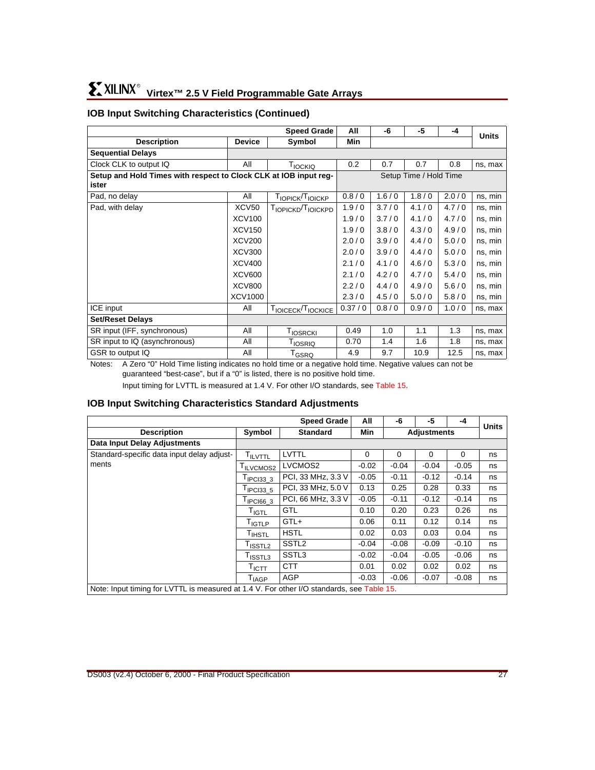## **IOB Input Switching Characteristics (Continued)**

|                                                                  |               | <b>Speed Grade</b>                         | All    | -6    | -5                     | $-4$  | <b>Units</b> |
|------------------------------------------------------------------|---------------|--------------------------------------------|--------|-------|------------------------|-------|--------------|
| <b>Description</b>                                               | <b>Device</b> | Symbol                                     | Min    |       |                        |       |              |
| <b>Sequential Delays</b>                                         |               |                                            |        |       |                        |       |              |
| Clock CLK to output IQ                                           | All           | T <sub>IOCKIQ</sub>                        | 0.2    | 0.7   | 0.7                    | 0.8   | ns, max      |
| Setup and Hold Times with respect to Clock CLK at IOB input req- |               |                                            |        |       | Setup Time / Hold Time |       |              |
| ister                                                            |               |                                            |        |       |                        |       |              |
| Pad, no delay                                                    | All           | T <sub>IOPICK</sub> /T <sub>IOICKP</sub>   | 0.8/0  | 1.6/0 | 1.8/0                  | 2.0/0 | ns, min      |
| Pad, with delay                                                  | <b>XCV50</b>  | Т <sub>ІОРІСКР</sub> /Т <sub>ІОІСКРР</sub> | 1.9/0  | 3.7/0 | 4.1/0                  | 4.7/0 | ns, min      |
|                                                                  | <b>XCV100</b> |                                            | 1.9/0  | 3.7/0 | 4.1/0                  | 4.7/0 | ns, min      |
|                                                                  | <b>XCV150</b> |                                            | 1.9/0  | 3.8/0 | 4.3/0                  | 4.9/0 | ns, min      |
|                                                                  | <b>XCV200</b> |                                            | 2.0/0  | 3.9/0 | 4.4/0                  | 5.0/0 | ns, min      |
|                                                                  | <b>XCV300</b> |                                            | 2.0/0  | 3.9/0 | 4.4/0                  | 5.0/0 | ns, min      |
|                                                                  | <b>XCV400</b> |                                            | 2.1/0  | 4.1/0 | 4.6/0                  | 5.3/0 | ns, min      |
|                                                                  | <b>XCV600</b> |                                            | 2.1/0  | 4.2/0 | 4.7/0                  | 5.4/0 | ns, min      |
|                                                                  | <b>XCV800</b> |                                            | 2.2/0  | 4.4/0 | 4.9/0                  | 5.6/0 | ns, min      |
|                                                                  | XCV1000       |                                            | 2.3/0  | 4.5/0 | 5.0/0                  | 5.8/0 | ns, min      |
| ICE input                                                        | All           | TIOICECK/TIOCKICE                          | 0.37/0 | 0.8/0 | 0.9/0                  | 1.0/0 | ns, max      |
| <b>Set/Reset Delays</b>                                          |               |                                            |        |       |                        |       |              |
| SR input (IFF, synchronous)                                      | All           | T <sub>IOSRCKI</sub>                       | 0.49   | 1.0   | 1.1                    | 1.3   | ns, max      |
| SR input to IQ (asynchronous)                                    | All           | <b>T</b> <sub>IOSRIQ</sub>                 | 0.70   | 1.4   | 1.6                    | 1.8   | ns, max      |
| GSR to output IQ                                                 | All           | T <sub>GSRQ</sub>                          | 4.9    | 9.7   | 10.9                   | 12.5  | ns, max      |

Notes: A Zero "0" Hold Time listing indicates no hold time or a negative hold time. Negative values can not be guaranteed "best-case", but if a "0" is listed, there is no positive hold time.

Input timing for LVTTL is measured at 1.4 V. For other I/O standards, see [Table 15.](#page-29-0)

### <span id="page-26-0"></span>**IOB Input Switching Characteristics Standard Adjustments**

|                                                                                           |                              | <b>Speed Grade</b> | All        | -6       | -5                 | -4       | <b>Units</b> |
|-------------------------------------------------------------------------------------------|------------------------------|--------------------|------------|----------|--------------------|----------|--------------|
| <b>Description</b>                                                                        | Symbol                       | <b>Standard</b>    | <b>Min</b> |          | <b>Adjustments</b> |          |              |
| <b>Data Input Delay Adjustments</b>                                                       |                              |                    |            |          |                    |          |              |
| Standard-specific data input delay adjust-                                                | <b>TILVTTL</b>               | LVTTL              | $\Omega$   | $\Omega$ | $\Omega$           | $\Omega$ | ns           |
| ments                                                                                     | I ILVCMOS2                   | LVCMOS2            | $-0.02$    | $-0.04$  | $-0.04$            | $-0.05$  | ns           |
|                                                                                           | $TIPC133$ 3                  | PCI, 33 MHz, 3.3 V | $-0.05$    | $-0.11$  | $-0.12$            | $-0.14$  | ns           |
|                                                                                           | $I$ IPCI33 5                 | PCI, 33 MHz, 5.0 V | 0.13       | 0.25     | 0.28               | 0.33     | ns           |
|                                                                                           | $T$ <sub>IPCI66</sub> 3      | PCI, 66 MHz, 3.3 V | $-0.05$    | $-0.11$  | $-0.12$            | $-0.14$  | ns           |
|                                                                                           | $\mathsf{T}_{\mathsf{IGTL}}$ | <b>GTL</b>         | 0.10       | 0.20     | 0.23               | 0.26     | ns           |
|                                                                                           | T <sub>IGTLP</sub>           | GTL+               | 0.06       | 0.11     | 0.12               | 0.14     | ns           |
|                                                                                           | T <sub>IHSTL</sub>           | <b>HSTL</b>        | 0.02       | 0.03     | 0.03               | 0.04     | ns           |
|                                                                                           | T <sub>ISSTL2</sub>          | SSTL <sub>2</sub>  | $-0.04$    | $-0.08$  | $-0.09$            | $-0.10$  | ns           |
|                                                                                           | $I_{\text{ISSTL3}}$          | SSTL3              | $-0.02$    | $-0.04$  | $-0.05$            | $-0.06$  | ns           |
|                                                                                           | $\mathsf{T}_{\mathsf{ICTT}}$ | <b>CTT</b>         | 0.01       | 0.02     | 0.02               | 0.02     | ns           |
|                                                                                           | $T_{\sf IAGP}$               | <b>AGP</b>         | $-0.03$    | $-0.06$  | $-0.07$            | $-0.08$  | ns           |
| Note: Input timing for LVTTL is measured at 1.4 V. For other I/O standards, see Table 15. |                              |                    |            |          |                    |          |              |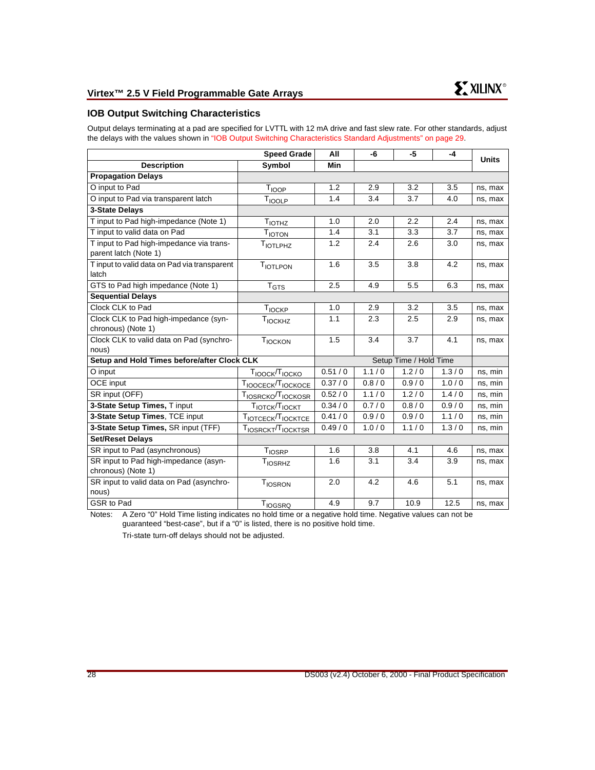## **IOB Output Switching Characteristics**

Output delays terminating at a pad are specified for LVTTL with 12 mA drive and fast slew rate. For other standards, adjust the delays with the values shown in ["IOB Output Switching Characteristics Standard Adjustments" on page 29](#page-28-0).

|                                                                   | <b>Speed Grade</b>                     | All        | -6      | $-5$                   | $-4$  |              |
|-------------------------------------------------------------------|----------------------------------------|------------|---------|------------------------|-------|--------------|
| <b>Description</b>                                                | Symbol                                 | <b>Min</b> |         |                        |       | <b>Units</b> |
| <b>Propagation Delays</b>                                         |                                        |            |         |                        |       |              |
| O input to Pad                                                    | T <sub>IOOP</sub>                      | 1.2        | 2.9     | 3.2                    | 3.5   | ns, max      |
| O input to Pad via transparent latch                              | TIOOLP                                 | 1.4        | 3.4     | 3.7                    | 4.0   | ns, max      |
| 3-State Delays                                                    |                                        |            |         |                        |       |              |
| T input to Pad high-impedance (Note 1)                            | T <sub>IOTHZ</sub>                     | 1.0        | 2.0     | 2.2                    | 2.4   | ns, max      |
| T input to valid data on Pad                                      | T <sub>IOTON</sub>                     | 1.4        | 3.1     | 3.3                    | 3.7   | ns, max      |
| T input to Pad high-impedance via trans-<br>parent latch (Note 1) | TIOTLPHZ                               | 1.2        | 2.4     | 2.6                    | 3.0   | ns, max      |
| T input to valid data on Pad via transparent<br>latch             | <b>TIOTLPON</b>                        | 1.6        | 3.5     | 3.8                    | 4.2   | ns, max      |
| GTS to Pad high impedance (Note 1)                                | $T_{GTS}$                              | 2.5        | 4.9     | 5.5                    | 6.3   | ns, max      |
| <b>Sequential Delays</b>                                          |                                        |            |         |                        |       |              |
| Clock CLK to Pad                                                  | T <sub>IOCKP</sub>                     | 1.0        | 2.9     | 3.2                    | 3.5   | ns, max      |
| Clock CLK to Pad high-impedance (syn-                             | T <sub>IOCKHZ</sub>                    | 1.1        | 2.3     | 2.5                    | 2.9   | ns, max      |
| chronous) (Note 1)                                                |                                        |            |         |                        |       |              |
| Clock CLK to valid data on Pad (synchro-                          | TIOCKON                                | 1.5        | 3.4     | 3.7                    | 4.1   | ns, max      |
| nous)                                                             |                                        |            |         | Setup Time / Hold Time |       |              |
| Setup and Hold Times before/after Clock CLK                       |                                        |            |         |                        |       |              |
| O input                                                           | T <sub>IOOCK</sub> /T <sub>IOCKO</sub> | 0.51/0     | 1.1/0   | 1.2/0                  | 1.3/0 | ns, min      |
| <b>OCE</b> input                                                  | TIOOCECK/TIOCKOCE                      | 0.37/0     | 0.8 / 0 | 0.9/0                  | 1.0/0 | ns, min      |
| SR input (OFF)                                                    | TIOSRCKO <sup>T</sup> IOCKOSR          | 0.52/0     | 1.1/0   | 1.2/0                  | 1.4/0 | ns, min      |
| 3-State Setup Times, T input                                      | TIOTCK/TIOCKT                          | 0.34/0     | 0.7/0   | 0.8/0                  | 0.9/0 | ns, min      |
| 3-State Setup Times, TCE input                                    | TIOTCECK/TIOCKTCE                      | 0.41/0     | 0.9/0   | 0.9/0                  | 1.1/0 | ns, min      |
| 3-State Setup Times, SR input (TFF)                               | TIOSRCKT/TIOCKTSR                      | 0.49/0     | 1.0/0   | 1.1/0                  | 1.3/0 | ns, min      |
| <b>Set/Reset Delays</b>                                           |                                        |            |         |                        |       |              |
| SR input to Pad (asynchronous)                                    | T <sub>IOSRP</sub>                     | 1.6        | 3.8     | 4.1                    | 4.6   | ns, max      |
| SR input to Pad high-impedance (asyn-                             | T <sub>IOSRHZ</sub>                    | 1.6        | 3.1     | 3.4                    | 3.9   | ns, max      |
| chronous) (Note 1)                                                |                                        |            |         |                        |       |              |
| SR input to valid data on Pad (asynchro-<br>nous)                 | <b>TIOSRON</b>                         | 2.0        | 4.2     | 4.6                    | 5.1   | ns, max      |
| GSR to Pad                                                        | TIOGSRQ                                | 4.9        | 9.7     | 10.9                   | 12.5  | ns, max      |

Notes: A Zero "0" Hold Time listing indicates no hold time or a negative hold time. Negative values can not be guaranteed "best-case", but if a "0" is listed, there is no positive hold time.

Tri-state turn-off delays should not be adjusted.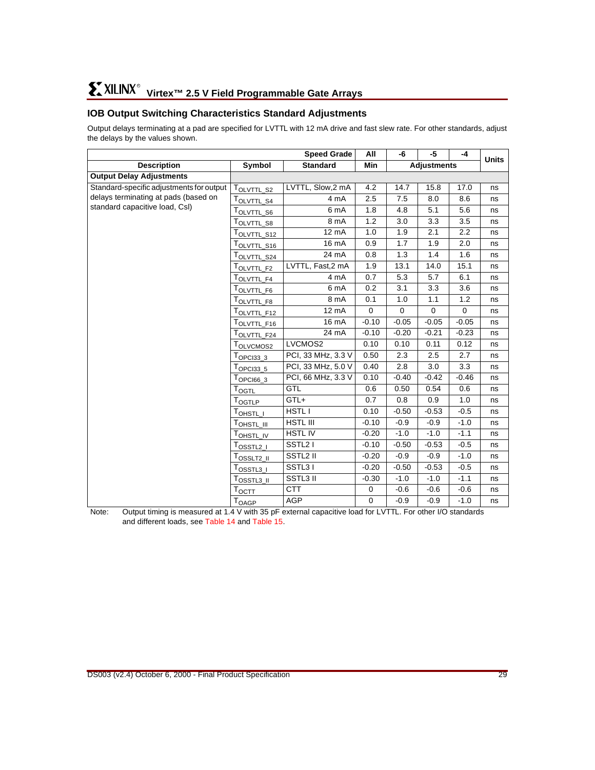## <span id="page-28-0"></span>**IOB Output Switching Characteristics Standard Adjustments**

Output delays terminating at a pad are specified for LVTTL with 12 mA drive and fast slew rate. For other standards, adjust the delays by the values shown.

|                                          |                                              | <b>Speed Grade</b>   |             |          | -5                 | $-4$        | <b>Units</b> |
|------------------------------------------|----------------------------------------------|----------------------|-------------|----------|--------------------|-------------|--------------|
| <b>Description</b>                       | Symbol                                       | <b>Standard</b>      | Min         |          | <b>Adjustments</b> |             |              |
| <b>Output Delay Adjustments</b>          |                                              |                      |             |          |                    |             |              |
| Standard-specific adjustments for output | T <sub>OLVTTL_S2</sub>                       | LVTTL, Slow,2 mA     | 4.2         | 14.7     | 15.8               | 17.0        | ns           |
| delays terminating at pads (based on     | TOLVTTL_S4                                   | 4 mA                 | 2.5         | 7.5      | 8.0                | 8.6         | ns           |
| standard capacitive load, CsI)           | T <sub>OLVTTL_S6</sub>                       | 6 mA                 | 1.8         | 4.8      | 5.1                | 5.6         | ns           |
|                                          | TOLVTTL_S8                                   | 8 mA                 | 1.2         | 3.0      | 3.3                | 3.5         | ns           |
|                                          | T <sub>OLVTTL_S12</sub>                      | 12 mA                | 1.0         | 1.9      | 2.1                | 2.2         | ns           |
|                                          | $\mathsf{T}_{\mathsf{OLVTTL}\_}\mathsf{S16}$ | 16 mA                | 0.9         | 1.7      | 1.9                | 2.0         | ns           |
|                                          | T <sub>OLV<u>TTL_S24</u></sub>               | 24 mA                | 0.8         | 1.3      | 1.4                | 1.6         | ns           |
|                                          | T <sub>OLVTTL_F2</sub>                       | LVTTL, Fast,2 mA     | 1.9         | 13.1     | 14.0               | 15.1        | ns           |
|                                          | TOLVTTL_F4                                   | 4 mA                 | 0.7         | 5.3      | 5.7                | 6.1         | ns           |
|                                          | T <sub>OLVTTL_F6</sub>                       | 6 mA                 | 0.2         | 3.1      | 3.3                | 3.6         | ns           |
|                                          | T <sub>OLVTTL_F8</sub>                       | 8 mA                 | 0.1         | 1.0      | 1.1                | 1.2         | ns           |
|                                          | TOLVTTL_F12                                  | 12 mA                | $\mathbf 0$ | $\Omega$ | $\mathbf 0$        | $\mathbf 0$ | ns           |
|                                          | T <sub>OLVT<u>TL_F16</u></sub>               | 16 mA                | $-0.10$     | $-0.05$  | $-0.05$            | $-0.05$     | ns           |
|                                          | T <sub>OLVTTL_F24</sub>                      | 24 mA                | $-0.10$     | $-0.20$  | $-0.21$            | $-0.23$     | ns           |
|                                          | T <sub>OLVCMOS2</sub>                        | LVCMOS2              | 0.10        | 0.10     | 0.11               | 0.12        | ns           |
|                                          | $\mathsf{T}_{\mathsf{OPCI33}\_3}$            | PCI, 33 MHz, 3.3 V   | 0.50        | 2.3      | 2.5                | 2.7         | ns           |
|                                          | $T_{OPCI33\_5}$                              | PCI, 33 MHz, 5.0 V   | 0.40        | 2.8      | 3.0                | 3.3         | ns           |
|                                          | $\mathsf{T}_{\mathsf{OPCl66}\_3}$            | PCI, 66 MHz, 3.3 V   | 0.10        | $-0.40$  | $-0.42$            | $-0.46$     | ns           |
|                                          | T <sub>OGTL</sub>                            | <b>GTL</b>           | 0.6         | 0.50     | 0.54               | 0.6         | ns           |
|                                          | T <sub>OGTLP</sub>                           | GTL+                 | 0.7         | 0.8      | 0.9                | 1.0         | ns           |
|                                          | Т <sub>ОНSTL_I</sub>                         | <b>HSTLI</b>         | 0.10        | $-0.50$  | $-0.53$            | $-0.5$      | ns           |
|                                          | Т <sub>ОНЅ<u>ть III</u></sub>                | HSTL III             | $-0.10$     | $-0.9$   | $-0.9$             | $-1.0$      | ns           |
|                                          | T <sub>OHSTL_IV</sub>                        | <b>HSTLIV</b>        | $-0.20$     | $-1.0$   | $-1.0$             | $-1.1$      | ns           |
|                                          | T <sub>OSSTL2_I</sub>                        | SSTL <sub>2</sub> I  | $-0.10$     | $-0.50$  | $-0.53$            | $-0.5$      | ns           |
|                                          | T <sub>OSSLT2_II</sub>                       | SSTL <sub>2</sub> II | $-0.20$     | $-0.9$   | $-0.9$             | $-1.0$      | ns           |
|                                          | $\tau_{\texttt{OSSTL3\_I}}$                  | SSTL31               | $-0.20$     | $-0.50$  | $-0.53$            | $-0.5$      | ns           |
|                                          | T <u>osstla ji</u>                           | SSTL3 II             | $-0.30$     | $-1.0$   | $-1.0$             | $-1.1$      | ns           |
|                                          | T <sub>OCIT</sub>                            | <b>CTT</b>           | $\mathbf 0$ | $-0.6$   | $-0.6$             | $-0.6$      | ns           |
|                                          | $\mathsf{T}_{\mathsf{OAGP}}$                 | <b>AGP</b>           | $\mathbf 0$ | $-0.9$   | $-0.9$             | $-1.0$      | ns           |

Note: Output timing is measured at 1.4 V with 35 pF external capacitive load for LVTTL. For other I/O standards and different loads, see [Table 14](#page-29-1) and [Table 15](#page-29-0).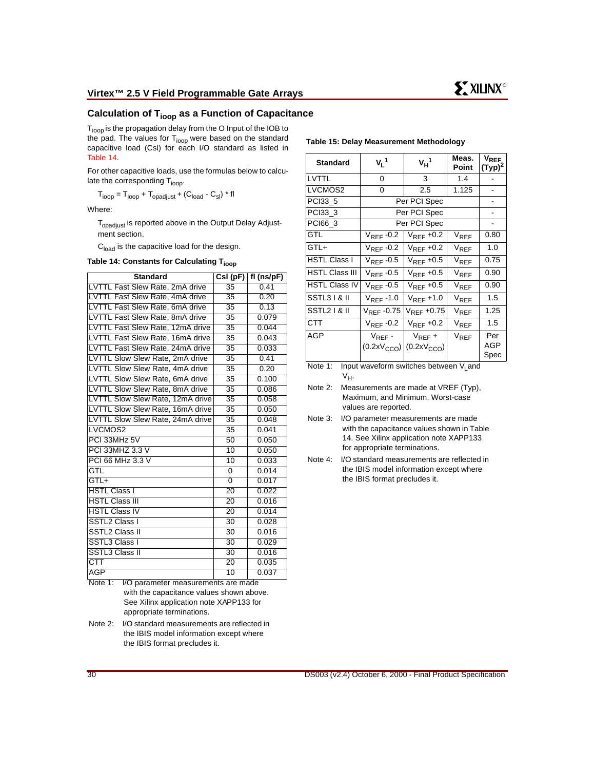## **Calculation of Tioop as a Function of Capacitance**

T<sub>ioop</sub> is the propagation delay from the O Input of the IOB to the pad. The values for  $T<sub>ioop</sub>$  were based on the standard capacitive load (Csl) for each I/O standard as listed in [Table 14](#page-29-1).

For other capacitive loads, use the formulas below to calculate the corresponding  $T_{\text{ioop}}$ .

$$
T_{\text{loop}} = T_{\text{loop}} + T_{\text{opadjust}} + (C_{\text{load}} - C_{\text{sl}}) * fl
$$

Where:

T<sub>opadiust</sub> is reported above in the Output Delay Adjustment section.

 $C<sub>load</sub>$  is the capacitive load for the design.

#### <span id="page-29-1"></span>Table 14: Constants for Calculating T<sub>ioop</sub>

| <b>Standard</b>                  | Csl(pF)         | $fl$ (ns/pF) |
|----------------------------------|-----------------|--------------|
| LVTTL Fast Slew Rate, 2mA drive  | 35              | 0.41         |
| LVTTL Fast Slew Rate, 4mA drive  | 35              | 0.20         |
| LVTTL Fast Slew Rate, 6mA drive  | 35              | 0.13         |
| LVTTL Fast Slew Rate, 8mA drive  | $\overline{35}$ | 0.079        |
| LVTTL Fast Slew Rate, 12mA drive | 35              | 0.044        |
| LVTTL Fast Slew Rate, 16mA drive | $\overline{35}$ | 0.043        |
| LVTTL Fast Slew Rate, 24mA drive | 35              | 0.033        |
| LVTTL Slow Slew Rate, 2mA drive  | $\overline{35}$ | 0.41         |
| LVTTL Slow Slew Rate, 4mA drive  | $\overline{35}$ | 0.20         |
| LVTTL Slow Slew Rate, 6mA drive  | $\overline{35}$ | 0.100        |
| LVTTL Slow Slew Rate, 8mA drive  | $\overline{35}$ | 0.086        |
| LVTTL Slow Slew Rate, 12mA drive | $\overline{35}$ | 0.058        |
| LVTTL Slow Slew Rate, 16mA drive | $\overline{35}$ | 0.050        |
| LVTTL Slow Slew Rate, 24mA drive | $\overline{35}$ | 0.048        |
| LVCMOS2                          | 35              | 0.041        |
| PCI 33MHz 5V                     | 50              | 0.050        |
| PCI 33MHZ 3.3 V                  | 10              | 0.050        |
| PCI 66 MHz 3.3 V                 | 10              | 0.033        |
| GTL                              | 0               | 0.014        |
| $GTI +$                          | $\overline{0}$  | 0.017        |
| <b>HSTL Class I</b>              | $\overline{20}$ | 0.022        |
| <b>HSTL Class III</b>            | $\overline{20}$ | 0.016        |
| <b>HSTL Class IV</b>             | 20              | 0.014        |
| SSTL2 Class I                    | $\overline{30}$ | 0.028        |
| <b>SSTL2 Class II</b>            | 30              | 0.016        |
| SSTL3 Class I                    | $\overline{30}$ | 0.029        |
| <b>SSTL3 Class II</b>            | 30              | 0.016        |
| <b>CTT</b>                       | $\overline{20}$ | 0.035        |
| <b>AGP</b>                       | 10              | 0.037        |

Note 1: I/O parameter measurements are made with the capacitance values shown above. See Xilinx application note XAPP133 for appropriate terminations.

Note 2: I/O standard measurements are reflected in the IBIS model information except where the IBIS format precludes it.

#### <span id="page-29-0"></span>**Table 15: Delay Measurement Methodology**

| <b>Standard</b>      | $V_1$ <sup>1</sup>                     | $V_H$ <sup>1</sup>                     | Meas.<br>Point         | $\mathsf{v}_{\mathsf{REF}}$<br>$(Typ)^2$ |
|----------------------|----------------------------------------|----------------------------------------|------------------------|------------------------------------------|
| LVTTL                | 0                                      | 3                                      | 1.4                    |                                          |
| LVCMOS2              | 0                                      | 2.5                                    | 1.125                  |                                          |
| PCI33 5              |                                        | Per PCI Spec                           |                        |                                          |
| PCI33_3              |                                        | Per PCI Spec                           |                        |                                          |
| PCI66 3              |                                        | Per PCI Spec                           |                        | -                                        |
| <b>GTL</b>           | $V_{REF}$ -0.2                         | $\rm V_{RFF}$ +0.2                     | V <sub>REF</sub>       | 0.80                                     |
| GTL+                 | $V_{REF}$ -0.2                         | $V_{REF}$ +0.2                         | $V_{REF}$              | 1.0                                      |
| HSTL Class I         | $V_{\text{REF}}$ -0.5                  | $V_{RFF}$ +0.5                         | <b>V<sub>RFF</sub></b> | 0.75                                     |
| HSTL Class III       | $V_{REF}$ -0.5                         | $V_{RFF}$ +0.5                         | $V_{REF}$              | 0.90                                     |
| <b>HSTL Class IV</b> | $V_{RFF}$ -0.5                         | $V_{REF}$ +0.5                         | V <sub>REF</sub>       | 0.90                                     |
| SSTL3 I & II         | $V_{RFF}$ -1.0                         | $V_{RFF}$ +1.0                         | <b>V<sub>RFF</sub></b> | 1.5                                      |
| SSTL2 I & II         | $V_{RFF}$ -0.75                        | $V_{RFF}$ +0.75                        | $V_{RFF}$              | 1.25                                     |
| <b>CTT</b>           | $V_{RFF}$ -0.2                         | $V_{RFF}$ +0.2                         | $V_{RFF}$              | 1.5                                      |
| AGP                  | $V_{REF}$ -<br>(0.2xV <sub>CCO</sub> ) | $V_{REF}$ +<br>(0.2xV <sub>CCO</sub> ) | $V_{RFF}$              | Per<br>AGP<br>Spec                       |

Note 1: Input waveform switches between  $V_1$  and V<sub>H</sub>.

- Note 2: Measurements are made at VREF (Typ), Maximum, and Minimum. Worst-case values are reported.
- Note 3: I/O parameter measurements are made with the capacitance values shown in Table 14. See Xilinx application note XAPP133 for appropriate terminations.
- Note 4: I/O standard measurements are reflected in the IBIS model information except where the IBIS format precludes it.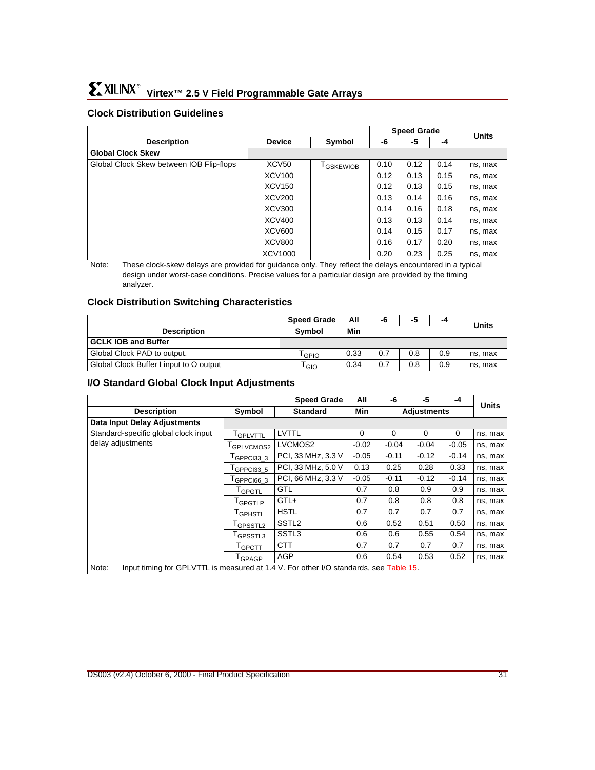## **Clock Distribution Guidelines**

|                                          |                   |                       | <b>Speed Grade</b> |      |      | <b>Units</b> |
|------------------------------------------|-------------------|-----------------------|--------------------|------|------|--------------|
| <b>Description</b>                       | <b>Device</b>     | Symbol                | -6                 | -5   | -4   |              |
| <b>Global Clock Skew</b>                 |                   |                       |                    |      |      |              |
| Global Clock Skew between IOB Flip-flops | XCV <sub>50</sub> | <sup>i</sup> GSKEWIOB | 0.10               | 0.12 | 0.14 | ns, max      |
|                                          | <b>XCV100</b>     |                       | 0.12               | 0.13 | 0.15 | ns, max      |
|                                          | <b>XCV150</b>     |                       | 0.12               | 0.13 | 0.15 | ns, max      |
|                                          | <b>XCV200</b>     |                       | 0.13               | 0.14 | 0.16 | ns, max      |
|                                          | <b>XCV300</b>     |                       | 0.14               | 0.16 | 0.18 | ns, max      |
|                                          | <b>XCV400</b>     |                       | 0.13               | 0.13 | 0.14 | ns, max      |
|                                          | <b>XCV600</b>     |                       | 0.14               | 0.15 | 0.17 | ns, max      |
|                                          | <b>XCV800</b>     |                       | 0.16               | 0.17 | 0.20 | ns, max      |
|                                          | XCV1000           |                       | 0.20               | 0.23 | 0.25 | ns, max      |

Note: These clock-skew delays are provided for guidance only. They reflect the delays encountered in a typical design under worst-case conditions. Precise values for a particular design are provided by the timing analyzer.

### **Clock Distribution Switching Characteristics**

|                                         | All<br><b>Speed Grade</b> |      | -6  | -5  | -4  | <b>Units</b> |
|-----------------------------------------|---------------------------|------|-----|-----|-----|--------------|
| <b>Description</b>                      | <b>Symbol</b>             | Min  |     |     |     |              |
| <b>GCLK IOB and Buffer</b>              |                           |      |     |     |     |              |
| Global Clock PAD to output.             | GPIO                      | 0.33 | 0.7 | 0.8 | 0.9 | ns. max      |
| Global Clock Buffer I input to O output | l GIO                     | 0.34 | 0.7 | 0.8 | 0.9 | ns, max      |

#### **I/O Standard Global Clock Input Adjustments**

|                                                                                                |                         | <b>Speed Grade</b> | All      | -5<br>-4<br>-6 |                    | <b>Units</b> |         |
|------------------------------------------------------------------------------------------------|-------------------------|--------------------|----------|----------------|--------------------|--------------|---------|
| <b>Description</b>                                                                             | Symbol                  | <b>Standard</b>    | Min      |                | <b>Adjustments</b> |              |         |
| <b>Data Input Delay Adjustments</b>                                                            |                         |                    |          |                |                    |              |         |
| Standard-specific global clock input                                                           | <b>TGPLVTTL</b>         | LVTTL              | $\Omega$ | $\Omega$       | 0                  | 0            | ns, max |
| delay adjustments                                                                              | T <sub>GPLVCMOS2</sub>  | LVCMOS2            | $-0.02$  | $-0.04$        | $-0.04$            | $-0.05$      | ns, max |
|                                                                                                | $I$ GPPCI33 3           | PCI, 33 MHz, 3.3 V | $-0.05$  | $-0.11$        | $-0.12$            | $-0.14$      | ns, max |
|                                                                                                | $I$ GPPCI33 5           | PCI, 33 MHz, 5.0 V | 0.13     | 0.25           | 0.28               | 0.33         | ns, max |
|                                                                                                | $I$ GPPCI66 3           | PCI, 66 MHz, 3.3 V | $-0.05$  | $-0.11$        | $-0.12$            | $-0.14$      | ns, max |
|                                                                                                | <sup>I</sup> GPGTL      | <b>GTL</b>         | 0.7      | 0.8            | 0.9                | 0.9          | ns, max |
|                                                                                                | T <sub>GPGTLP</sub>     | GTL+               | 0.7      | 0.8            | 0.8                | 0.8          | ns, max |
|                                                                                                | <sup>I</sup> GPHSTL     | <b>HSTL</b>        | 0.7      | 0.7            | 0.7                | 0.7          | ns, max |
|                                                                                                | <sup>I</sup> GPSSTL2    | SSTL <sub>2</sub>  | 0.6      | 0.52           | 0.51               | 0.50         | ns, max |
|                                                                                                | GPSSTL3                 | SSTL3              | 0.6      | 0.6            | 0.55               | 0.54         | ns, max |
|                                                                                                | $\tau_{\mathsf{GPCTT}}$ | <b>CTT</b>         | 0.7      | 0.7            | 0.7                | 0.7          | ns, max |
|                                                                                                | $I$ GPAGP               | AGP                | 0.6      | 0.54           | 0.53               | 0.52         | ns, max |
| Note:<br>Input timing for GPLVTTL is measured at 1.4 V. For other I/O standards, see Table 15. |                         |                    |          |                |                    |              |         |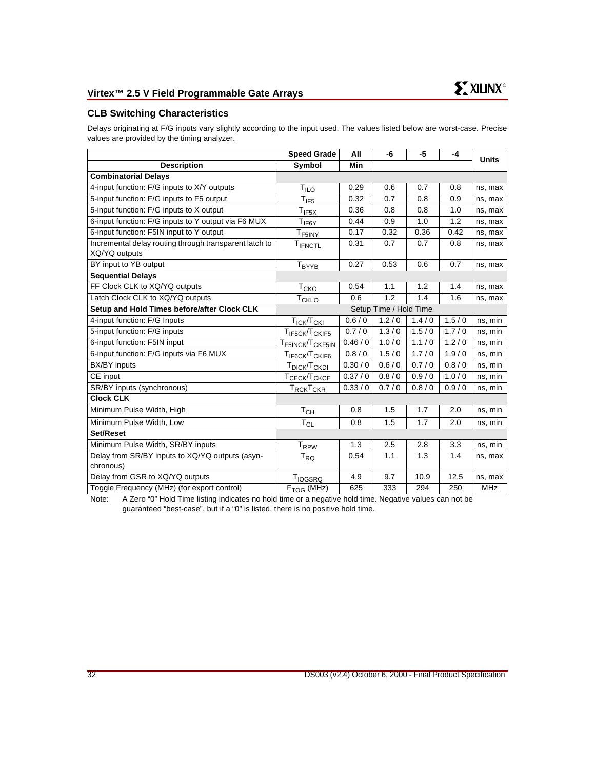### **CLB Switching Characteristics**

Delays originating at F/G inputs vary slightly according to the input used. The values listed below are worst-case. Precise values are provided by the timing analyzer.

|                                                                         | <b>Speed Grade</b>                                              | All      | -6                     | -5    | -4    | <b>Units</b> |
|-------------------------------------------------------------------------|-----------------------------------------------------------------|----------|------------------------|-------|-------|--------------|
| <b>Description</b>                                                      | <b>Symbol</b>                                                   | Min      |                        |       |       |              |
| <b>Combinatorial Delays</b>                                             |                                                                 |          |                        |       |       |              |
| 4-input function: F/G inputs to X/Y outputs                             | $T_{ILO}$                                                       | 0.29     | 0.6                    | 0.7   | 0.8   | ns, max      |
| 5-input function: F/G inputs to F5 output                               | $T_{IF5}$                                                       | 0.32     | 0.7                    | 0.8   | 0.9   | ns, max      |
| 5-input function: F/G inputs to X output                                | $T_{IF5X}$                                                      | 0.36     | 0.8                    | 0.8   | 1.0   | ns, max      |
| 6-input function: F/G inputs to Y output via F6 MUX                     | $T_{IF6Y}$                                                      | 0.44     | 0.9                    | 1.0   | 1.2   | ns, max      |
| 6-input function: F5IN input to Y output                                | T <sub>F5INY</sub>                                              | 0.17     | 0.32                   | 0.36  | 0.42  | ns, max      |
| Incremental delay routing through transparent latch to<br>XQ/YQ outputs | TIFNCTL                                                         | 0.31     | 0.7                    | 0.7   | 0.8   | ns, max      |
| BY input to YB output                                                   | T <sub>BYYB</sub>                                               | 0.27     | 0.53                   | 0.6   | 0.7   | ns, max      |
| <b>Sequential Delays</b>                                                |                                                                 |          |                        |       |       |              |
| FF Clock CLK to XQ/YQ outputs                                           | $T_{CKO}$                                                       | 0.54     | 1.1                    | 1.2   | 1.4   | ns, max      |
| Latch Clock CLK to XQ/YQ outputs                                        | <b>T<sub>CKLO</sub></b>                                         | 0.6      | 1.2                    | 1.4   | 1.6   | ns, max      |
| Setup and Hold Times before/after Clock CLK                             |                                                                 |          | Setup Time / Hold Time |       |       |              |
| 4-input function: F/G Inputs                                            | T <sub>ICK</sub> /T <sub>CKI</sub>                              | 0.6/0    | 1.2/0                  | 1.4/0 | 1.5/0 | ns, min      |
| 5-input function: F/G inputs                                            | TIF5CK/TCKIF5                                                   | 0.7/0    | 1.3/0                  | 1.5/0 | 1.7/0 | ns, min      |
| 6-input function: F5IN input                                            | $\mathsf{T}_{\mathsf{F5INCK}}$ / $\mathsf{T}_{\mathsf{CKF5IN}}$ | 0.46/0   | 1.0/0                  | 1.1/0 | 1.2/0 | ns, min      |
| 6-input function: F/G inputs via F6 MUX                                 | T <sub>IF6CK</sub> /T <sub>CKIF6</sub>                          | 0.8/0    | 1.5/0                  | 1.7/0 | 1.9/0 | ns, min      |
| BX/BY inputs                                                            | T <sub>DICK</sub> /T <sub>CKDI</sub>                            | 0.30 / 0 | 0.6/0                  | 0.7/0 | 0.8/0 | ns, min      |
| CE input                                                                | T <sub>CECK</sub> /T <sub>CKCE</sub>                            | 0.37/0   | 0.8/0                  | 0.9/0 | 1.0/0 | ns, min      |
| SR/BY inputs (synchronous)                                              | Т $_{\rm RCK}$ Т $_{\rm CKR}$                                   | 0.33/0   | 0.7/0                  | 0.8/0 | 0.9/0 | ns, min      |
| <b>Clock CLK</b>                                                        |                                                                 |          |                        |       |       |              |
| Minimum Pulse Width, High                                               | $T_{CH}$                                                        | 0.8      | 1.5                    | 1.7   | 2.0   | ns, min      |
| Minimum Pulse Width, Low                                                | $\mathsf{T}_{\mathsf{CL}}$                                      | 0.8      | 1.5                    | 1.7   | 2.0   | ns, min      |
| Set/Reset                                                               |                                                                 |          |                        |       |       |              |
| Minimum Pulse Width, SR/BY inputs                                       | T <sub>RPW</sub>                                                | 1.3      | 2.5                    | 2.8   | 3.3   | ns, min      |
| Delay from SR/BY inputs to XQ/YQ outputs (asyn-                         | $T_{RQ}$                                                        | 0.54     | 1.1                    | 1.3   | 1.4   | ns, max      |
| chronous)                                                               |                                                                 |          |                        |       |       |              |
| Delay from GSR to XQ/YQ outputs                                         | <b>TIOGSRQ</b>                                                  | 4.9      | 9.7                    | 10.9  | 12.5  | ns, max      |
| Toggle Frequency (MHz) (for export control)                             | $F_{TOG}$ (MHz)                                                 | 625      | 333                    | 294   | 250   | MHz          |

Note: A Zero "0" Hold Time listing indicates no hold time or a negative hold time. Negative values can not be guaranteed "best-case", but if a "0" is listed, there is no positive hold time.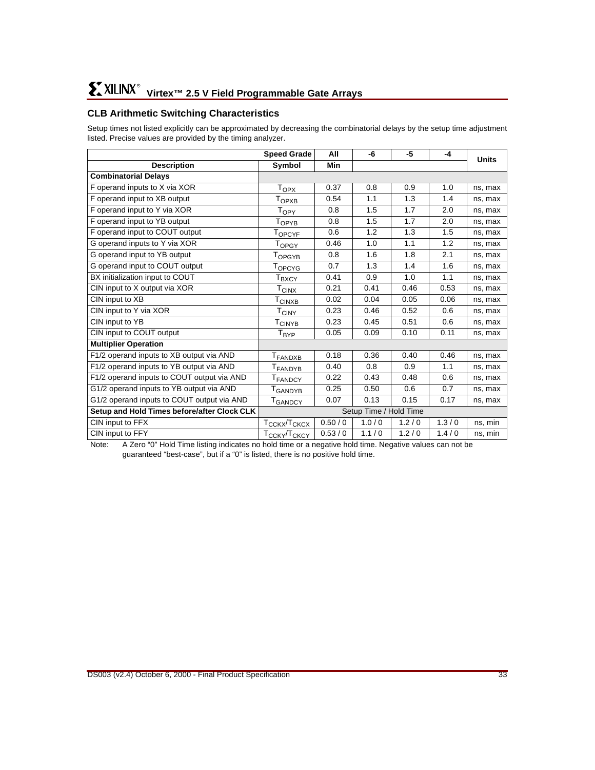## **CLB Arithmetic Switching Characteristics**

Setup times not listed explicitly can be approximated by decreasing the combinatorial delays by the setup time adjustment listed. Precise values are provided by the timing analyzer.

|                                             | <b>Speed Grade</b>                   | All    | -6                     | -5    | -4    | <b>Units</b> |
|---------------------------------------------|--------------------------------------|--------|------------------------|-------|-------|--------------|
| <b>Description</b>                          | Symbol                               | Min    |                        |       |       |              |
| <b>Combinatorial Delays</b>                 |                                      |        |                        |       |       |              |
| F operand inputs to X via XOR               | $T_{OPX}$                            | 0.37   | 0.8                    | 0.9   | 1.0   | ns, max      |
| F operand input to XB output                | T <sub>OPXB</sub>                    | 0.54   | 1.1                    | 1.3   | 1.4   | ns, max      |
| F operand input to Y via XOR                | $T_{OPY}$                            | 0.8    | 1.5                    | 1.7   | 2.0   | ns, max      |
| F operand input to YB output                | T <sub>OPYB</sub>                    | 0.8    | 1.5                    | 1.7   | 2.0   | ns, max      |
| F operand input to COUT output              | $\mathsf{T}_{\mathsf{OPCYF}}$        | 0.6    | 1.2                    | 1.3   | 1.5   | ns, max      |
| G operand inputs to Y via XOR               | T <sub>OPGY</sub>                    | 0.46   | 1.0                    | 1.1   | 1.2   | ns, max      |
| G operand input to YB output                | Горсүв                               | 0.8    | 1.6                    | 1.8   | 2.1   | ns, max      |
| G operand input to COUT output              | T <sub>OPCYG</sub>                   | 0.7    | 1.3                    | 1.4   | 1.6   | ns, max      |
| BX initialization input to COUT             | T <sub>BXCY</sub>                    | 0.41   | 0.9                    | 1.0   | 1.1   | ns, max      |
| CIN input to X output via XOR               | $T_{\text{CI$                        | 0.21   | 0.41                   | 0.46  | 0.53  | ns, max      |
| CIN input to XB                             | T <sub>CINXB</sub>                   | 0.02   | 0.04                   | 0.05  | 0.06  | ns, max      |
| CIN input to Y via XOR                      | $T_{CINY}$                           | 0.23   | 0.46                   | 0.52  | 0.6   | ns, max      |
| CIN input to YB                             | T <sub>CINYB</sub>                   | 0.23   | 0.45                   | 0.51  | 0.6   | ns, max      |
| CIN input to COUT output                    | T <sub>BYP</sub>                     | 0.05   | 0.09                   | 0.10  | 0.11  | ns, max      |
| <b>Multiplier Operation</b>                 |                                      |        |                        |       |       |              |
| F1/2 operand inputs to XB output via AND    | T <sub>FANDXB</sub>                  | 0.18   | 0.36                   | 0.40  | 0.46  | ns, max      |
| F1/2 operand inputs to YB output via AND    | <b>T</b> FANDYB                      | 0.40   | 0.8                    | 0.9   | 1.1   | ns, max      |
| F1/2 operand inputs to COUT output via AND  | T <sub>FANDCY</sub>                  | 0.22   | 0.43                   | 0.48  | 0.6   | ns, max      |
| G1/2 operand inputs to YB output via AND    | I GANDYB                             | 0.25   | 0.50                   | 0.6   | 0.7   | ns, max      |
| G1/2 operand inputs to COUT output via AND  | T <sub>GANDCY</sub>                  | 0.07   | 0.13                   | 0.15  | 0.17  | ns, max      |
| Setup and Hold Times before/after Clock CLK |                                      |        | Setup Time / Hold Time |       |       |              |
| CIN input to FFX                            | T <sub>CCKX</sub> /T <sub>CKCX</sub> | 0.50/0 | 1.0/0                  | 1.2/0 | 1.3/0 | ns, min      |
| CIN input to FFY                            | T <sub>CCKY</sub> /T <sub>CKCY</sub> | 0.53/0 | 1.1/0                  | 1.2/0 | 1.4/0 | ns, min      |

Note: A Zero "0" Hold Time listing indicates no hold time or a negative hold time. Negative values can not be guaranteed "best-case", but if a "0" is listed, there is no positive hold time.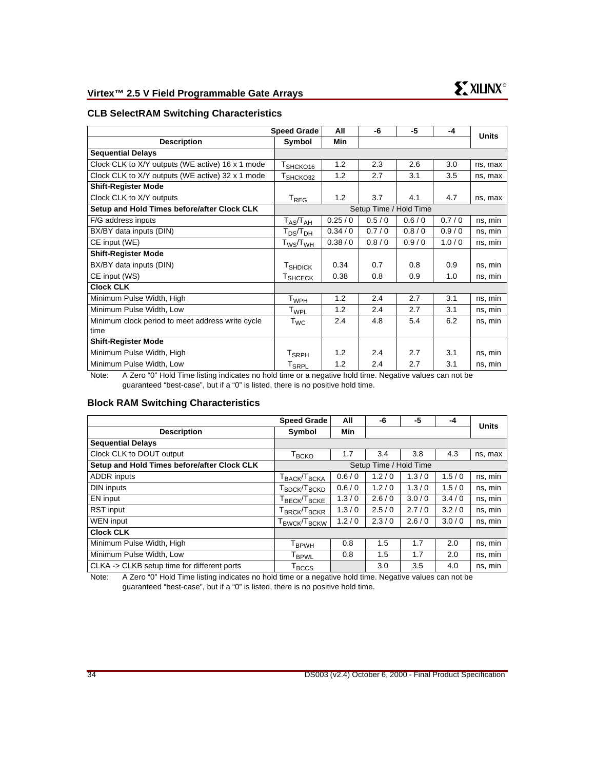## **CLB SelectRAM Switching Characteristics**

|                                                  | <b>Speed Grade</b>            | All    | -6    | $-5$                   | $-4$  | <b>Units</b> |
|--------------------------------------------------|-------------------------------|--------|-------|------------------------|-------|--------------|
| <b>Description</b>                               | Symbol                        | Min    |       |                        |       |              |
| <b>Sequential Delays</b>                         |                               |        |       |                        |       |              |
| Clock CLK to X/Y outputs (WE active) 16 x 1 mode | T <sub>SHCKO16</sub>          | 1.2    | 2.3   | 2.6                    | 3.0   | ns, max      |
| Clock CLK to X/Y outputs (WE active) 32 x 1 mode | T <sub>SHCKO32</sub>          | 1.2    | 2.7   | 3.1                    | 3.5   | ns, max      |
| <b>Shift-Register Mode</b>                       |                               |        |       |                        |       |              |
| Clock CLK to X/Y outputs                         | $T_{\sf REG}$                 | 1.2    | 3.7   | 4.1                    | 4.7   | ns, max      |
| Setup and Hold Times before/after Clock CLK      |                               |        |       | Setup Time / Hold Time |       |              |
| F/G address inputs                               | $T_{AS}/T_{AH}$               | 0.25/0 | 0.5/0 | 0.6/0                  | 0.7/0 | ns, min      |
| BX/BY data inputs (DIN)                          | ${\rm T_{DS}}\!/{\rm T_{DH}}$ | 0.34/0 | 0.7/0 | 0.8/0                  | 0.9/0 | ns, min      |
| CE input (WE)                                    | $\rm{T_{WS}/T_{WH}}$          | 0.38/0 | 0.8/0 | 0.9/0                  | 1.0/0 | ns, min      |
| <b>Shift-Register Mode</b>                       |                               |        |       |                        |       |              |
| BX/BY data inputs (DIN)                          | T <sub>SHDICK</sub>           | 0.34   | 0.7   | 0.8                    | 0.9   | ns, min      |
| CE input (WS)                                    | T <sub>SHCECK</sub>           | 0.38   | 0.8   | 0.9                    | 1.0   | ns, min      |
| <b>Clock CLK</b>                                 |                               |        |       |                        |       |              |
| Minimum Pulse Width, High                        | $T_{WPH}$                     | 1.2    | 2.4   | 2.7                    | 3.1   | ns, min      |
| Minimum Pulse Width, Low                         | T <sub>WPL</sub>              | 1.2    | 2.4   | 2.7                    | 3.1   | ns, min      |
| Minimum clock period to meet address write cycle | $\tau_\text{WC}$              | 2.4    | 4.8   | 5.4                    | 6.2   | ns. min      |
| time                                             |                               |        |       |                        |       |              |
| <b>Shift-Register Mode</b>                       |                               |        |       |                        |       |              |
| Minimum Pulse Width, High                        | T <sub>SRPH</sub>             | 1.2    | 2.4   | 2.7                    | 3.1   | ns, min      |
| Minimum Pulse Width, Low                         | T <sub>SRPL</sub>             | 1.2    | 2.4   | 2.7                    | 3.1   | ns, min      |

Note: A Zero "0" Hold Time listing indicates no hold time or a negative hold time. Negative values can not be guaranteed "best-case", but if a "0" is listed, there is no positive hold time.

#### **Block RAM Switching Characteristics**

| <b>Speed Grade</b>                                            | All        | -6    | -5    | -4                     | <b>Units</b> |
|---------------------------------------------------------------|------------|-------|-------|------------------------|--------------|
| Symbol                                                        | <b>Min</b> |       |       |                        |              |
|                                                               |            |       |       |                        |              |
| Т <sub>вско</sub>                                             | 1.7        | 3.4   | 3.8   | 4.3                    | ns, max      |
|                                                               |            |       |       |                        |              |
| $\mathsf{T}_{\mathsf{BACK}}\!/\!\mathsf{T}_{\mathsf{BCKA}}$   | 0.6/0      | 1.2/0 | 1.3/0 | 1.5/0                  | ns, min      |
| Г <sub>врск</sub> /Т <sub>вскр</sub>                          | 0.6/0      | 1.2/0 | 1.3/0 | 1.5/0                  | ns, min      |
| ${\mathsf T}_{\mathsf{BECK}}$ / ${\mathsf T}_{\mathsf{BCKE}}$ | 1.3/0      | 2.6/0 | 3.0/0 | 3.4/0                  | ns, min      |
| Г <sub>ВRСК</sub> /Т <sub>ВСКR</sub>                          | 1.3/0      | 2.5/0 | 2.7/0 | 3.2/0                  | ns, min      |
| $\mathsf{T}_{\mathsf{BWCK}}$ / $\mathsf{T}_{\mathsf{BCKW}}$   | 1.2/0      | 2.3/0 | 2.6/0 | 3.0/0                  | ns, min      |
|                                                               |            |       |       |                        |              |
| $\mathsf{T}_{\mathsf{B} \mathsf{P} \mathsf{W} \mathsf{H}}$    | 0.8        | 1.5   | 1.7   | 2.0                    | ns, min      |
| <b>T</b> <sub>BPWL</sub>                                      | 0.8        | 1.5   | 1.7   | 2.0                    | ns, min      |
| T <sub>BCCS</sub>                                             |            | 3.0   | 3.5   | 4.0                    | ns, min      |
|                                                               |            |       |       | Setup Time / Hold Time |              |

Note: A Zero "0" Hold Time listing indicates no hold time or a negative hold time. Negative values can not be guaranteed "best-case", but if a "0" is listed, there is no positive hold time.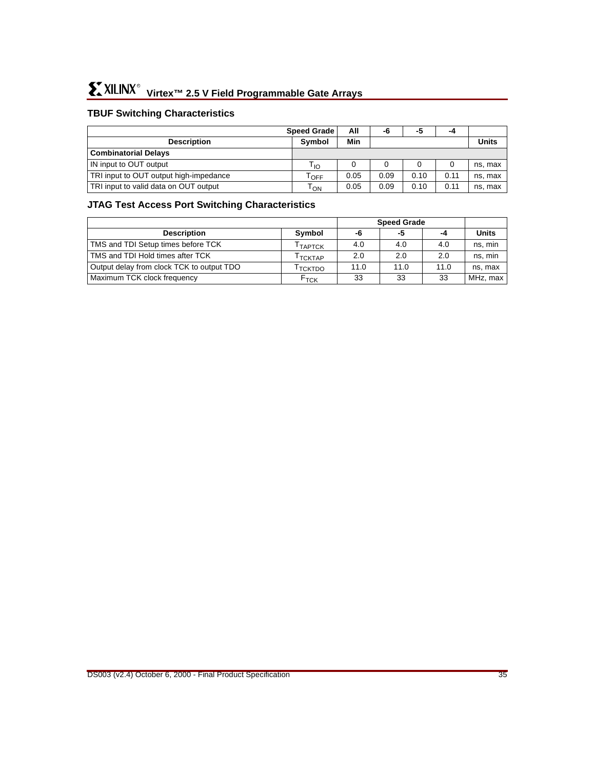## **TBUF Switching Characteristics**

|                                        | <b>Speed Grade</b> | All  | -6   | -5   | -4           |         |
|----------------------------------------|--------------------|------|------|------|--------------|---------|
| <b>Description</b>                     | <b>Symbol</b>      | Min  |      |      | <b>Units</b> |         |
| <b>Combinatorial Delays</b>            |                    |      |      |      |              |         |
| IN input to OUT output                 | Γιο                |      |      |      |              | ns, max |
| TRI input to OUT output high-impedance | OFF                | 0.05 | 0.09 | 0.10 | 0.11         | ns, max |
| TRI input to valid data on OUT output  | Том                | 0.05 | 0.09 | 0.10 | 0.11         | ns, max |

## **JTAG Test Access Port Switching Characteristics**

|                                           |                     | <b>Speed Grade</b> |      |      |              |
|-------------------------------------------|---------------------|--------------------|------|------|--------------|
| <b>Description</b>                        | Symbol              | -6                 | -5   | -4   | <b>Units</b> |
| TMS and TDI Setup times before TCK        | <sup>I</sup> TAPTCK | 4.0                | 4.0  | 4.0  | ns, min      |
| TMS and TDI Hold times after TCK          | I тсктар            | 2.0                | 2.0  | 2.0  | ns, min      |
| Output delay from clock TCK to output TDO | <b>TCKTDO</b>       | 11.0               | 11.0 | 11.0 | ns. max      |
| Maximum TCK clock frequency               | $F_{TCK}$           | 33                 | 33   | 33   | MHz, max     |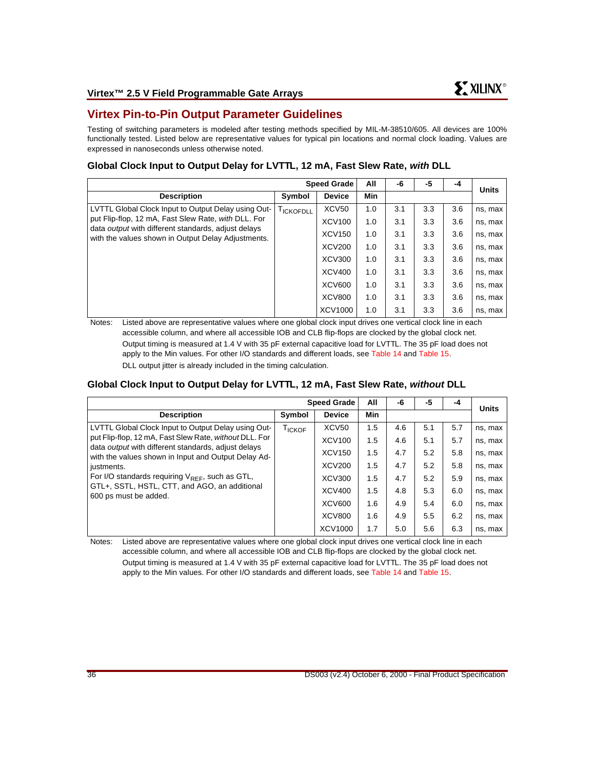## **Virtex Pin-to-Pin Output Parameter Guidelines**

Testing of switching parameters is modeled after testing methods specified by MIL-M-38510/605. All devices are 100% functionally tested. Listed below are representative values for typical pin locations and normal clock loading. Values are expressed in nanoseconds unless otherwise noted.

## **Global Clock Input to Output Delay for LVTTL, 12 mA, Fast Slew Rate, with DLL**

| <b>Speed Grade</b>                                                                                                                                                                                                             |           |               | All        | -6  | -5  | -4  | <b>Units</b> |
|--------------------------------------------------------------------------------------------------------------------------------------------------------------------------------------------------------------------------------|-----------|---------------|------------|-----|-----|-----|--------------|
| <b>Description</b>                                                                                                                                                                                                             | Symbol    | <b>Device</b> | <b>Min</b> |     |     |     |              |
| LVTTL Global Clock Input to Output Delay using Out-<br>put Flip-flop, 12 mA, Fast Slew Rate, with DLL. For<br>data <i>output</i> with different standards, adjust delays<br>with the values shown in Output Delay Adjustments. | TICKOFDLL | XCV50         | 1.0        | 3.1 | 3.3 | 3.6 | ns, max      |
|                                                                                                                                                                                                                                |           | <b>XCV100</b> | 1.0        | 3.1 | 3.3 | 3.6 | ns, max      |
|                                                                                                                                                                                                                                |           | XCV150        | 1.0        | 3.1 | 3.3 | 3.6 | ns, max      |
|                                                                                                                                                                                                                                |           | <b>XCV200</b> | 1.0        | 3.1 | 3.3 | 3.6 | ns, max      |
|                                                                                                                                                                                                                                |           | <b>XCV300</b> | 1.0        | 3.1 | 3.3 | 3.6 | ns, max      |
|                                                                                                                                                                                                                                |           | XCV400        | 1.0        | 3.1 | 3.3 | 3.6 | ns, max      |
|                                                                                                                                                                                                                                |           | <b>XCV600</b> | 1.0        | 3.1 | 3.3 | 3.6 | ns, max      |
|                                                                                                                                                                                                                                |           | <b>XCV800</b> | 1.0        | 3.1 | 3.3 | 3.6 | ns, max      |
|                                                                                                                                                                                                                                |           | XCV1000       | 1.0        | 3.1 | 3.3 | 3.6 | ns, max      |

Notes: Listed above are representative values where one global clock input drives one vertical clock line in each accessible column, and where all accessible IOB and CLB flip-flops are clocked by the global clock net. Output timing is measured at 1.4 V with 35 pF external capacitive load for LVTTL. The 35 pF load does not apply to the Min values. For other I/O standards and different loads, see [Table 14](#page-29-1) and [Table 15](#page-29-0). DLL output jitter is already included in the timing calculation.

## **Global Clock Input to Output Delay for LVTTL, 12 mA, Fast Slew Rate, without DLL**

|                                                                                                                                                                                                                                                                                                                                                                                    | <b>Speed Grade</b> |                   |            | -6  | -5  | -4  | <b>Units</b> |
|------------------------------------------------------------------------------------------------------------------------------------------------------------------------------------------------------------------------------------------------------------------------------------------------------------------------------------------------------------------------------------|--------------------|-------------------|------------|-----|-----|-----|--------------|
| <b>Description</b>                                                                                                                                                                                                                                                                                                                                                                 | Symbol             | <b>Device</b>     | <b>Min</b> |     |     |     |              |
| LVTTL Global Clock Input to Output Delay using Out-<br>put Flip-flop, 12 mA, Fast Slew Rate, without DLL. For<br>data <i>output</i> with different standards, adjust delays<br>with the values shown in Input and Output Delay Ad-<br>justments.<br>For I/O standards requiring $V_{REF}$ , such as GTL,<br>GTL+, SSTL, HSTL, CTT, and AGO, an additional<br>600 ps must be added. | T <sub>ICKOF</sub> | XCV <sub>50</sub> | 1.5        | 4.6 | 5.1 | 5.7 | ns, max      |
|                                                                                                                                                                                                                                                                                                                                                                                    |                    | <b>XCV100</b>     | 1.5        | 4.6 | 5.1 | 5.7 | ns, max      |
|                                                                                                                                                                                                                                                                                                                                                                                    |                    | <b>XCV150</b>     | 1.5        | 4.7 | 5.2 | 5.8 | ns, max      |
|                                                                                                                                                                                                                                                                                                                                                                                    |                    | <b>XCV200</b>     | 1.5        | 4.7 | 5.2 | 5.8 | ns, max      |
|                                                                                                                                                                                                                                                                                                                                                                                    |                    | XCV300            | 1.5        | 4.7 | 5.2 | 5.9 | ns, max      |
|                                                                                                                                                                                                                                                                                                                                                                                    |                    | <b>XCV400</b>     | 1.5        | 4.8 | 5.3 | 6.0 | ns, max      |
|                                                                                                                                                                                                                                                                                                                                                                                    |                    | <b>XCV600</b>     | 1.6        | 4.9 | 5.4 | 6.0 | ns, max      |
|                                                                                                                                                                                                                                                                                                                                                                                    |                    | <b>XCV800</b>     | 1.6        | 4.9 | 5.5 | 6.2 | ns, max      |
|                                                                                                                                                                                                                                                                                                                                                                                    |                    | <b>XCV1000</b>    | 1.7        | 5.0 | 5.6 | 6.3 | ns, max      |

Notes: Listed above are representative values where one global clock input drives one vertical clock line in each accessible column, and where all accessible IOB and CLB flip-flops are clocked by the global clock net. Output timing is measured at 1.4 V with 35 pF external capacitive load for LVTTL. The 35 pF load does not

apply to the Min values. For other I/O standards and different loads, see [Table 14](#page-29-1) and [Table 15](#page-29-0).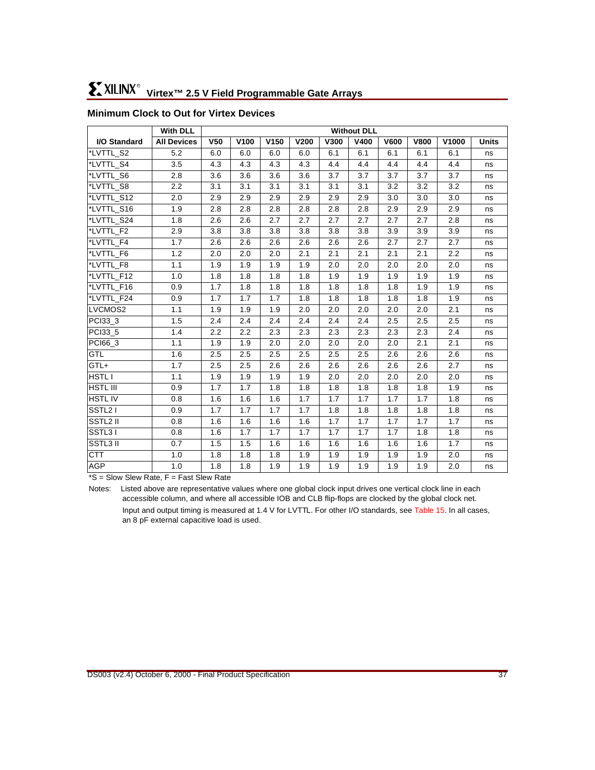|                                                             | With DLL                                                |                 | <b>Without DLL</b> |                  |             |      |             |             |             |       |              |
|-------------------------------------------------------------|---------------------------------------------------------|-----------------|--------------------|------------------|-------------|------|-------------|-------------|-------------|-------|--------------|
| I/O Standard                                                | <b>All Devices</b>                                      | V <sub>50</sub> | V100               | V <sub>150</sub> | <b>V200</b> | V300 | <b>V400</b> | <b>V600</b> | <b>V800</b> | V1000 | <b>Units</b> |
| *LVTTL_S2                                                   | 5.2                                                     | 6.0             | 6.0                | 6.0              | 6.0         | 6.1  | 6.1         | 6.1         | 6.1         | 6.1   | ns           |
| *LVTTL S4                                                   | 3.5                                                     | 4.3             | 4.3                | 4.3              | 4.3         | 4.4  | 4.4         | 4.4         | 4.4         | 4.4   | ns           |
| *LVTTL_S6                                                   | 2.8                                                     | 3.6             | 3.6                | 3.6              | 3.6         | 3.7  | 3.7         | 3.7         | 3.7         | 3.7   | ns           |
| *LVTTL_S8                                                   | 2.2                                                     | 3.1             | 3.1                | 3.1              | 3.1         | 3.1  | 3.1         | 3.2         | 3.2         | 3.2   | ns           |
| *LVTTL_S12                                                  | 2.0                                                     | 2.9             | 2.9                | 2.9              | 2.9         | 2.9  | 2.9         | 3.0         | 3.0         | 3.0   | ns           |
| *LVTTL_S16                                                  | 1.9                                                     | 2.8             | 2.8                | 2.8              | 2.8         | 2.8  | 2.8         | 2.9         | 2.9         | 2.9   | ns           |
| *LVTTL_S24                                                  | 1.8                                                     | 2.6             | 2.6                | 2.7              | 2.7         | 2.7  | 2.7         | 2.7         | 2.7         | 2.8   | ns           |
| *LVTTL_F2                                                   | 2.9                                                     | 3.8             | 3.8                | 3.8              | 3.8         | 3.8  | 3.8         | 3.9         | 3.9         | 3.9   | ns           |
| *LVTTL F4                                                   | 1.7                                                     | 2.6             | 2.6                | 2.6              | 2.6         | 2.6  | 2.6         | 2.7         | 2.7         | 2.7   | ns           |
| *LVTTL_F6                                                   | $1.2$                                                   | 2.0             | 2.0                | 2.0              | 2.1         | 2.1  | 2.1         | 2.1         | 2.1         | 2.2   | ns           |
| *LVTTL_F8                                                   | 1.1                                                     | 1.9             | 1.9                | 1.9              | 1.9         | 2.0  | 2.0         | 2.0         | 2.0         | 2.0   | ns           |
| *LVTTL_F12                                                  | 1.0                                                     | 1.8             | 1.8                | 1.8              | 1.8         | 1.9  | 1.9         | 1.9         | 1.9         | 1.9   | ns           |
| *LVTTL_F16                                                  | 0.9                                                     | 1.7             | 1.8                | 1.8              | 1.8         | 1.8  | 1.8         | 1.8         | 1.9         | 1.9   | ns           |
| *LVTTL_F24                                                  | 0.9                                                     | 1.7             | 1.7                | 1.7              | 1.8         | 1.8  | 1.8         | 1.8         | 1.8         | 1.9   | ns           |
| LVCMOS2                                                     | 1.1                                                     | 1.9             | 1.9                | 1.9              | 2.0         | 2.0  | 2.0         | 2.0         | 2.0         | 2.1   | ns           |
| PCI33 3                                                     | 1.5                                                     | 2.4             | 2.4                | 2.4              | 2.4         | 2.4  | 2.4         | 2.5         | 2.5         | 2.5   | ns           |
| PCI33_5                                                     | 1.4                                                     | 2.2             | 2.2                | 2.3              | 2.3         | 2.3  | 2.3         | 2.3         | 2.3         | 2.4   | ns           |
| PCI66_3                                                     | 1.1                                                     | 1.9             | 1.9                | 2.0              | 2.0         | 2.0  | 2.0         | 2.0         | 2.1         | 2.1   | ns           |
| <b>GTL</b>                                                  | 1.6                                                     | 2.5             | 2.5                | 2.5              | 2.5         | 2.5  | 2.5         | 2.6         | 2.6         | 2.6   | ns           |
| GTL+                                                        | 1.7                                                     | 2.5             | 2.5                | 2.6              | 2.6         | 2.6  | 2.6         | 2.6         | 2.6         | 2.7   | ns           |
| HSTL I                                                      | 1.1                                                     | 1.9             | 1.9                | 1.9              | 1.9         | 2.0  | 2.0         | 2.0         | 2.0         | 2.0   | ns           |
| <b>HSTL III</b>                                             | 0.9                                                     | 1.7             | 1.7                | 1.8              | 1.8         | 1.8  | 1.8         | 1.8         | 1.8         | 1.9   | ns           |
| <b>HSTLIV</b>                                               | 0.8                                                     | 1.6             | 1.6                | 1.6              | 1.7         | 1.7  | 1.7         | 1.7         | 1.7         | 1.8   | ns           |
| SSTL21                                                      | 0.9                                                     | 1.7             | 1.7                | 1.7              | 1.7         | 1.8  | 1.8         | 1.8         | 1.8         | 1.8   | ns           |
| SSTL2 II                                                    | 0.8                                                     | 1.6             | 1.6                | 1.6              | 1.6         | 1.7  | 1.7         | 1.7         | 1.7         | 1.7   | ns           |
| SSTL31                                                      | 0.8                                                     | 1.6             | 1.7                | 1.7              | 1.7         | 1.7  | 1.7         | 1.7         | 1.8         | 1.8   | ns           |
| SSTL3 II                                                    | 0.7                                                     | 1.5             | 1.5                | 1.6              | 1.6         | 1.6  | 1.6         | 1.6         | 1.6         | 1.7   | ns           |
| <b>CTT</b>                                                  | 1.0                                                     | 1.8             | 1.8                | 1.8              | 1.9         | 1.9  | 1.9         | 1.9         | 1.9         | 2.0   | ns           |
| <b>AGP</b><br>$+0.01$<br>$\sim$<br>$\overline{\phantom{0}}$ | 1.0<br>$\Gamma$ . $\Gamma$ . $\Omega$<br>$\overline{ }$ | 1.8<br>$\sim$   | 1.8                | 1.9              | 1.9         | 1.9  | 1.9         | 1.9         | 1.9         | 2.0   | ns           |

# <span id="page-36-0"></span>**Minimum Clock to Out for Virtex Devices**

\*S = Slow Slew Rate, F = Fast Slew Rate

Notes: Listed above are representative values where one global clock input drives one vertical clock line in each accessible column, and where all accessible IOB and CLB flip-flops are clocked by the global clock net. Input and output timing is measured at 1.4 V for LVTTL. For other I/O standards, see [Table 15.](#page-29-0) In all cases,

an 8 pF external capacitive load is used.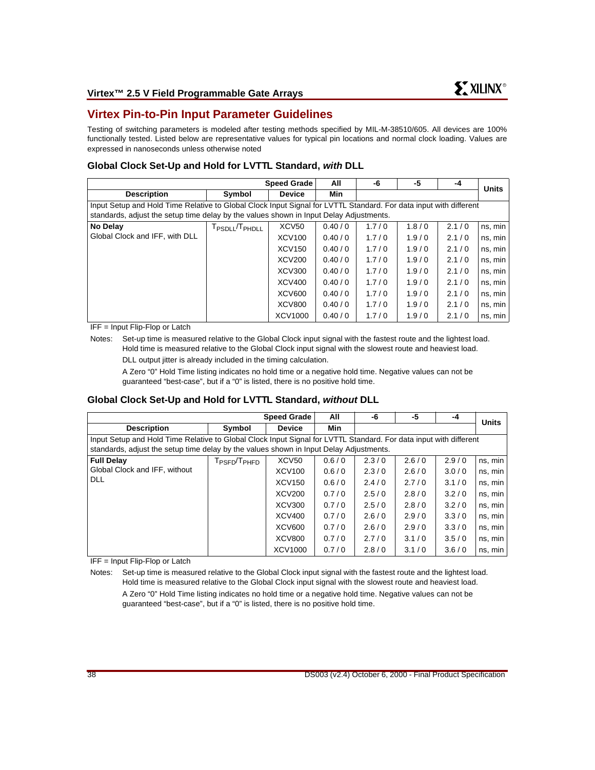# **Virtex Pin-to-Pin Input Parameter Guidelines**

Testing of switching parameters is modeled after testing methods specified by MIL-M-38510/605. All devices are 100% functionally tested. Listed below are representative values for typical pin locations and normal clock loading. Values are expressed in nanoseconds unless otherwise noted

#### **Global Clock Set-Up and Hold for LVTTL Standard, with DLL**

|                                                                                                                                                                                                             |                                        | <b>Speed Grade</b> | All    | -6    | -5    | -4    | <b>Units</b> |  |
|-------------------------------------------------------------------------------------------------------------------------------------------------------------------------------------------------------------|----------------------------------------|--------------------|--------|-------|-------|-------|--------------|--|
| <b>Description</b>                                                                                                                                                                                          | Symbol                                 | <b>Device</b>      | Min    |       |       |       |              |  |
| Input Setup and Hold Time Relative to Global Clock Input Signal for LVTTL Standard. For data input with different<br>standards, adjust the setup time delay by the values shown in Input Delay Adjustments. |                                        |                    |        |       |       |       |              |  |
| No Delay                                                                                                                                                                                                    | T <sub>PSDLL</sub> /T <sub>PHDLL</sub> | XCV <sub>50</sub>  | 0.40/0 | 1.7/0 | 1.8/0 | 2.1/0 | ns, min      |  |
| Global Clock and IFF, with DLL                                                                                                                                                                              |                                        | <b>XCV100</b>      | 0.40/0 | 1.7/0 | 1.9/0 | 2.1/0 | ns, min      |  |
|                                                                                                                                                                                                             |                                        | <b>XCV150</b>      | 0.40/0 | 1.7/0 | 1.9/0 | 2.1/0 | ns, min      |  |
|                                                                                                                                                                                                             |                                        | <b>XCV200</b>      | 0.40/0 | 1.7/0 | 1.9/0 | 2.1/0 | ns, min      |  |
|                                                                                                                                                                                                             |                                        | XCV300             | 0.40/0 | 1.7/0 | 1.9/0 | 2.1/0 | ns, min      |  |
|                                                                                                                                                                                                             |                                        | XCV400             | 0.40/0 | 1.7/0 | 1.9/0 | 2.1/0 | ns, min      |  |
|                                                                                                                                                                                                             |                                        | <b>XCV600</b>      | 0.40/0 | 1.7/0 | 1.9/0 | 2.1/0 | ns, min      |  |
|                                                                                                                                                                                                             |                                        | <b>XCV800</b>      | 0.40/0 | 1.7/0 | 1.9/0 | 2.1/0 | ns, min      |  |
|                                                                                                                                                                                                             |                                        | XCV1000            | 0.40/0 | 1.7/0 | 1.9/0 | 2.1/0 | ns, min      |  |

IFF = Input Flip-Flop or Latch

Notes: Set-up time is measured relative to the Global Clock input signal with the fastest route and the lightest load. Hold time is measured relative to the Global Clock input signal with the slowest route and heaviest load.

DLL output jitter is already included in the timing calculation.

A Zero "0" Hold Time listing indicates no hold time or a negative hold time. Negative values can not be guaranteed "best-case", but if a "0" is listed, there is no positive hold time.

#### **Global Clock Set-Up and Hold for LVTTL Standard, without DLL**

|                                                                                                                                                                                                             |                                      | <b>Speed Grade</b>             | All            | -6             | -5             | -4             | <b>Units</b>       |  |
|-------------------------------------------------------------------------------------------------------------------------------------------------------------------------------------------------------------|--------------------------------------|--------------------------------|----------------|----------------|----------------|----------------|--------------------|--|
| <b>Description</b>                                                                                                                                                                                          | Symbol                               | <b>Device</b>                  | Min            |                |                |                |                    |  |
| Input Setup and Hold Time Relative to Global Clock Input Signal for LVTTL Standard. For data input with different<br>standards, adjust the setup time delay by the values shown in Input Delay Adjustments. |                                      |                                |                |                |                |                |                    |  |
| <b>Full Delay</b>                                                                                                                                                                                           | T <sub>PSFD</sub> /T <sub>PHFD</sub> | XCV <sub>50</sub>              | 0.6/0          | 2.3/0          | 2.6/0          | 2.9/0          | ns, min            |  |
| Global Clock and IFF, without<br>DLL                                                                                                                                                                        |                                      | <b>XCV100</b><br><b>XCV150</b> | 0.6/0<br>0.6/0 | 2.3/0<br>2.4/0 | 2.6/0<br>2.7/0 | 3.0/0<br>3.1/0 | ns, min<br>ns, min |  |
|                                                                                                                                                                                                             |                                      | <b>XCV200</b>                  | 0.7/0          | 2.5/0          | 2.8/0          | 3.2/0          | ns, min            |  |
|                                                                                                                                                                                                             |                                      | <b>XCV300</b>                  | 0.7/0          | 2.5/0          | 2.8/0          | 3.2/0          | ns, min            |  |
|                                                                                                                                                                                                             |                                      | XCV400                         | 0.7/0          | 2.6/0          | 2.9/0          | 3.3/0          | ns, min            |  |
|                                                                                                                                                                                                             |                                      | <b>XCV600</b>                  | 0.7/0          | 2.6/0          | 2.9/0          | 3.3/0          | ns, min            |  |
|                                                                                                                                                                                                             |                                      | <b>XCV800</b>                  | 0.7/0          | 2.7/0          | 3.1/0          | 3.5/0          | ns, min            |  |
|                                                                                                                                                                                                             |                                      | XCV1000                        | 0.7/0          | 2.8/0          | 3.1/0          | 3.6/0          | ns, min            |  |

IFF = Input Flip-Flop or Latch

Notes: Set-up time is measured relative to the Global Clock input signal with the fastest route and the lightest load. Hold time is measured relative to the Global Clock input signal with the slowest route and heaviest load.

A Zero "0" Hold Time listing indicates no hold time or a negative hold time. Negative values can not be guaranteed "best-case", but if a "0" is listed, there is no positive hold time.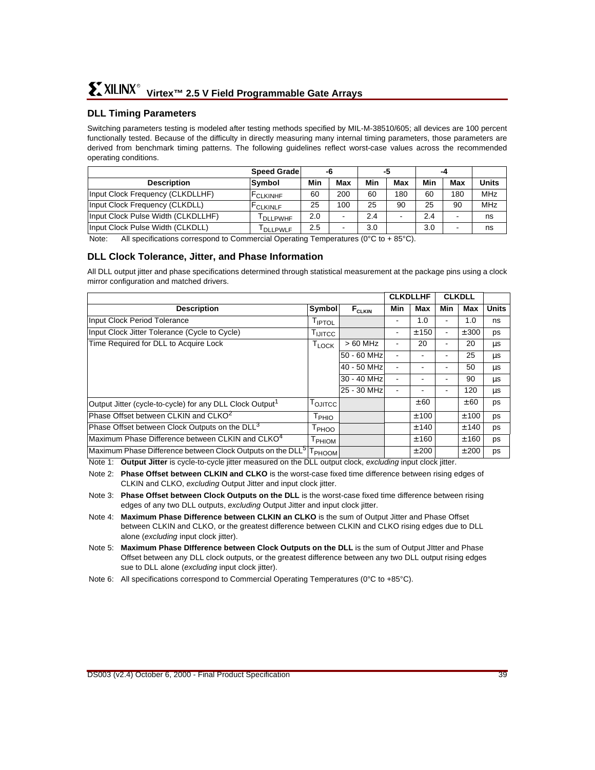### **DLL Timing Parameters**

Switching parameters testing is modeled after testing methods specified by MIL-M-38510/605; all devices are 100 percent functionally tested. Because of the difficulty in directly measuring many internal timing parameters, those parameters are derived from benchmark timing patterns. The following guidelines reflect worst-case values across the recommended operating conditions.

|                                    | <b>Speed Grade</b>   |     |     |     | -5  |     | -4  |            |
|------------------------------------|----------------------|-----|-----|-----|-----|-----|-----|------------|
| <b>Description</b>                 | Symbol               | Min | Max | Min | Max | Min | Max | Units      |
| Input Clock Frequency (CLKDLLHF)   | <b>FCLKINHF</b>      | 60  | 200 | 60  | 180 | 60  | 180 | MHz        |
| Input Clock Frequency (CLKDLL)     | <b>FCLKINLF</b>      | 25  | 100 | 25  | 90  | 25  | 90  | <b>MHz</b> |
| Input Clock Pulse Width (CLKDLLHF) | <b>DLLPWHF</b>       | 2.0 |     | 2.4 |     | 2.4 |     | ns         |
| Input Clock Pulse Width (CLKDLL)   | <sup>I</sup> DLLPWLF | 2.5 |     | 3.0 |     | 3.0 |     | ns         |

Note: All specifications correspond to Commercial Operating Temperatures (0°C to + 85°C).

#### **DLL Clock Tolerance, Jitter, and Phase Information**

All DLL output jitter and phase specifications determined through statistical measurement at the package pins using a clock mirror configuration and matched drivers.

|                                                                        | <b>CLKDLLHF</b>    |               | <b>CLKDLL</b> |       |                |       |              |
|------------------------------------------------------------------------|--------------------|---------------|---------------|-------|----------------|-------|--------------|
| <b>Description</b>                                                     | <b>Symbol</b>      | $F_{CLKIN}$   | Min           | Max   | Min            | Max   | <b>Units</b> |
| <b>Input Clock Period Tolerance</b>                                    | <sup>I</sup> IPTOL |               |               | 1.0   | ۰              | 1.0   | ns           |
| Input Clock Jitter Tolerance (Cycle to Cycle)                          | <b>LUITCC</b>      |               | ٠             | ± 150 | $\blacksquare$ | ± 300 | ps           |
| Time Required for DLL to Acquire Lock                                  | $T_{LOCK}$         | $>60$ MHz     |               | 20    |                | 20    | μs           |
|                                                                        |                    | $50 - 60$ MHz |               |       |                | 25    | μs           |
|                                                                        |                    | 40 - 50 MHz   |               |       |                | 50    | μs           |
|                                                                        |                    | 30 - 40 MHz   |               |       | ٠              | 90    | μs           |
|                                                                        |                    | 25 - 30 MHz   |               |       | ٠              | 120   | μs           |
| Output Jitter (cycle-to-cycle) for any DLL Clock Output <sup>1</sup>   | <b>LOJITCC</b>     |               |               | ± 60  |                | ± 60  | ps           |
| Phase Offset between CLKIN and CLKO <sup>2</sup>                       | T <sub>PHIO</sub>  |               |               | ± 100 |                | ± 100 | ps           |
| Phase Offset between Clock Outputs on the DLL <sup>3</sup>             | <sup>1</sup> PHOO  |               |               | ± 140 |                | ± 140 | ps           |
| Maximum Phase Difference between CLKIN and CLKO <sup>4</sup>           | <b>PHIOM</b>       |               |               | ± 160 |                | ± 160 | ps           |
| Maximum Phase Difference between Clock Outputs on the DLL <sup>5</sup> | $T_{PHOOM}$        |               |               | ±200  |                | ±200  | ps           |

Note 1: **Output Jitter** is cycle-to-cycle jitter measured on the DLL output clock, excluding input clock jitter.

- Note 2: **Phase Offset between CLKIN and CLKO** is the worst-case fixed time difference between rising edges of CLKIN and CLKO, excluding Output Jitter and input clock jitter.
- Note 3: **Phase Offset between Clock Outputs on the DLL** is the worst-case fixed time difference between rising edges of any two DLL outputs, excluding Output Jitter and input clock jitter.
- Note 4: **Maximum Phase Difference between CLKIN an CLKO** is the sum of Output Jitter and Phase Offset between CLKIN and CLKO, or the greatest difference between CLKIN and CLKO rising edges due to DLL alone (excluding input clock jitter).
- Note 5: **Maximum Phase DIfference between Clock Outputs on the DLL** is the sum of Output JItter and Phase Offset between any DLL clock outputs, or the greatest difference between any two DLL output rising edges sue to DLL alone (excluding input clock jitter).
- Note 6: All specifications correspond to Commercial Operating Temperatures (0°C to +85°C).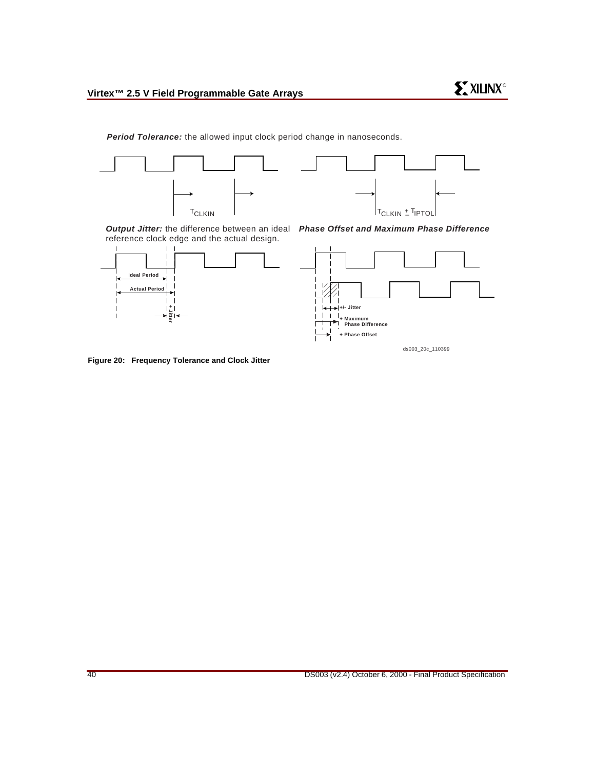

**Period Tolerance:** the allowed input clock period change in nanoseconds.





**Output Jitter:** the difference between an ideal **Phase Offset and Maximum Phase Difference** reference clock edge and the actual design.





ds003\_20c\_110399

**Figure 20: Frequency Tolerance and Clock Jitter**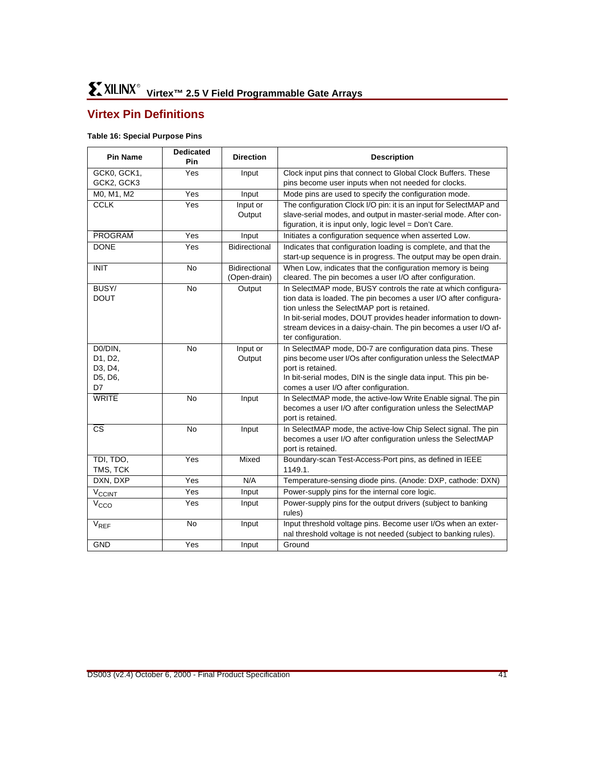# **Virtex Pin Definitions**

#### **Table 16: Special Purpose Pins**

| <b>Pin Name</b>          | <b>Dedicated</b><br>Pin | <b>Direction</b>     | <b>Description</b>                                                                                                           |
|--------------------------|-------------------------|----------------------|------------------------------------------------------------------------------------------------------------------------------|
| GCK0, GCK1,              | Yes                     | Input                | Clock input pins that connect to Global Clock Buffers. These                                                                 |
| GCK2, GCK3               |                         |                      | pins become user inputs when not needed for clocks.                                                                          |
| M0, M1, M2               | $\overline{Y}$ es       | Input                | Mode pins are used to specify the configuration mode.                                                                        |
| <b>CCLK</b>              | Yes                     | Input or             | The configuration Clock I/O pin: it is an input for SelectMAP and                                                            |
|                          |                         | Output               | slave-serial modes, and output in master-serial mode. After con-                                                             |
|                          |                         |                      | figuration, it is input only, logic level = Don't Care.                                                                      |
| <b>PROGRAM</b>           | Yes                     | Input                | Initiates a configuration sequence when asserted Low.                                                                        |
| <b>DONE</b>              | Yes                     | Bidirectional        | Indicates that configuration loading is complete, and that the                                                               |
|                          |                         |                      | start-up sequence is in progress. The output may be open drain.                                                              |
| <b>INIT</b>              | <b>No</b>               | <b>Bidirectional</b> | When Low, indicates that the configuration memory is being                                                                   |
|                          |                         | (Open-drain)         | cleared. The pin becomes a user I/O after configuration.                                                                     |
| BUSY/                    | <b>No</b>               | Output               | In SelectMAP mode, BUSY controls the rate at which configura-                                                                |
| <b>DOUT</b>              |                         |                      | tion data is loaded. The pin becomes a user I/O after configura-                                                             |
|                          |                         |                      | tion unless the SelectMAP port is retained.                                                                                  |
|                          |                         |                      | In bit-serial modes, DOUT provides header information to down-                                                               |
|                          |                         |                      | stream devices in a daisy-chain. The pin becomes a user I/O af-                                                              |
|                          |                         |                      | ter configuration.                                                                                                           |
| D0/DIN,<br>D1, D2,       | No                      | Input or<br>Output   | In SelectMAP mode, D0-7 are configuration data pins. These<br>pins become user I/Os after configuration unless the SelectMAP |
| D3, D4,                  |                         |                      | port is retained.                                                                                                            |
| D5, D6,                  |                         |                      | In bit-serial modes, DIN is the single data input. This pin be-                                                              |
| D7                       |                         |                      | comes a user I/O after configuration.                                                                                        |
| <b>WRITE</b>             | <b>No</b>               | Input                | In SelectMAP mode, the active-low Write Enable signal. The pin                                                               |
|                          |                         |                      | becomes a user I/O after configuration unless the SelectMAP                                                                  |
|                          |                         |                      | port is retained.                                                                                                            |
| <b>CS</b>                | <b>No</b>               | Input                | In SelectMAP mode, the active-low Chip Select signal. The pin                                                                |
|                          |                         |                      | becomes a user I/O after configuration unless the SelectMAP                                                                  |
|                          |                         |                      | port is retained.                                                                                                            |
| TDI, TDO,                | Yes                     | Mixed                | Boundary-scan Test-Access-Port pins, as defined in IEEE                                                                      |
| TMS, TCK                 |                         |                      | 1149.1.                                                                                                                      |
| DXN, DXP                 | Yes                     | N/A                  | Temperature-sensing diode pins. (Anode: DXP, cathode: DXN)                                                                   |
| <b>V<sub>CCINT</sub></b> | Yes                     | Input                | Power-supply pins for the internal core logic.                                                                               |
| V <sub>CCO</sub>         | Yes                     | Input                | Power-supply pins for the output drivers (subject to banking<br>rules)                                                       |
| $V_{REF}$                | <b>No</b>               | Input                | Input threshold voltage pins. Become user I/Os when an exter-                                                                |
|                          |                         |                      | nal threshold voltage is not needed (subject to banking rules).                                                              |
| <b>GND</b>               | Yes                     | Input                | Ground                                                                                                                       |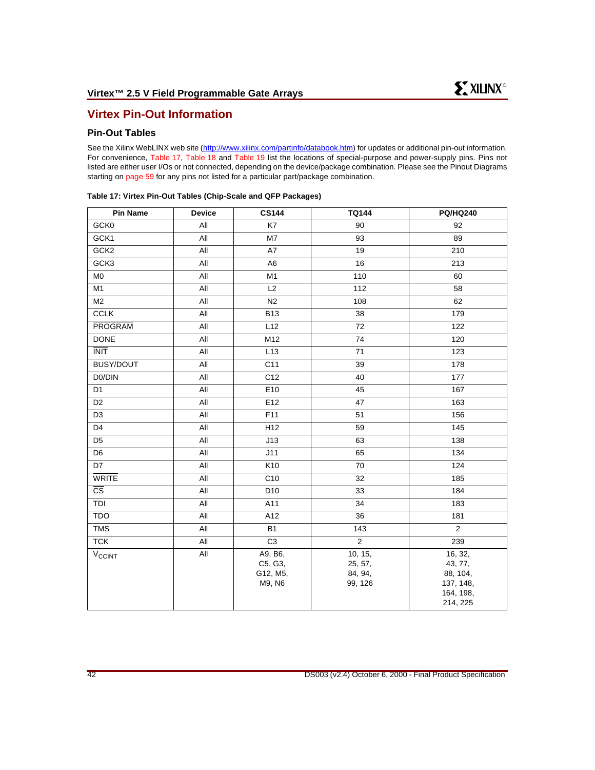# **Virtex Pin-Out Information**

# **Pin-Out Tables**

See the Xilinx WebLINX web site [\(http://www.xilinx.com/partinfo/databook.htm](http://www.xilinx.com/partinfo/databook.htm#virtex)) for updates or additional pin-out information. For convenience, [Table 17](#page-41-0), [Table 18](#page-45-0) and [Table 19](#page-51-0) list the locations of special-purpose and power-supply pins. Pins not listed are either user I/Os or not connected, depending on the device/package combination. Please see the Pinout Diagrams starting on [page 59](#page-58-0) for any pins not listed for a particular part/package combination.

| <b>Pin Name</b>          | <b>Device</b> | <b>CS144</b>                             | <b>TQ144</b>                             | <b>PQ/HQ240</b>                                                      |
|--------------------------|---------------|------------------------------------------|------------------------------------------|----------------------------------------------------------------------|
| GCK0                     | All           | K7                                       | 90                                       | 92                                                                   |
| GCK1                     | All           | M7                                       | 93                                       | 89                                                                   |
| GCK <sub>2</sub>         | All           | A7                                       | 19                                       | 210                                                                  |
| GCK3                     | All           | A6                                       | 16                                       | 213                                                                  |
| M <sub>0</sub>           | All           | M1                                       | 110                                      | 60                                                                   |
| M1                       | All           | L2                                       | 112                                      | 58                                                                   |
| M <sub>2</sub>           | All           | N <sub>2</sub>                           | 108                                      | 62                                                                   |
| <b>CCLK</b>              | All           | <b>B13</b>                               | 38                                       | 179                                                                  |
| <b>PROGRAM</b>           | All           | L12                                      | 72                                       | 122                                                                  |
| <b>DONE</b>              | All           | M12                                      | 74                                       | 120                                                                  |
| <b>INIT</b>              | All           | L13                                      | 71                                       | 123                                                                  |
| BUSY/DOUT                | All           | C <sub>11</sub>                          | 39                                       | 178                                                                  |
| D0/DIN                   | All           | C <sub>12</sub>                          | 40                                       | 177                                                                  |
| D <sub>1</sub>           | All           | E <sub>10</sub>                          | 45                                       | 167                                                                  |
| D <sub>2</sub>           | All           | E <sub>12</sub>                          | 47                                       | 163                                                                  |
| D <sub>3</sub>           | All           | F11                                      | 51                                       | 156                                                                  |
| D <sub>4</sub>           | All           | H <sub>12</sub>                          | 59                                       | 145                                                                  |
| D <sub>5</sub>           | All           | J13                                      | 63                                       | 138                                                                  |
| D6                       | All           | J11                                      | 65                                       | 134                                                                  |
| D7                       | All           | K10                                      | 70                                       | 124                                                                  |
| <b>WRITE</b>             | All           | C <sub>10</sub>                          | 32                                       | 185                                                                  |
| $\overline{\text{cs}}$   | All           | D <sub>10</sub>                          | 33                                       | 184                                                                  |
| TDI                      | All           | A11                                      | 34                                       | 183                                                                  |
| <b>TDO</b>               | All           | A12                                      | 36                                       | 181                                                                  |
| <b>TMS</b>               | All           | <b>B1</b>                                | 143                                      | 2                                                                    |
| <b>TCK</b>               | All           | C <sub>3</sub>                           | $\overline{2}$                           | 239                                                                  |
| <b>V<sub>CCINT</sub></b> | All           | A9, B6,<br>C5, G3,<br>G12, M5,<br>M9, N6 | 10, 15,<br>25, 57,<br>84, 94,<br>99, 126 | 16, 32,<br>43, 77,<br>88, 104,<br>137, 148,<br>164, 198,<br>214, 225 |

#### <span id="page-41-0"></span>**Table 17: Virtex Pin-Out Tables (Chip-Scale and QFP Packages)**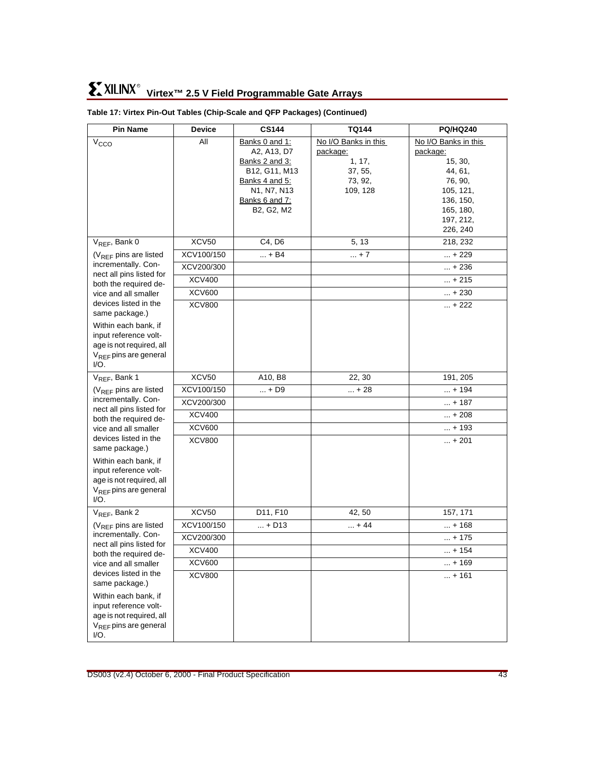| <b>Pin Name</b>                                         | <b>Device</b>       | <b>CS144</b>                    | <b>TQ144</b>         | <b>PQ/HQ240</b>      |
|---------------------------------------------------------|---------------------|---------------------------------|----------------------|----------------------|
| V <sub>CCO</sub>                                        | All                 | Banks 0 and 1:                  | No I/O Banks in this | No I/O Banks in this |
|                                                         |                     | A2, A13, D7                     | package:             | package:             |
|                                                         |                     | Banks 2 and 3:<br>B12, G11, M13 | 1, 17,<br>37, 55,    | 15, 30,<br>44, 61,   |
|                                                         |                     | <b>Banks 4 and 5:</b>           | 73, 92,              | 76, 90,              |
|                                                         |                     | N1, N7, N13                     | 109, 128             | 105, 121,            |
|                                                         |                     | Banks 6 and 7:                  |                      | 136, 150,            |
|                                                         |                     | B2, G2, M2                      |                      | 165, 180,            |
|                                                         |                     |                                 |                      | 197, 212,            |
|                                                         |                     |                                 |                      | 226, 240             |
| V <sub>REF</sub> , Bank 0<br>$(V_{REF}$ pins are listed | XCV50<br>XCV100/150 | C4, D6<br>$ + B4$               | 5, 13<br>$ + 7$      | 218, 232<br>$ + 229$ |
| incrementally. Con-                                     | XCV200/300          |                                 |                      | $ + 236$             |
| nect all pins listed for                                | <b>XCV400</b>       |                                 |                      | $ + 215$             |
| both the required de-<br>vice and all smaller           | <b>XCV600</b>       |                                 |                      | $ + 230$             |
| devices listed in the                                   | <b>XCV800</b>       |                                 |                      | $ + 222$             |
| same package.)                                          |                     |                                 |                      |                      |
| Within each bank, if                                    |                     |                                 |                      |                      |
| input reference volt-                                   |                     |                                 |                      |                      |
| age is not required, all                                |                     |                                 |                      |                      |
| $V_{RFF}$ pins are general<br>I/O.                      |                     |                                 |                      |                      |
| $V_{REF}$ , Bank 1                                      | XCV50               | A10, B8                         | 22, 30               | 191, 205             |
| $(V_{RFF}$ pins are listed                              | XCV100/150          | $ + D9$                         | $ + 28$              | $ + 194$             |
| incrementally. Con-                                     | XCV200/300          |                                 |                      | $ + 187$             |
| nect all pins listed for<br>both the required de-       | <b>XCV400</b>       |                                 |                      | $ + 208$             |
| vice and all smaller                                    | <b>XCV600</b>       |                                 |                      | $ + 193$             |
| devices listed in the                                   | <b>XCV800</b>       |                                 |                      | $ + 201$             |
| same package.)                                          |                     |                                 |                      |                      |
| Within each bank, if<br>input reference volt-           |                     |                                 |                      |                      |
| age is not required, all                                |                     |                                 |                      |                      |
| $V_{RFF}$ pins are general                              |                     |                                 |                      |                      |
| I/O.                                                    |                     |                                 |                      |                      |
| $V_{RFF}$ , Bank 2                                      | XCV50               | D11, F10                        | 42, 50               | 157, 171             |
| (V <sub>REF</sub> pins are listed                       | XCV100/150          | $ + D13$                        | $ + 44$              | $ + 168$             |
| incrementally. Con-<br>nect all pins listed for         | XCV200/300          |                                 |                      | $ + 175$             |
| both the required de-                                   | <b>XCV400</b>       |                                 |                      | $ + 154$             |
| vice and all smaller                                    | <b>XCV600</b>       |                                 |                      | $ + 169$             |
| devices listed in the<br>same package.)                 | <b>XCV800</b>       |                                 |                      | $ + 161$             |
| Within each bank, if                                    |                     |                                 |                      |                      |
| input reference volt-                                   |                     |                                 |                      |                      |
| age is not required, all                                |                     |                                 |                      |                      |
| $V_{RFF}$ pins are general                              |                     |                                 |                      |                      |
| I/O.                                                    |                     |                                 |                      |                      |

#### **Table 17: Virtex Pin-Out Tables (Chip-Scale and QFP Packages) (Continued)**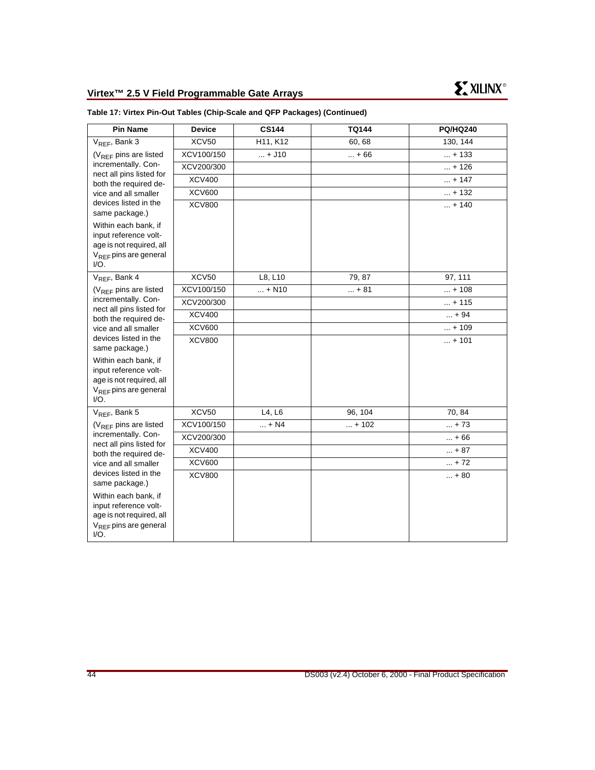|  |  | Table 17: Virtex Pin-Out Tables (Chip-Scale and QFP Packages) (Continued) |  |  |
|--|--|---------------------------------------------------------------------------|--|--|
|--|--|---------------------------------------------------------------------------|--|--|

| <b>Pin Name</b>                                                                                                    | <b>Device</b> | <b>CS144</b> | <b>TQ144</b> | <b>PQ/HQ240</b> |
|--------------------------------------------------------------------------------------------------------------------|---------------|--------------|--------------|-----------------|
| V <sub>REF</sub> , Bank 3                                                                                          | XCV50         | H11, K12     | 60,68        | 130, 144        |
| $(V_{RFF}$ pins are listed                                                                                         | XCV100/150    | $ + J10$     | $ + 66$      | $ + 133$        |
| incrementally. Con-                                                                                                | XCV200/300    |              |              | $ + 126$        |
| nect all pins listed for<br>both the required de-                                                                  | <b>XCV400</b> |              |              | $ + 147$        |
| vice and all smaller                                                                                               | <b>XCV600</b> |              |              | $ + 132$        |
| devices listed in the<br>same package.)                                                                            | <b>XCV800</b> |              |              | $ + 140$        |
| Within each bank, if<br>input reference volt-<br>age is not required, all<br>$V_{RFF}$ pins are general<br>$I/O$ . |               |              |              |                 |
| V <sub>REF</sub> , Bank 4                                                                                          | XCV50         | L8, L10      | 79, 87       | 97, 111         |
| $(V_{RFF}$ pins are listed                                                                                         | XCV100/150    | $ + N10$     | $ + 81$      | $ + 108$        |
| incrementally. Con-                                                                                                | XCV200/300    |              |              | $ + 115$        |
| nect all pins listed for<br>both the required de-                                                                  | <b>XCV400</b> |              |              | $ + 94$         |
| vice and all smaller                                                                                               | <b>XCV600</b> |              |              | $ + 109$        |
| devices listed in the<br>same package.)                                                                            | <b>XCV800</b> |              |              | $ + 101$        |
| Within each bank, if<br>input reference volt-<br>age is not required, all<br>$V_{BFE}$ pins are general<br>$I/O$ . |               |              |              |                 |
| $V_{REF}$ , Bank 5                                                                                                 | <b>XCV50</b>  | L4, L6       | 96, 104      | 70, 84          |
| (V <sub>REF</sub> pins are listed                                                                                  | XCV100/150    | $ + N4$      | $ + 102$     | $ + 73$         |
| incrementally. Con-                                                                                                | XCV200/300    |              |              | $ + 66$         |
| nect all pins listed for<br>both the required de-                                                                  | <b>XCV400</b> |              |              | $ + 87$         |
| vice and all smaller<br>devices listed in the<br>same package.)                                                    | <b>XCV600</b> |              |              | $ + 72$         |
|                                                                                                                    | <b>XCV800</b> |              |              | $ + 80$         |
| Within each bank, if<br>input reference volt-<br>age is not required, all<br>$V_{RFF}$ pins are general<br>$I/O$ . |               |              |              |                 |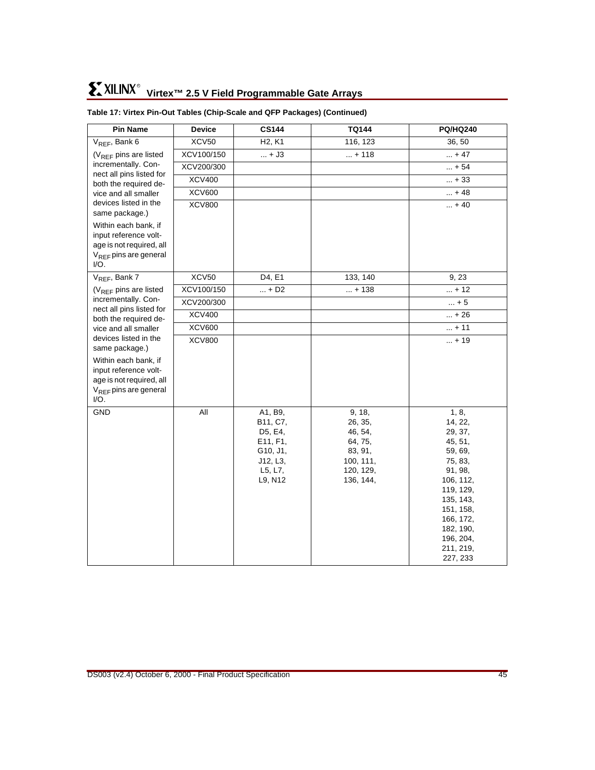| <b>Pin Name</b>                                                                                                 | <b>Device</b> | <b>CS144</b>                                                                             | <b>TQ144</b>                                                                              | <b>PQ/HQ240</b>                                                                                                                                                                             |
|-----------------------------------------------------------------------------------------------------------------|---------------|------------------------------------------------------------------------------------------|-------------------------------------------------------------------------------------------|---------------------------------------------------------------------------------------------------------------------------------------------------------------------------------------------|
| $V_{REF}$ , Bank 6                                                                                              | <b>XCV50</b>  | H <sub>2</sub> , K <sub>1</sub>                                                          | 116, 123                                                                                  | 36, 50                                                                                                                                                                                      |
| (V <sub>REF</sub> pins are listed                                                                               | XCV100/150    | $ + J3$                                                                                  | $ + 118$                                                                                  | $ + 47$                                                                                                                                                                                     |
| incrementally. Con-<br>nect all pins listed for                                                                 | XCV200/300    |                                                                                          |                                                                                           | $ + 54$                                                                                                                                                                                     |
| both the required de-                                                                                           | <b>XCV400</b> |                                                                                          |                                                                                           | $ + 33$                                                                                                                                                                                     |
| vice and all smaller                                                                                            | <b>XCV600</b> |                                                                                          |                                                                                           | $ + 48$                                                                                                                                                                                     |
| devices listed in the<br>same package.)                                                                         | <b>XCV800</b> |                                                                                          |                                                                                           | $ + 40$                                                                                                                                                                                     |
| Within each bank, if<br>input reference volt-<br>age is not required, all<br>$V_{BFE}$ pins are general<br>I/O. |               |                                                                                          |                                                                                           |                                                                                                                                                                                             |
| V <sub>REF</sub> , Bank 7                                                                                       | XCV50         | D4, E1                                                                                   | 133, 140                                                                                  | 9, 23                                                                                                                                                                                       |
| $(V_{RFF}$ pins are listed                                                                                      | XCV100/150    | $ + D2$                                                                                  | $ + 138$                                                                                  | $ + 12$                                                                                                                                                                                     |
| incrementally. Con-                                                                                             | XCV200/300    |                                                                                          |                                                                                           | $ + 5$                                                                                                                                                                                      |
| nect all pins listed for<br>both the required de-                                                               | <b>XCV400</b> |                                                                                          |                                                                                           | $ + 26$                                                                                                                                                                                     |
| vice and all smaller                                                                                            | <b>XCV600</b> |                                                                                          |                                                                                           | $ + 11$                                                                                                                                                                                     |
| devices listed in the<br>same package.)                                                                         | <b>XCV800</b> |                                                                                          |                                                                                           | $ + 19$                                                                                                                                                                                     |
| Within each bank, if<br>input reference volt-<br>age is not required, all<br>$V_{REF}$ pins are general<br>I/O. |               |                                                                                          |                                                                                           |                                                                                                                                                                                             |
| GND                                                                                                             | All           | A1, B9,<br>B11, C7,<br>D5, E4,<br>E11, F1,<br>G10, J1,<br>J12, L3,<br>L5, L7,<br>L9, N12 | 9, 18,<br>26, 35,<br>46, 54,<br>64, 75,<br>83, 91,<br>100, 111,<br>120, 129,<br>136, 144, | 1, 8,<br>14, 22,<br>29, 37,<br>45, 51,<br>59, 69,<br>75, 83,<br>91, 98,<br>106, 112,<br>119, 129,<br>135, 143,<br>151, 158,<br>166, 172,<br>182, 190,<br>196, 204,<br>211, 219,<br>227, 233 |

#### **Table 17: Virtex Pin-Out Tables (Chip-Scale and QFP Packages) (Continued)**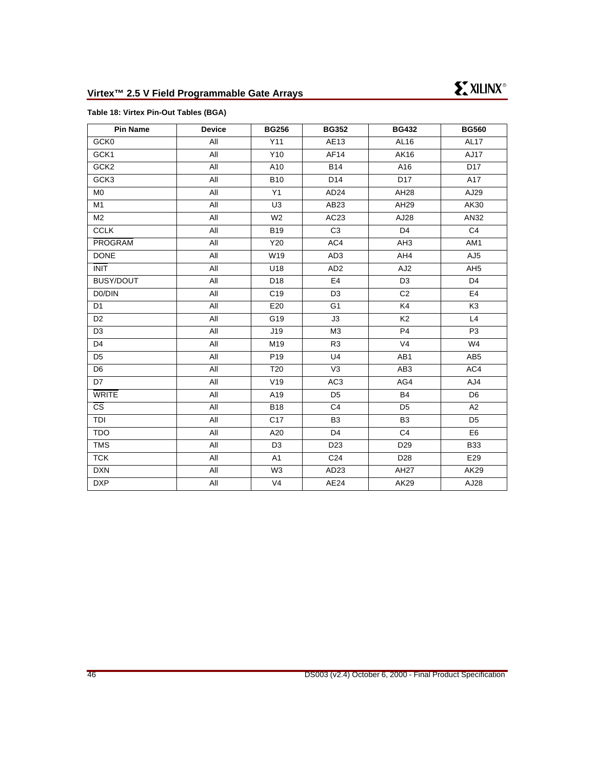#### <span id="page-45-0"></span>**Table 18: Virtex Pin-Out Tables (BGA)**

| <b>Pin Name</b>        | <b>Device</b> | <b>BG256</b>    | <b>BG352</b>     | <b>BG432</b>     | <b>BG560</b>     |
|------------------------|---------------|-----------------|------------------|------------------|------------------|
| GCK0                   | All           | Y11             | AE13             | AL16             | AL <sub>17</sub> |
| GCK1                   | All           | Y10             | AF14             | AK16             | <b>AJ17</b>      |
| GCK <sub>2</sub>       | All           | A10             | <b>B14</b>       | A16              | D <sub>17</sub>  |
| GCK3                   | All           | <b>B10</b>      | D14              | D <sub>17</sub>  | A17              |
| M <sub>0</sub>         | All           | Y1              | AD <sub>24</sub> | AH28             | AJ29             |
| M1                     | All           | U <sub>3</sub>  | AB23             | AH29             | AK30             |
| M <sub>2</sub>         | All           | W <sub>2</sub>  | AC23             | AJ28             | AN32             |
| <b>CCLK</b>            | All           | <b>B19</b>      | C <sub>3</sub>   | D <sub>4</sub>   | C <sub>4</sub>   |
| PROGRAM                | All           | Y20             | AC4              | AH <sub>3</sub>  | AM1              |
| <b>DONE</b>            | All           | W19             | AD <sub>3</sub>  | AH4              | AJ5              |
| <b>INIT</b>            | All           | U18             | AD <sub>2</sub>  | AJ <sub>2</sub>  | AH <sub>5</sub>  |
| <b>BUSY/DOUT</b>       | All           | D <sub>18</sub> | E <sub>4</sub>   | D <sub>3</sub>   | D <sub>4</sub>   |
| D0/DIN                 | All           | C <sub>19</sub> | D <sub>3</sub>   | C <sub>2</sub>   | E <sub>4</sub>   |
| D <sub>1</sub>         | All           | E20             | G <sub>1</sub>   | K4               | K <sub>3</sub>   |
| D <sub>2</sub>         | All           | G19             | J3               | K <sub>2</sub>   | L4               |
| D <sub>3</sub>         | All           | J19             | M <sub>3</sub>   | P <sub>4</sub>   | P <sub>3</sub>   |
| D <sub>4</sub>         | All           | M19             | R <sub>3</sub>   | V <sub>4</sub>   | W4               |
| D <sub>5</sub>         | All           | P <sub>19</sub> | U <sub>4</sub>   | AB1              | AB <sub>5</sub>  |
| D <sub>6</sub>         | All           | T20             | V <sub>3</sub>   | AB <sub>3</sub>  | AC4              |
| D7                     | All           | V19             | AC <sub>3</sub>  | AG4              | AJ4              |
| <b>WRITE</b>           | All           | A19             | D <sub>5</sub>   | <b>B4</b>        | D <sub>6</sub>   |
| $\overline{\text{cs}}$ | All           | <b>B18</b>      | C <sub>4</sub>   | D <sub>5</sub>   | A2               |
| TDI                    | All           | C <sub>17</sub> | B <sub>3</sub>   | B <sub>3</sub>   | D <sub>5</sub>   |
| <b>TDO</b>             | All           | A20             | D <sub>4</sub>   | C <sub>4</sub>   | E <sub>6</sub>   |
| <b>TMS</b>             | All           | D <sub>3</sub>  | D <sub>23</sub>  | D <sub>29</sub>  | <b>B33</b>       |
| <b>TCK</b>             | All           | A1              | C <sub>24</sub>  | D <sub>28</sub>  | E29              |
| <b>DXN</b>             | All           | W <sub>3</sub>  | AD <sub>23</sub> | AH <sub>27</sub> | AK29             |
| <b>DXP</b>             | All           | V <sub>4</sub>  | AE24             | AK29             | AJ28             |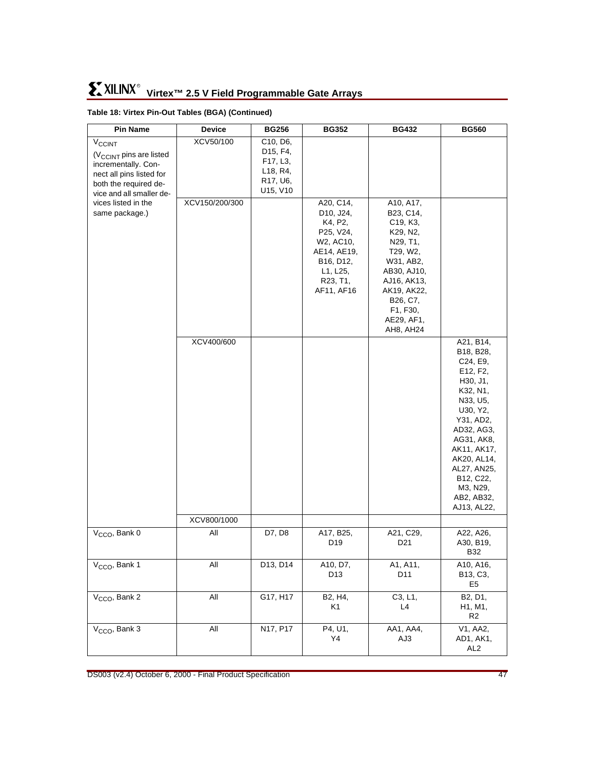| <b>Pin Name</b>                                                                                                                                                   | <b>Device</b>  | <b>BG256</b>                                                                                                                                       | <b>BG352</b>                                                                                                                                                                      | <b>BG432</b>                                                                                                                                                                                                                                                      | <b>BG560</b>                                                                                                                                                                                                                               |
|-------------------------------------------------------------------------------------------------------------------------------------------------------------------|----------------|----------------------------------------------------------------------------------------------------------------------------------------------------|-----------------------------------------------------------------------------------------------------------------------------------------------------------------------------------|-------------------------------------------------------------------------------------------------------------------------------------------------------------------------------------------------------------------------------------------------------------------|--------------------------------------------------------------------------------------------------------------------------------------------------------------------------------------------------------------------------------------------|
| $V_{\text{CCINT}}$<br>(V <sub>CCINT</sub> pins are listed<br>incrementally. Con-<br>nect all pins listed for<br>both the required de-<br>vice and all smaller de- | XCV50/100      | C <sub>10</sub> , D <sub>6</sub> ,<br>D <sub>15</sub> , F <sub>4</sub> ,<br>F17, L3,<br>L <sub>18</sub> , R <sub>4</sub> ,<br>R17, U6,<br>U15, V10 |                                                                                                                                                                                   |                                                                                                                                                                                                                                                                   |                                                                                                                                                                                                                                            |
| vices listed in the<br>same package.)                                                                                                                             | XCV150/200/300 |                                                                                                                                                    | A20, C14,<br>D <sub>10</sub> , J <sub>24</sub> ,<br>K4, P2,<br>P25, V24,<br>W <sub>2</sub> , AC <sub>10</sub> ,<br>AE14, AE19,<br>B16, D12,<br>L1, L25,<br>R23, T1,<br>AF11, AF16 | A10, A17,<br>B <sub>23</sub> , C <sub>14</sub> ,<br>C <sub>19</sub> , K <sub>3</sub> ,<br>K29, N2,<br>N29, T1,<br>T29, W2,<br>W31, AB2,<br>AB30, AJ10,<br>AJ16, AK13,<br>AK19, AK22,<br>B <sub>26</sub> , C <sub>7</sub> ,<br>F1, F30,<br>AE29, AF1,<br>AH8, AH24 |                                                                                                                                                                                                                                            |
|                                                                                                                                                                   | XCV400/600     |                                                                                                                                                    |                                                                                                                                                                                   |                                                                                                                                                                                                                                                                   | A21, B14,<br>B18, B28,<br>C24, E9,<br>E12, F2,<br>H30, J1,<br>K32, N1,<br>N33, U5,<br>U30, Y2,<br>Y31, AD2,<br>AD32, AG3,<br>AG31, AK8,<br>AK11, AK17,<br>AK20, AL14,<br>AL27, AN25,<br>B12, C22,<br>M3, N29,<br>AB2, AB32,<br>AJ13, AL22, |
|                                                                                                                                                                   | XCV800/1000    |                                                                                                                                                    |                                                                                                                                                                                   |                                                                                                                                                                                                                                                                   |                                                                                                                                                                                                                                            |
| V <sub>CCO</sub> , Bank 0                                                                                                                                         | All            | D7, D8                                                                                                                                             | A17, B25,<br>D19                                                                                                                                                                  | A21, C29,<br>D <sub>21</sub>                                                                                                                                                                                                                                      | A22, A26,<br>A30, B19,<br><b>B32</b>                                                                                                                                                                                                       |
| V <sub>CCO</sub> , Bank 1                                                                                                                                         | $\mathsf{All}$ | D13, D14                                                                                                                                           | A10, D7,<br>D13                                                                                                                                                                   | A1, A11,<br>D11                                                                                                                                                                                                                                                   | A10, A16,<br>B13, C3,<br>E <sub>5</sub>                                                                                                                                                                                                    |
| $VCCO$ , Bank 2                                                                                                                                                   | All            | G17, H17                                                                                                                                           | B2, H4,<br>K1                                                                                                                                                                     | C3, L1,<br>L4                                                                                                                                                                                                                                                     | B <sub>2</sub> , D <sub>1</sub> ,<br>H1, M1,<br>R <sub>2</sub>                                                                                                                                                                             |
| V <sub>CCO</sub> , Bank 3                                                                                                                                         | $\mathsf{All}$ | N17, P17                                                                                                                                           | P4, U1,<br>Y4                                                                                                                                                                     | AA1, AA4,<br>AJ3                                                                                                                                                                                                                                                  | V1, AA2,<br>AD1, AK1,<br>AL <sub>2</sub>                                                                                                                                                                                                   |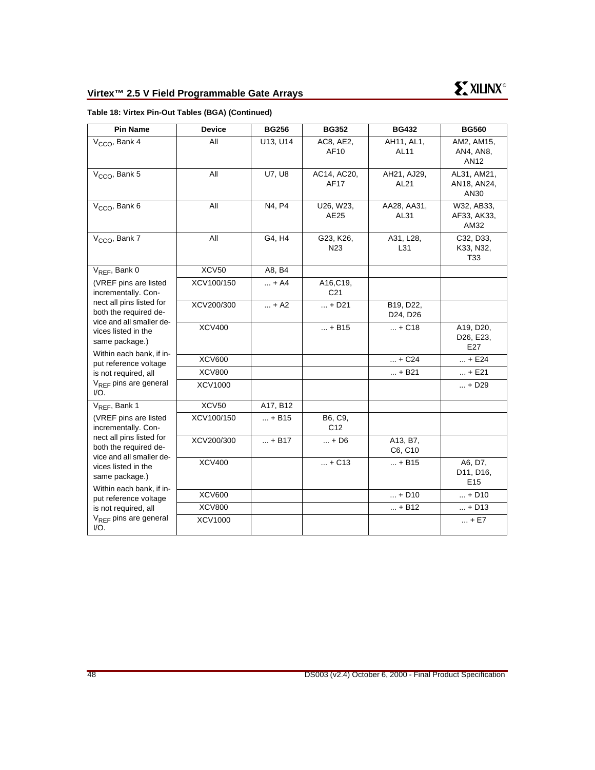| <b>Pin Name</b>                                                               | <b>Device</b> | <b>BG256</b> | <b>BG352</b>                 | <b>BG432</b>          | <b>BG560</b>                            |
|-------------------------------------------------------------------------------|---------------|--------------|------------------------------|-----------------------|-----------------------------------------|
| $VCCO$ , Bank 4                                                               | All           | U13, U14     | AC8, AE2,<br>AF10            | AH11, AL1,<br>AL11    | AM2, AM15,<br>AN4, AN8,<br>AN12         |
| $VCCO$ , Bank 5                                                               | All           | U7, U8       | AC14, AC20,<br>AF17          | AH21, AJ29,<br>AL21   | AL31, AM21,<br>AN18, AN24,<br>AN30      |
| V <sub>CCO</sub> , Bank 6                                                     | All           | N4, P4       | U26, W23,<br>AE25            | AA28, AA31,<br>AL31   | W32, AB33,<br>AF33, AK33,<br>AM32       |
| $VCCO$ , Bank 7                                                               | All           | G4, H4       | G23, K26,<br>N <sub>23</sub> | A31, L28,<br>L31      | C32, D33,<br>K33, N32,<br>T33           |
| $V_{RFF}$ , Bank 0                                                            | <b>XCV50</b>  | A8, B4       |                              |                       |                                         |
| (VREF pins are listed<br>incrementally. Con-                                  | XCV100/150    | + A4         | A16, C19,<br>C <sub>21</sub> |                       |                                         |
| nect all pins listed for<br>both the required de-                             | XCV200/300    | $ + A2$      | $ + D21$                     | B19, D22,<br>D24, D26 |                                         |
| vice and all smaller de-<br>vices listed in the<br>same package.)             | <b>XCV400</b> |              | $ + B15$                     | $ + C18$              | A19, D20,<br>D26, E23,<br>E27           |
| Within each bank, if in-<br>put reference voltage                             | <b>XCV600</b> |              |                              | $ + C24$              | $ + E24$                                |
| is not required, all                                                          | <b>XCV800</b> |              |                              | $ + B21$              | $ + E21$                                |
| $V_{RFE}$ pins are general<br>I/O.                                            | XCV1000       |              |                              |                       | $ + D29$                                |
| V <sub>REF</sub> , Bank 1                                                     | <b>XCV50</b>  | A17, B12     |                              |                       |                                         |
| (VREF pins are listed<br>incrementally. Con-                                  | XCV100/150    | $ + B15$     | B6, C9,<br>C <sub>12</sub>   |                       |                                         |
| nect all pins listed for<br>both the required de-<br>vice and all smaller de- | XCV200/300    | $ + B17$     | $ + D6$                      | A13, B7,<br>C6, C10   |                                         |
| vices listed in the<br>same package.)                                         | <b>XCV400</b> |              | $ + C13$                     | $ + B15$              | A6, D7,<br>D11, D16,<br>E <sub>15</sub> |
| Within each bank, if in-<br>put reference voltage                             | <b>XCV600</b> |              |                              | $ + D10$              | $ + D10$                                |
| is not required, all                                                          | <b>XCV800</b> |              |                              | $ + B12$              | $ + D13$                                |
| V <sub>REF</sub> pins are general<br>$IO$ .                                   | XCV1000       |              |                              |                       | $ + E7$                                 |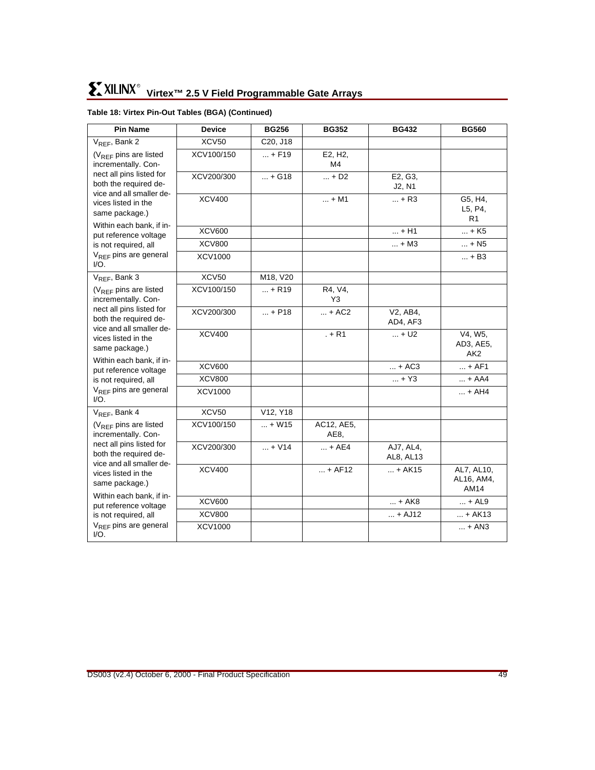| <b>Pin Name</b>                                                               | <b>Device</b>  | <b>BG256</b> | <b>BG352</b>              | <b>BG432</b>           | <b>BG560</b>                            |
|-------------------------------------------------------------------------------|----------------|--------------|---------------------------|------------------------|-----------------------------------------|
| V <sub>REF</sub> , Bank 2                                                     | <b>XCV50</b>   | C20, J18     |                           |                        |                                         |
| (V <sub>REF</sub> pins are listed<br>incrementally. Con-                      | XCV100/150     | $ + F19$     | E2, H2,<br>M4             |                        |                                         |
| nect all pins listed for<br>both the required de-<br>vice and all smaller de- | XCV200/300     | $ + G18$     | $ + D2$                   | E2, G3,<br>J2, N1      |                                         |
| vices listed in the<br>same package.)                                         | <b>XCV400</b>  |              | $ + M1$                   | $ + R3$                | G5, H4,<br>L5, P4,<br>R <sub>1</sub>    |
| Within each bank, if in-<br>put reference voltage                             | <b>XCV600</b>  |              |                           | $ + H1$                | $ + K5$                                 |
| is not required, all                                                          | <b>XCV800</b>  |              |                           | $ + M3$                | $ + N5$                                 |
| $V_{RFE}$ pins are general<br>I/O.                                            | XCV1000        |              |                           |                        | $ + B3$                                 |
| V <sub>REF</sub> , Bank 3                                                     | <b>XCV50</b>   | M18, V20     |                           |                        |                                         |
| $(V_{RFF}$ pins are listed<br>incrementally. Con-                             | XCV100/150     | $ + R19$     | R4, V4,<br>Y <sub>3</sub> |                        |                                         |
| nect all pins listed for<br>both the required de-                             | XCV200/300     | $ + P18$     | $ + AC2$                  | V2, AB4,<br>AD4, AF3   |                                         |
| vice and all smaller de-<br>vices listed in the<br>same package.)             | <b>XCV400</b>  |              | $. + R1$                  | $ + U2$                | V4, W5,<br>AD3, AE5,<br>AK <sub>2</sub> |
| Within each bank, if in-<br>put reference voltage                             | <b>XCV600</b>  |              |                           | $ + AC3$               | $ + AF1$                                |
| is not required, all                                                          | <b>XCV800</b>  |              |                           | $ + Y3$                | $ + AAA$                                |
| V <sub>REF</sub> pins are general<br>$I/O$ .                                  | XCV1000        |              |                           |                        | $ + AH4$                                |
| $V_{REF}$ , Bank 4                                                            | <b>XCV50</b>   | V12, Y18     |                           |                        |                                         |
| (V <sub>REF</sub> pins are listed<br>incrementally. Con-                      | XCV100/150     | $ + W15$     | AC12, AE5,<br>AE8,        |                        |                                         |
| nect all pins listed for<br>both the required de-                             | XCV200/300     | $ + V14$     | $ + AE4$                  | AJ7, AL4,<br>AL8, AL13 |                                         |
| vice and all smaller de-<br>vices listed in the<br>same package.)             | <b>XCV400</b>  |              | $ + AF12$                 | $ + AK15$              | AL7, AL10,<br>AL16, AM4,<br>AM14        |
| Within each bank, if in-<br>put reference voltage                             | <b>XCV600</b>  |              |                           | $ + AK8$               | $ + AL9$                                |
| is not required, all                                                          | <b>XCV800</b>  |              |                           | $ + AJ12$              | $ + AK13$                               |
| V <sub>REF</sub> pins are general<br>$I/O$ .                                  | <b>XCV1000</b> |              |                           |                        | $ + AN3$                                |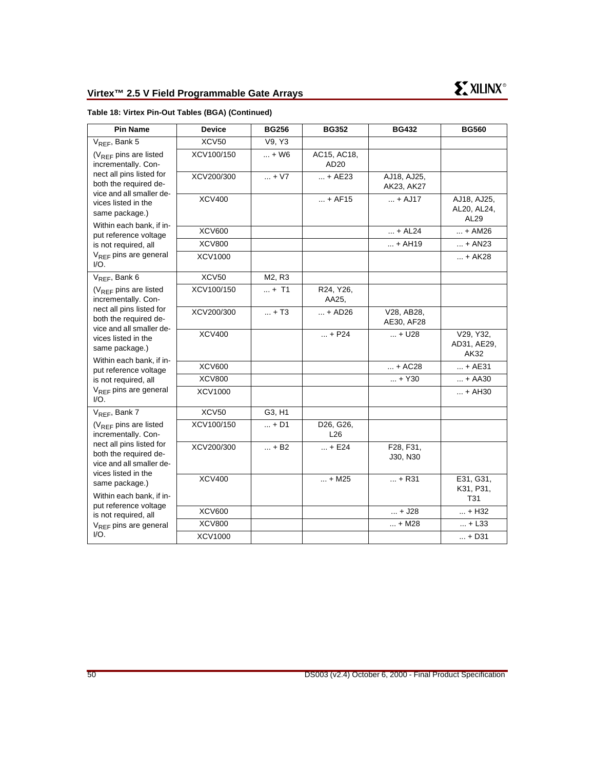| <b>Pin Name</b>                                                                                                        | <b>Device</b>  | <b>BG256</b> | <b>BG352</b>                    | <b>BG432</b>              | <b>BG560</b>                       |
|------------------------------------------------------------------------------------------------------------------------|----------------|--------------|---------------------------------|---------------------------|------------------------------------|
| V <sub>REF</sub> , Bank 5                                                                                              | <b>XCV50</b>   | V9, Y3       |                                 |                           |                                    |
| $(V_{REF}$ pins are listed<br>incrementally. Con-                                                                      | XCV100/150     | $ + W6$      | AC15, AC18,<br>AD <sub>20</sub> |                           |                                    |
| nect all pins listed for<br>both the required de-<br>vice and all smaller de-                                          | XCV200/300     | $ + V7$      | $ + AE23$                       | AJ18, AJ25,<br>AK23, AK27 |                                    |
| vices listed in the<br>same package.)                                                                                  | <b>XCV400</b>  |              | $ + AF15$                       | $ +$ AJ17                 | AJ18, AJ25,<br>AL20, AL24,<br>AL29 |
| Within each bank, if in-<br>put reference voltage                                                                      | <b>XCV600</b>  |              |                                 | $ + AL24$                 | + AM26                             |
| is not required, all                                                                                                   | <b>XCV800</b>  |              |                                 | $ + AH19$                 | $ + AN23$                          |
| V <sub>REF</sub> pins are general<br>$IO$ .                                                                            | <b>XCV1000</b> |              |                                 |                           | + AK28                             |
| V <sub>REF</sub> , Bank 6                                                                                              | <b>XCV50</b>   | M2, R3       |                                 |                           |                                    |
| $(V_{RFF}$ pins are listed<br>incrementally. Con-                                                                      | XCV100/150     | $ + T1$      | R24, Y26,<br>AA25,              |                           |                                    |
| nect all pins listed for<br>both the required de-<br>vice and all smaller de-<br>vices listed in the<br>same package.) | XCV200/300     | $ + T3$      | $ + AD26$                       | V28, AB28,<br>AE30, AF28  |                                    |
|                                                                                                                        | <b>XCV400</b>  |              | $ + P24$                        | $ + U28$                  | V29, Y32,<br>AD31, AE29,<br>AK32   |
| Within each bank, if in-<br>put reference voltage                                                                      | <b>XCV600</b>  |              |                                 | $ + AC28$                 | + AE31                             |
| is not required, all                                                                                                   | <b>XCV800</b>  |              |                                 | $ + Y30$                  | $ + A A 30$                        |
| $V_{RFF}$ pins are general<br>I/O.                                                                                     | XCV1000        |              |                                 |                           | $ + AH30$                          |
| V <sub>REF</sub> , Bank 7                                                                                              | <b>XCV50</b>   | G3, H1       |                                 |                           |                                    |
| $(V_{RFF}$ pins are listed<br>incrementally. Con-                                                                      | XCV100/150     | $ + D1$      | D26, G26,<br>L26                |                           |                                    |
| nect all pins listed for<br>both the required de-<br>vice and all smaller de-<br>vices listed in the                   | XCV200/300     | $ + B2$      | $ + E24$                        | F28, F31,<br>J30, N30     |                                    |
| same package.)<br>Within each bank, if in-                                                                             | <b>XCV400</b>  |              | $ + M25$                        | $ + R31$                  | E31, G31,<br>K31, P31,             |
| put reference voltage                                                                                                  | <b>XCV600</b>  |              |                                 | $ + J28$                  | T31<br>$ + H32$                    |
| is not required, all                                                                                                   | <b>XCV800</b>  |              |                                 | $ + M28$                  | $ + L33$                           |
| $V_{RFF}$ pins are general<br>I/O.                                                                                     | <b>XCV1000</b> |              |                                 |                           | $ + D31$                           |
|                                                                                                                        |                |              |                                 |                           |                                    |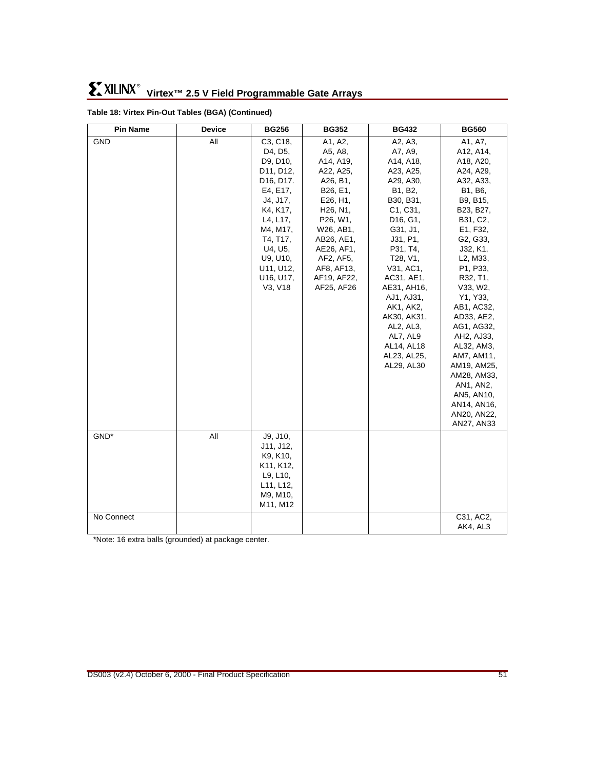#### GND | All | C3, C18, D4, D5, D9, D10, D11, D12, D16, D17. E4, E17, J4, J17, K4, K17, L4, L17, M4, M17, T4, T17, U4, U5, U9, U10, U11, U12, U16, U17, V3, V18 A1, A2, A5, A8, A14, A19, A22, A25, A26, B1, B26, E1, E26, H1, H26, N1, P26, W1, W26, AB1, AB26, AE1, AE26, AF1, AF2, AF5, AF8, AF13, AF19, AF22, AF25, AF26 A2, A3, A7, A9, A14, A18, A23, A25, A29, A30, B1, B2, B30, B31, C1, C31, D16, G1, G31, J1, J31, P1, P31, T4, T28, V1, V31, AC1, AC31, AE1, AE31, AH16, AJ1, AJ31, AK1, AK2, AK30, AK31, AL2, AL3, AL7, AL9 AL14, AL18 AL23, AL25, AL29, AL30 A1, A7, A12, A14, A18, A20, A24, A29, A32, A33, B1, B6, B9, B15, B23, B27, B31, C2, E1, F32, G2, G33, J32, K1, L2, M33, P1, P33, R32, T1, V33, W2, Y1, Y33, AB1, AC32, AD33, AE2, AG1, AG32, AH2, AJ33, AL32, AM3, AM7, AM11, AM19, AM25, AM28, AM33, AN1, AN2, AN5, AN10, AN14, AN16, AN20, AN22, AN27, AN33 GND<sup>\*</sup> All  $J9, J10,$ J11, J12, K9, K10, K11, K12, L9, L10, L11, L12, M9, M10, M11, M12 No Connect C31, AC2, AK4, AL3 **Pin Name Device BG256 BG352 BG432 BG560**

#### **Table 18: Virtex Pin-Out Tables (BGA) (Continued)**

\*Note: 16 extra balls (grounded) at package center.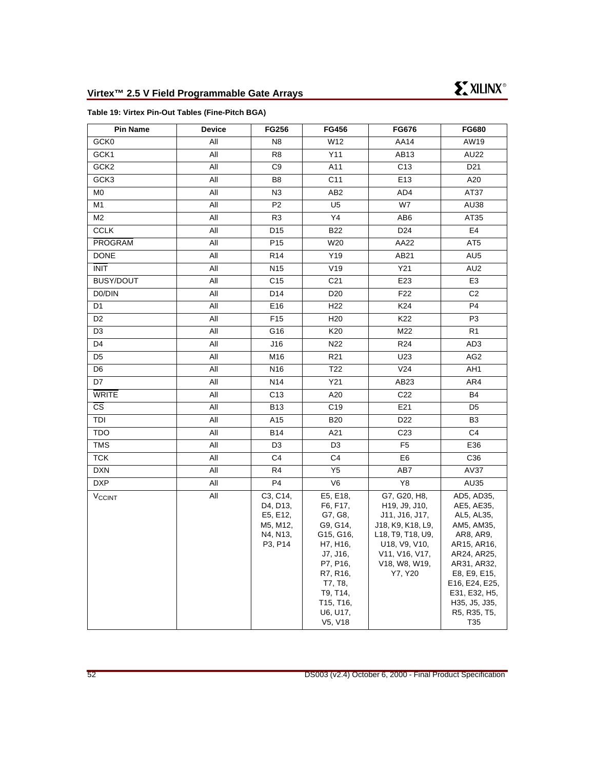#### <span id="page-51-0"></span>**Table 19: Virtex Pin-Out Tables (Fine-Pitch BGA)**

| <b>Pin Name</b>                 | <b>Device</b> | <b>FG256</b>                                                        | FG456                                                                                                                                                               | <b>FG676</b>                                                                                                                                                                                    | <b>FG680</b>                                                                                                                                                                                              |
|---------------------------------|---------------|---------------------------------------------------------------------|---------------------------------------------------------------------------------------------------------------------------------------------------------------------|-------------------------------------------------------------------------------------------------------------------------------------------------------------------------------------------------|-----------------------------------------------------------------------------------------------------------------------------------------------------------------------------------------------------------|
| GCK0                            | All           | N <sub>8</sub>                                                      | W12                                                                                                                                                                 | AA14                                                                                                                                                                                            | AW19                                                                                                                                                                                                      |
| GCK1                            | All           | R <sub>8</sub>                                                      | Y11                                                                                                                                                                 | AB13                                                                                                                                                                                            | AU22                                                                                                                                                                                                      |
| GCK <sub>2</sub>                | All           | C <sub>9</sub>                                                      | A11                                                                                                                                                                 | C <sub>13</sub>                                                                                                                                                                                 | D <sub>21</sub>                                                                                                                                                                                           |
| GCK3                            | All           | B <sub>8</sub>                                                      | C <sub>11</sub>                                                                                                                                                     | E13                                                                                                                                                                                             | A20                                                                                                                                                                                                       |
| M <sub>0</sub>                  | All           | N <sub>3</sub>                                                      | AB <sub>2</sub>                                                                                                                                                     | AD4                                                                                                                                                                                             | AT37                                                                                                                                                                                                      |
| M1                              | All           | P <sub>2</sub>                                                      | U <sub>5</sub>                                                                                                                                                      | W7                                                                                                                                                                                              | AU38                                                                                                                                                                                                      |
| M <sub>2</sub>                  | All           | R <sub>3</sub>                                                      | Y4                                                                                                                                                                  | AB <sub>6</sub>                                                                                                                                                                                 | AT35                                                                                                                                                                                                      |
| <b>CCLK</b>                     | All           | D <sub>15</sub>                                                     | <b>B22</b>                                                                                                                                                          | D <sub>24</sub>                                                                                                                                                                                 | E4                                                                                                                                                                                                        |
| PROGRAM                         | All           | P <sub>15</sub>                                                     | W20                                                                                                                                                                 | AA22                                                                                                                                                                                            | AT <sub>5</sub>                                                                                                                                                                                           |
| <b>DONE</b>                     | All           | R <sub>14</sub>                                                     | Y19                                                                                                                                                                 | AB21                                                                                                                                                                                            | AU <sub>5</sub>                                                                                                                                                                                           |
| <b>INIT</b>                     | All           | N <sub>15</sub>                                                     | V19                                                                                                                                                                 | Y21                                                                                                                                                                                             | AU <sub>2</sub>                                                                                                                                                                                           |
| <b>BUSY/DOUT</b>                | All           | C <sub>15</sub>                                                     | C <sub>21</sub>                                                                                                                                                     | E23                                                                                                                                                                                             | E <sub>3</sub>                                                                                                                                                                                            |
| D <sub>0</sub> /D <sub>IN</sub> | All           | D <sub>14</sub>                                                     | D <sub>20</sub>                                                                                                                                                     | F <sub>22</sub>                                                                                                                                                                                 | C <sub>2</sub>                                                                                                                                                                                            |
| D <sub>1</sub>                  | All           | E16                                                                 | H <sub>22</sub>                                                                                                                                                     | K24                                                                                                                                                                                             | P <sub>4</sub>                                                                                                                                                                                            |
| D <sub>2</sub>                  | All           | F <sub>15</sub>                                                     | H <sub>20</sub>                                                                                                                                                     | K22                                                                                                                                                                                             | P <sub>3</sub>                                                                                                                                                                                            |
| D <sub>3</sub>                  | All           | G16                                                                 | K20                                                                                                                                                                 | M22                                                                                                                                                                                             | R <sub>1</sub>                                                                                                                                                                                            |
| D <sub>4</sub>                  | All           | J16                                                                 | N22                                                                                                                                                                 | R24                                                                                                                                                                                             | AD <sub>3</sub>                                                                                                                                                                                           |
| D <sub>5</sub>                  | All           | M16                                                                 | R <sub>21</sub>                                                                                                                                                     | U23                                                                                                                                                                                             | AG <sub>2</sub>                                                                                                                                                                                           |
| D <sub>6</sub>                  | All           | N <sub>16</sub>                                                     | T <sub>22</sub>                                                                                                                                                     | V24                                                                                                                                                                                             | AH <sub>1</sub>                                                                                                                                                                                           |
| D7                              | All           | N <sub>14</sub>                                                     | Y21                                                                                                                                                                 | AB23                                                                                                                                                                                            | AR4                                                                                                                                                                                                       |
| <b>WRITE</b>                    | All           | C <sub>13</sub>                                                     | A20                                                                                                                                                                 | C22                                                                                                                                                                                             | <b>B4</b>                                                                                                                                                                                                 |
| <b>CS</b>                       | All           | <b>B13</b>                                                          | C <sub>19</sub>                                                                                                                                                     | E21                                                                                                                                                                                             | D <sub>5</sub>                                                                                                                                                                                            |
| TDI                             | All           | A15                                                                 | <b>B20</b>                                                                                                                                                          | D <sub>22</sub>                                                                                                                                                                                 | B <sub>3</sub>                                                                                                                                                                                            |
| <b>TDO</b>                      | All           | <b>B14</b>                                                          | A21                                                                                                                                                                 | C <sub>23</sub>                                                                                                                                                                                 | C <sub>4</sub>                                                                                                                                                                                            |
| <b>TMS</b>                      | All           | D <sub>3</sub>                                                      | D <sub>3</sub>                                                                                                                                                      | F <sub>5</sub>                                                                                                                                                                                  | E36                                                                                                                                                                                                       |
| <b>TCK</b>                      | All           | C <sub>4</sub>                                                      | C <sub>4</sub>                                                                                                                                                      | E <sub>6</sub>                                                                                                                                                                                  | C36                                                                                                                                                                                                       |
| <b>DXN</b>                      | All           | R <sub>4</sub>                                                      | Y <sub>5</sub>                                                                                                                                                      | AB7                                                                                                                                                                                             | AV37                                                                                                                                                                                                      |
| <b>DXP</b>                      | All           | P <sub>4</sub>                                                      | V <sub>6</sub>                                                                                                                                                      | Y8                                                                                                                                                                                              | AU35                                                                                                                                                                                                      |
| V <sub>CCINT</sub>              | All           | C3, C14,<br>D4, D13,<br>E5, E12,<br>M5, M12,<br>N4, N13,<br>P3, P14 | E5, E18,<br>F6, F17,<br>G7, G8,<br>G9, G14,<br>G15, G16,<br>H7, H16,<br>J7, J16,<br>P7, P16,<br>R7, R16,<br>T7, T8,<br>T9, T14,<br>T15, T16,<br>U6, U17,<br>V5, V18 | G7, G20, H8,<br>H <sub>19</sub> , J <sub>9</sub> , J <sub>10</sub> ,<br>J11, J16, J17,<br>J18, K9, K18, L9,<br>L18, T9, T18, U9,<br>U18, V9, V10,<br>V11, V16, V17,<br>V18, W8, W19,<br>Y7, Y20 | AD5, AD35,<br>AE5, AE35,<br>AL5, AL35,<br>AM5, AM35,<br>AR8, AR9,<br>AR15, AR16,<br>AR24, AR25,<br>AR31, AR32,<br>E8, E9, E15,<br>E16, E24, E25,<br>E31, E32, H5,<br>H35, J5, J35,<br>R5, R35, T5,<br>T35 |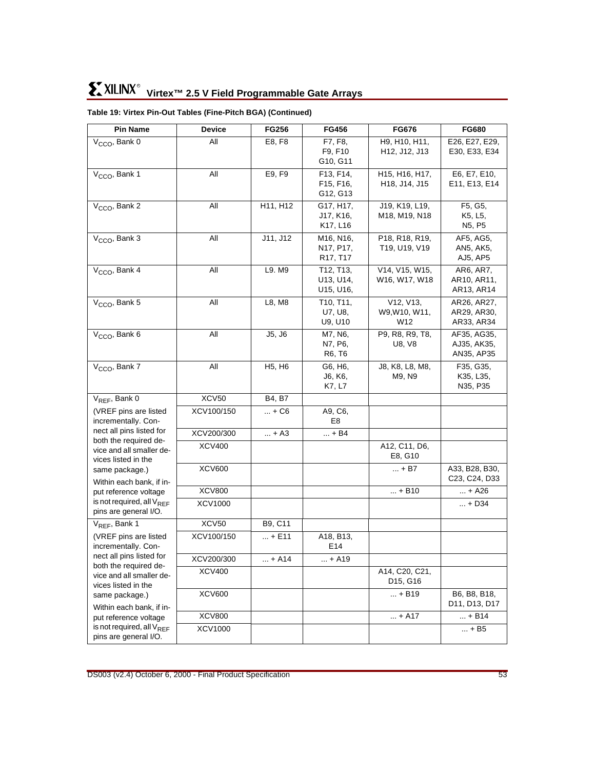| <b>Pin Name</b>                                         | Device        | <b>FG256</b>                    | <b>FG456</b>                                    | FG676                                                 | <b>FG680</b>                    |
|---------------------------------------------------------|---------------|---------------------------------|-------------------------------------------------|-------------------------------------------------------|---------------------------------|
| $VCCO$ , Bank 0                                         | All           | E8, F8                          | F7, F8,                                         | H9, H10, H11,                                         | E26, E27, E29,                  |
|                                                         |               |                                 | F9, F10                                         | H <sub>12</sub> , J <sub>12</sub> , J <sub>13</sub>   | E30, E33, E34                   |
|                                                         |               |                                 | G10, G11                                        |                                                       |                                 |
| V <sub>CCO</sub> , Bank 1                               | All           | E9, F9                          | F13, F14,                                       | H <sub>15</sub> , H <sub>16</sub> , H <sub>17</sub> , | E6, E7, E10,                    |
|                                                         |               |                                 | F <sub>15</sub> , F <sub>16</sub> ,<br>G12, G13 | H <sub>18</sub> , J <sub>14</sub> , J <sub>15</sub>   | E11, E13, E14                   |
| $VCCO$ , Bank 2                                         | All           | H11, H12                        | G17, H17,                                       | J19, K19, L19,                                        | F5, G5,                         |
|                                                         |               |                                 | J17, K16,                                       | M18, M19, N18                                         | K5, L5,                         |
|                                                         |               |                                 | K17, L16                                        |                                                       | N <sub>5</sub> , P <sub>5</sub> |
| V <sub>CCO</sub> , Bank 3                               | All           | J11, J12                        | M <sub>16</sub> , N <sub>16</sub> ,             | P18, R18, R19,                                        | AF5, AG5,                       |
|                                                         |               |                                 | N17, P17,                                       | T19, U19, V19                                         | AN5, AK5,                       |
|                                                         |               |                                 | R <sub>17</sub> , T <sub>17</sub>               |                                                       | AJ5, AP5                        |
| $VCCO$ , Bank 4                                         | All           | L9. M9                          | T12, T13,                                       | V14, V15, W15,                                        | AR6, AR7,                       |
|                                                         |               |                                 | U13, U14,<br>U15, U16,                          | W16, W17, W18                                         | AR10, AR11,<br>AR13, AR14       |
| V <sub>CCO</sub> , Bank 5                               | All           | L8, M8                          | T <sub>10</sub> , T <sub>11</sub> ,             | V12, V13,                                             | AR26, AR27,                     |
|                                                         |               |                                 | U7, U8,                                         | W9, W10, W11,                                         | AR29, AR30,                     |
|                                                         |               |                                 | U9, U10                                         | W12                                                   | AR33, AR34                      |
| $VCCO$ , Bank 6                                         | All           | J5, J6                          | M7, N6,                                         | P9, R8, R9, T8,                                       | AF35, AG35,                     |
|                                                         |               |                                 | N7, P6,                                         | <b>U8, V8</b>                                         | AJ35, AK35,                     |
|                                                         |               |                                 | R6, T6                                          |                                                       | AN35, AP35                      |
| V <sub>CCO</sub> , Bank 7                               | All           | H <sub>5</sub> , H <sub>6</sub> | G6, H6,                                         | J8, K8, L8, M8,                                       | F35, G35,                       |
|                                                         |               |                                 | J6, K6,<br>K7, L7                               | M9, N9                                                | K35, L35,<br>N35, P35           |
| V <sub>REF</sub> , Bank 0                               | XCV50         | B4, B7                          |                                                 |                                                       |                                 |
| (VREF pins are listed                                   | XCV100/150    | + C6                            | A9, C6,                                         |                                                       |                                 |
| incrementally. Con-                                     |               |                                 | E8                                              |                                                       |                                 |
| nect all pins listed for                                | XCV200/300    | $ + A3$                         | $ + B4$                                         |                                                       |                                 |
| both the required de-                                   | <b>XCV400</b> |                                 |                                                 | A12, C11, D6,                                         |                                 |
| vice and all smaller de-<br>vices listed in the         |               |                                 |                                                 | E8, G10                                               |                                 |
| same package.)                                          | <b>XCV600</b> |                                 |                                                 | + B7                                                  | A33, B28, B30,                  |
| Within each bank, if in-                                |               |                                 |                                                 |                                                       | C23, C24, D33                   |
| put reference voltage                                   | <b>XCV800</b> |                                 |                                                 | $ + B10$                                              | + A26                           |
| is not required, all $V_{RFF}$<br>pins are general I/O. | XCV1000       |                                 |                                                 |                                                       | $ + D34$                        |
| $V_{REF}$ , Bank 1                                      | XCV50         | B9, C11                         |                                                 |                                                       |                                 |
| (VREF pins are listed                                   | XCV100/150    | $ + E11$                        | A18, B13,                                       |                                                       |                                 |
| incrementally. Con-                                     |               |                                 | E14                                             |                                                       |                                 |
| nect all pins listed for                                | XCV200/300    | $ + A14$                        | $ + A19$                                        |                                                       |                                 |
| both the required de-                                   | <b>XCV400</b> |                                 |                                                 | A14, C20, C21,                                        |                                 |
| vice and all smaller de-<br>vices listed in the         |               |                                 |                                                 | D15, G16                                              |                                 |
| same package.)                                          | <b>XCV600</b> |                                 |                                                 | $ + B19$                                              | B6, B8, B18,                    |
| Within each bank, if in-                                |               |                                 |                                                 |                                                       | D11, D13, D17                   |
| put reference voltage                                   | <b>XCV800</b> |                                 |                                                 | $ + A17$                                              | $ + B14$                        |
| is not required, all $V_{REF}$                          | XCV1000       |                                 |                                                 |                                                       | $ + B5$                         |
| pins are general I/O.                                   |               |                                 |                                                 |                                                       |                                 |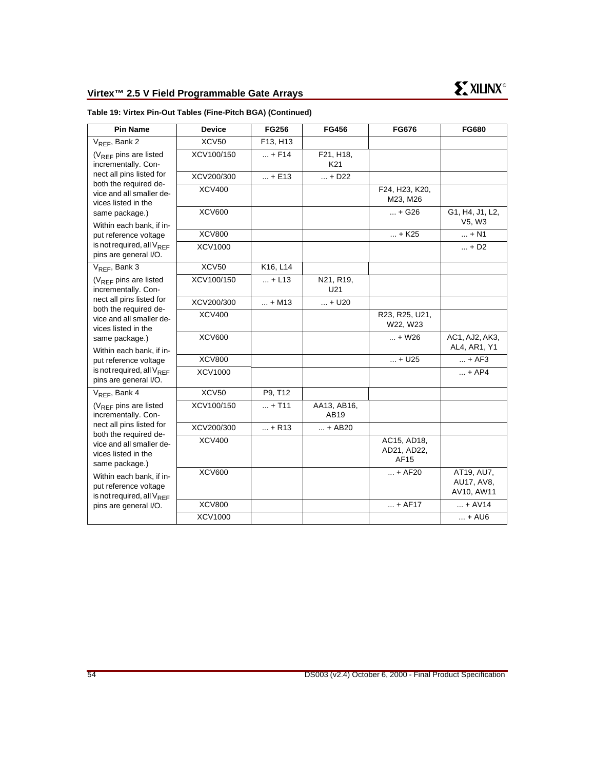| <b>Pin Name</b>                                                                                                                                                                          | <b>Device</b>  | <b>FG256</b> | FG456               | <b>FG676</b>                       | <b>FG680</b>                           |
|------------------------------------------------------------------------------------------------------------------------------------------------------------------------------------------|----------------|--------------|---------------------|------------------------------------|----------------------------------------|
| V <sub>REF</sub> , Bank 2                                                                                                                                                                | XCV50          | F13, H13     |                     |                                    |                                        |
| $(V_{RFF}$ pins are listed<br>incrementally. Con-                                                                                                                                        | XCV100/150     | $ + F14$     | F21, H18,<br>K21    |                                    |                                        |
| nect all pins listed for<br>both the required de-                                                                                                                                        | XCV200/300     | $ + E13$     | + D22               |                                    |                                        |
| vice and all smaller de-<br>vices listed in the                                                                                                                                          | XCV400         |              |                     | F24, H23, K20,<br>M23, M26         |                                        |
| same package.)<br>Within each bank, if in-                                                                                                                                               | <b>XCV600</b>  |              |                     | $ + G26$                           | G1, H4, J1, L2,<br>V5, W3              |
| put reference voltage                                                                                                                                                                    | <b>XCV800</b>  |              |                     | $ + K25$                           | $ + N1$                                |
| is not required, all $V_{RFF}$<br>pins are general I/O.                                                                                                                                  | <b>XCV1000</b> |              |                     |                                    | $ + D2$                                |
| $V_{REF}$ , Bank 3                                                                                                                                                                       | <b>XCV50</b>   | K16, L14     |                     |                                    |                                        |
| (V <sub>REF</sub> pins are listed<br>incrementally. Con-                                                                                                                                 | XCV100/150     | $ + L13$     | N21, R19,<br>U21    |                                    |                                        |
| nect all pins listed for<br>both the required de-                                                                                                                                        | XCV200/300     | $ + M13$     | $ + U20$            |                                    |                                        |
| vice and all smaller de-<br>vices listed in the                                                                                                                                          | <b>XCV400</b>  |              |                     | R23, R25, U21,<br>W22, W23         |                                        |
| same package.)<br>Within each bank, if in-                                                                                                                                               | <b>XCV600</b>  |              |                     | $ + W26$                           | AC1, AJ2, AK3,<br>AL4, AR1, Y1         |
| put reference voltage                                                                                                                                                                    | <b>XCV800</b>  |              |                     | $ + U25$                           | $ + AF3$                               |
| is not required, all V <sub>REF</sub><br>pins are general I/O.                                                                                                                           | <b>XCV1000</b> |              |                     |                                    | $ + AP4$                               |
| V <sub>REF</sub> , Bank 4                                                                                                                                                                | <b>XCV50</b>   | P9, T12      |                     |                                    |                                        |
| $(V_{RFF}$ pins are listed<br>incrementally. Con-                                                                                                                                        | XCV100/150     | $ + T11$     | AA13, AB16,<br>AB19 |                                    |                                        |
| nect all pins listed for                                                                                                                                                                 | XCV200/300     | $ + R13$     | $ + AB20$           |                                    |                                        |
| both the required de-<br>vice and all smaller de-<br>vices listed in the<br>same package.)<br>Within each bank, if in-<br>put reference voltage<br>is not required, all V <sub>REF</sub> | <b>XCV400</b>  |              |                     | AC15, AD18,<br>AD21, AD22,<br>AF15 |                                        |
|                                                                                                                                                                                          | <b>XCV600</b>  |              |                     | $ + AF20$                          | AT19, AU7,<br>AU17, AV8,<br>AV10, AW11 |
| pins are general I/O.                                                                                                                                                                    | <b>XCV800</b>  |              |                     | $ + AF17$                          | $ + AV14$                              |
|                                                                                                                                                                                          | <b>XCV1000</b> |              |                     |                                    | $ +$ AU6                               |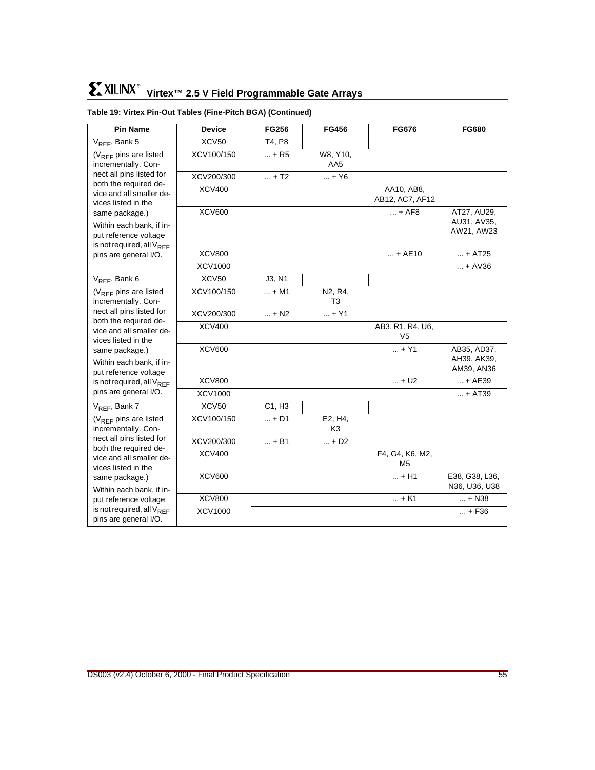| <b>Pin Name</b>                                                                                              | <b>Device</b>  | <b>FG256</b> | <b>FG456</b>              | <b>FG676</b>                  | <b>FG680</b>                             |
|--------------------------------------------------------------------------------------------------------------|----------------|--------------|---------------------------|-------------------------------|------------------------------------------|
| V <sub>REF</sub> , Bank 5                                                                                    | <b>XCV50</b>   | T4, P8       |                           |                               |                                          |
| $(V_{RFF}$ pins are listed<br>incrementally. Con-                                                            | XCV100/150     | $ + R5$      | W8, Y10,<br>AA5           |                               |                                          |
| nect all pins listed for                                                                                     | XCV200/300     | $ + T2$      | $ + Y6$                   |                               |                                          |
| both the required de-<br>vice and all smaller de-<br>vices listed in the                                     | <b>XCV400</b>  |              |                           | AA10, AB8,<br>AB12, AC7, AF12 |                                          |
| same package.)<br>Within each bank, if in-<br>put reference voltage<br>is not required, all V <sub>REF</sub> | <b>XCV600</b>  |              |                           | $ + AFB$                      | AT27, AU29,<br>AU31, AV35,<br>AW21, AW23 |
| pins are general I/O.                                                                                        | <b>XCV800</b>  |              |                           | $ + AE10$                     | $ + AT25$                                |
|                                                                                                              | <b>XCV1000</b> |              |                           |                               | $ + AV36$                                |
| V <sub>REF</sub> , Bank 6                                                                                    | <b>XCV50</b>   | J3, N1       |                           |                               |                                          |
| $(V_{REF}$ pins are listed<br>incrementally. Con-                                                            | XCV100/150     | $ + M1$      | N2, R4,<br>T3             |                               |                                          |
| nect all pins listed for<br>both the required de-                                                            | XCV200/300     | $ + N2$      | $ + Y1$                   |                               |                                          |
| vice and all smaller de-<br>vices listed in the                                                              | <b>XCV400</b>  |              |                           | AB3, R1, R4, U6,<br>V5        |                                          |
| same package.)<br>Within each bank, if in-<br>put reference voltage                                          | <b>XCV600</b>  |              |                           | $ + Y1$                       | AB35, AD37,<br>AH39, AK39,<br>AM39, AN36 |
| is not required, all $V_{RFF}$                                                                               | <b>XCV800</b>  |              |                           | $ + U2$                       | $ + AE39$                                |
| pins are general I/O.                                                                                        | <b>XCV1000</b> |              |                           |                               | $ + AT39$                                |
| V <sub>REF</sub> , Bank 7                                                                                    | XCV50          | C1, H3       |                           |                               |                                          |
| (V <sub>REF</sub> pins are listed<br>incrementally. Con-                                                     | XCV100/150     | $ + D1$      | E2, H4,<br>K <sub>3</sub> |                               |                                          |
| nect all pins listed for                                                                                     | XCV200/300     | $ + B1$      | $ + D2$                   |                               |                                          |
| both the required de-<br>vice and all smaller de-<br>vices listed in the                                     | <b>XCV400</b>  |              |                           | F4, G4, K6, M2,<br>M5         |                                          |
| same package.)<br>Within each bank, if in-                                                                   | <b>XCV600</b>  |              |                           | $ + H1$                       | E38, G38, L36,<br>N36, U36, U38          |
| put reference voltage                                                                                        | <b>XCV800</b>  |              |                           | $ + K1$                       | $ + N38$                                 |
| is not required, all $V_{REF}$<br>pins are general I/O.                                                      | <b>XCV1000</b> |              |                           |                               | $ + F36$                                 |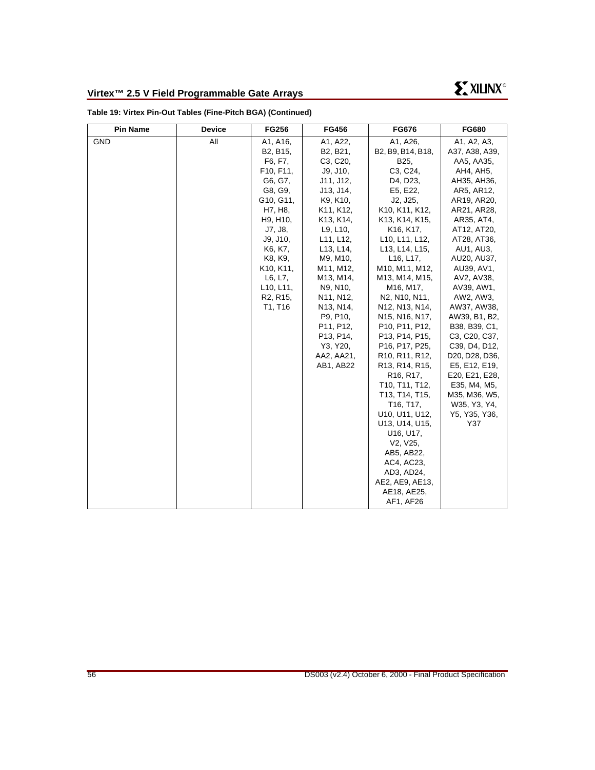| <b>Pin Name</b> | <b>Device</b> | <b>FG256</b>                                                                                                                                                                                                                                                 | <b>FG456</b>                                                                                                                                                                                                                                                             | <b>FG676</b>                                                                                                                                                                                                                                                                                                                                                                                                                                                                                                                                                                                                                                                                                                                                                                         | <b>FG680</b>                                                                                                                                                                                                                                                                                                                                                                                                                                                           |
|-----------------|---------------|--------------------------------------------------------------------------------------------------------------------------------------------------------------------------------------------------------------------------------------------------------------|--------------------------------------------------------------------------------------------------------------------------------------------------------------------------------------------------------------------------------------------------------------------------|--------------------------------------------------------------------------------------------------------------------------------------------------------------------------------------------------------------------------------------------------------------------------------------------------------------------------------------------------------------------------------------------------------------------------------------------------------------------------------------------------------------------------------------------------------------------------------------------------------------------------------------------------------------------------------------------------------------------------------------------------------------------------------------|------------------------------------------------------------------------------------------------------------------------------------------------------------------------------------------------------------------------------------------------------------------------------------------------------------------------------------------------------------------------------------------------------------------------------------------------------------------------|
| <b>GND</b>      | All           | A1, A16,<br>B <sub>2</sub> , B <sub>15</sub> ,<br>F6, F7,<br>F <sub>10</sub> , F <sub>11</sub> ,<br>G6, G7,                                                                                                                                                  | A1, A22,<br>B <sub>2</sub> , B <sub>21</sub> ,<br>C3, C20,<br>J9, J10,<br>J11, J12,                                                                                                                                                                                      | A1, A26,<br>B2, B9, B14, B18,<br>B25,<br>C3, C24,<br>D4, D23,                                                                                                                                                                                                                                                                                                                                                                                                                                                                                                                                                                                                                                                                                                                        | A1, A2, A3,<br>A37, A38, A39,<br>AA5, AA35,<br>AH4, AH5,<br>AH35, AH36,                                                                                                                                                                                                                                                                                                                                                                                                |
|                 |               | G8, G9,<br>G <sub>10</sub> , G <sub>11</sub> ,<br>H7, H8,<br>H9, H10,<br>J7, J8,<br>J9, J10,<br>K6, K7,<br>K8, K9,<br>K <sub>10</sub> , K <sub>11</sub> ,<br>L6, L7,<br>L <sub>10</sub> , L <sub>11</sub> ,<br>R <sub>2</sub> , R <sub>15</sub> ,<br>T1, T16 | J13, J14,<br>K9, K10,<br>K11, K12,<br>K13, K14,<br>L9, L10,<br>L11, L12,<br>L <sub>13</sub> , L <sub>14</sub> ,<br>M9, M10,<br>M11, M12,<br>M13, M14,<br>N9, N10,<br>N11, N12,<br>N13, N14,<br>P9, P10,<br>P11, P12,<br>P13, P14,<br>Y3, Y20,<br>AA2, AA21,<br>AB1, AB22 | E5, E22,<br>J2, J25,<br>K10, K11, K12,<br>K13, K14, K15,<br>K <sub>16</sub> , K <sub>17</sub> ,<br>L10, L11, L12,<br>L13, L14, L15,<br>L16, L17,<br>M10, M11, M12,<br>M13, M14, M15,<br>M16, M17,<br>N2, N10, N11,<br>N12, N13, N14,<br>N <sub>15</sub> , N <sub>16</sub> , N <sub>17</sub> ,<br>P10, P11, P12,<br>P <sub>13</sub> , P <sub>14</sub> , P <sub>15</sub> ,<br>P16, P17, P25,<br>R <sub>10</sub> , R <sub>11</sub> , R <sub>12</sub> ,<br>R <sub>13</sub> , R <sub>14</sub> , R <sub>15</sub> ,<br>R <sub>16</sub> , R <sub>17</sub> ,<br>T10, T11, T12,<br>T13, T14, T15,<br>T <sub>16</sub> , T <sub>17</sub> ,<br>U10, U11, U12,<br>U13, U14, U15,<br>U16, U17,<br>V2, V25,<br>AB5, AB22,<br>AC4, AC23,<br>AD3, AD24,<br>AE2, AE9, AE13,<br>AE18, AE25,<br>AF1, AF26 | AR5, AR12,<br>AR19, AR20,<br>AR21, AR28,<br>AR35, AT4,<br>AT12, AT20,<br>AT28, AT36,<br>AU1, AU3,<br>AU20, AU37,<br>AU39, AV1,<br>AV2, AV38,<br>AV39, AW1,<br>AW2, AW3,<br>AW37, AW38,<br>AW39, B1, B2,<br>B38, B39, C1,<br>C <sub>3</sub> , C <sub>20</sub> , C <sub>37</sub> ,<br>C39, D4, D12,<br>D <sub>20</sub> , D <sub>28</sub> , D <sub>36</sub> ,<br>E5, E12, E19,<br>E20, E21, E28,<br>E35, M4, M5,<br>M35, M36, W5,<br>W35, Y3, Y4,<br>Y5, Y35, Y36,<br>Y37 |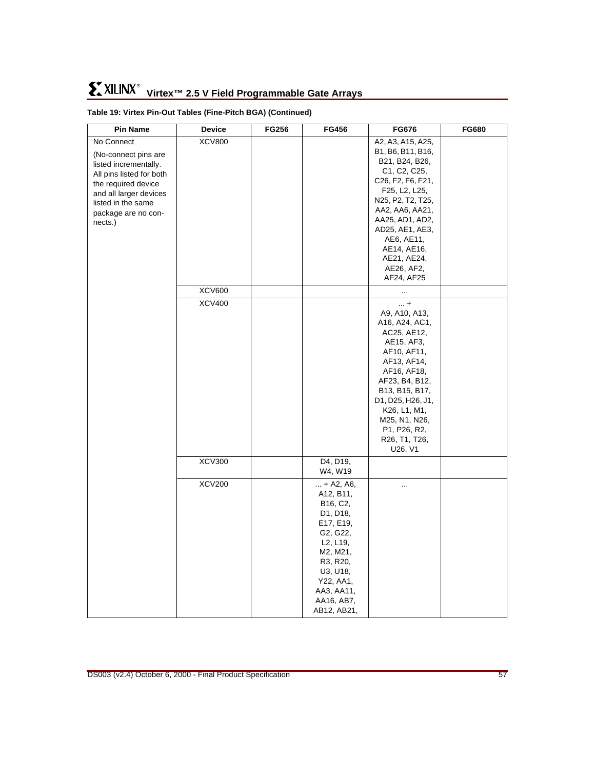| <b>Pin Name</b>                                                                                                                                                                                  | Device        | <b>FG256</b> | <b>FG456</b>                                                                                                                                                                                                                           | <b>FG676</b>                                                                                                                                                                                                                                                                                                | <b>FG680</b> |
|--------------------------------------------------------------------------------------------------------------------------------------------------------------------------------------------------|---------------|--------------|----------------------------------------------------------------------------------------------------------------------------------------------------------------------------------------------------------------------------------------|-------------------------------------------------------------------------------------------------------------------------------------------------------------------------------------------------------------------------------------------------------------------------------------------------------------|--------------|
| No Connect<br>(No-connect pins are<br>listed incrementally.<br>All pins listed for both<br>the required device<br>and all larger devices<br>listed in the same<br>package are no con-<br>nects.) | <b>XCV800</b> |              |                                                                                                                                                                                                                                        | A2, A3, A15, A25,<br>B1, B6, B11, B16,<br>B21, B24, B26,<br>C <sub>1</sub> , C <sub>2</sub> , C <sub>25</sub> ,<br>C26, F2, F6, F21,<br>F25, L2, L25,<br>N25, P2, T2, T25,<br>AA2, AA6, AA21,<br>AA25, AD1, AD2,<br>AD25, AE1, AE3,<br>AE6, AE11,<br>AE14, AE16,<br>AE21, AE24,<br>AE26, AF2,<br>AF24, AF25 |              |
|                                                                                                                                                                                                  | <b>XCV600</b> |              |                                                                                                                                                                                                                                        |                                                                                                                                                                                                                                                                                                             |              |
|                                                                                                                                                                                                  | <b>XCV400</b> |              |                                                                                                                                                                                                                                        | $\dots$ +<br>A9, A10, A13,<br>A16, A24, AC1,<br>AC25, AE12,<br>AE15, AF3,<br>AF10, AF11,<br>AF13, AF14,<br>AF16, AF18,<br>AF23, B4, B12,<br>B13, B15, B17,<br>D1, D25, H26, J1,<br>K26, L1, M1,<br>M25, N1, N26,<br>P <sub>1</sub> , P <sub>26</sub> , R <sub>2</sub> ,<br>R26, T1, T26,<br>U26, V1         |              |
|                                                                                                                                                                                                  | <b>XCV300</b> |              | D4, D19,<br>W4, W19                                                                                                                                                                                                                    |                                                                                                                                                                                                                                                                                                             |              |
|                                                                                                                                                                                                  | <b>XCV200</b> |              | $ + A2, A6,$<br>A12, B11,<br>B <sub>16</sub> , C <sub>2</sub> ,<br>D1, D18,<br>E17, E19,<br>G2, G22,<br>L <sub>2</sub> , L <sub>19</sub> ,<br>M2, M21,<br>R3, R20,<br>U3, U18,<br>Y22, AA1,<br>AA3, AA11,<br>AA16, AB7,<br>AB12, AB21, | $\ddotsc$                                                                                                                                                                                                                                                                                                   |              |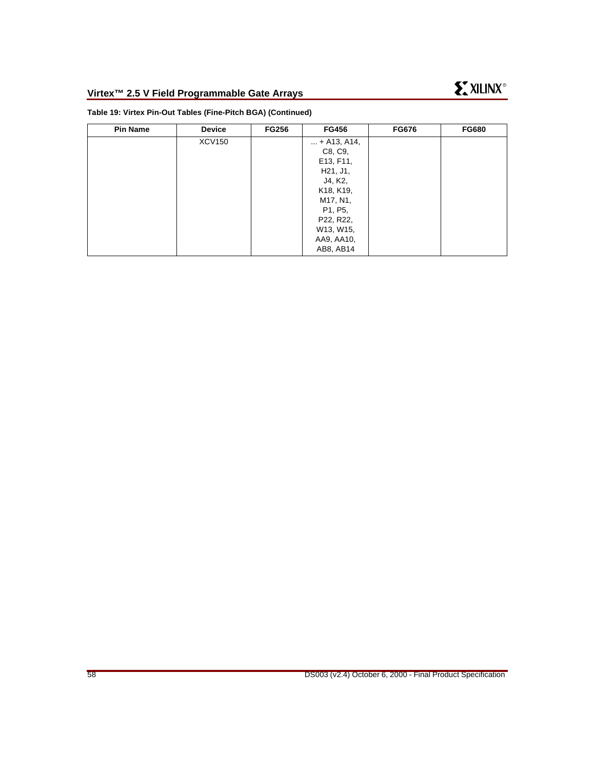| <b>Pin Name</b> | <b>Device</b> | <b>FG256</b> | <b>FG456</b>                        | <b>FG676</b> | <b>FG680</b> |
|-----------------|---------------|--------------|-------------------------------------|--------------|--------------|
|                 | <b>XCV150</b> |              | $ + A13, A14,$                      |              |              |
|                 |               |              | C8, C9,                             |              |              |
|                 |               |              | E13, F11,                           |              |              |
|                 |               |              | H <sub>21</sub> , J <sub>1</sub> ,  |              |              |
|                 |               |              | J4, K2,                             |              |              |
|                 |               |              | K <sub>18</sub> , K <sub>19</sub> , |              |              |
|                 |               |              | M17, N1,                            |              |              |
|                 |               |              | P1, P5,                             |              |              |
|                 |               |              | P22, R22,                           |              |              |
|                 |               |              | W13, W15,                           |              |              |
|                 |               |              | AA9, AA10,                          |              |              |
|                 |               |              | AB8, AB14                           |              |              |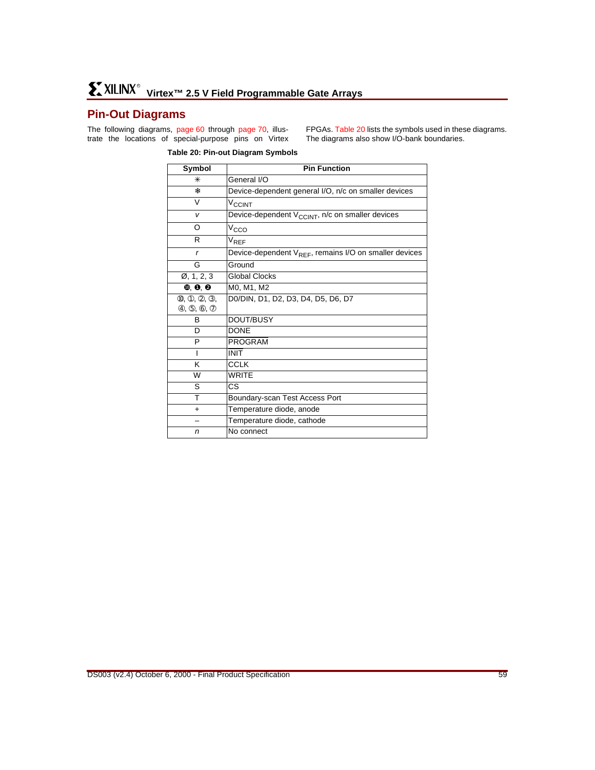# <span id="page-58-0"></span>**Pin-Out Diagrams**

The following diagrams, [page 60](#page-59-0) through [page 70](#page-69-0), illustrate the locations of special-purpose pins on Virtex

FPGAs. [Table 20](#page-58-1) lists the symbols used in these diagrams. The diagrams also show I/O-bank boundaries.

#### <span id="page-58-1"></span>**Table 20: Pin-out Diagram Symbols**

| Symbol                                    | <b>Pin Function</b>                                                |
|-------------------------------------------|--------------------------------------------------------------------|
| ∗                                         | General I/O                                                        |
| 楽                                         | Device-dependent general I/O, n/c on smaller devices               |
| V                                         | <b>V<sub>CCINT</sub></b>                                           |
| v                                         | Device-dependent V <sub>CCINT</sub> , n/c on smaller devices       |
| O                                         | V <sub>CCO</sub>                                                   |
| R                                         | $V_{REF}$                                                          |
| r                                         | Device-dependent V <sub>REF</sub> , remains I/O on smaller devices |
| G                                         | Ground                                                             |
| Ø, 1, 2, 3                                | <b>Global Clocks</b>                                               |
| $\mathbf{0}, \mathbf{0}, \mathbf{\Theta}$ | M0, M1, M2                                                         |
| (0, 0, 2, 3,                              | D0/DIN, D1, D2, D3, D4, D5, D6, D7                                 |
| (4, 6, 6, 0)                              |                                                                    |
| B                                         | DOUT/BUSY                                                          |
| D                                         | <b>DONE</b>                                                        |
| P                                         | <b>PROGRAM</b>                                                     |
| ı                                         | <b>INIT</b>                                                        |
| κ                                         | <b>CCLK</b>                                                        |
| W                                         | <b>WRITE</b>                                                       |
| S                                         | $\overline{\text{cs}}$                                             |
| т                                         | Boundary-scan Test Access Port                                     |
| ٠                                         | Temperature diode, anode                                           |
|                                           | Temperature diode, cathode                                         |
| n                                         | No connect                                                         |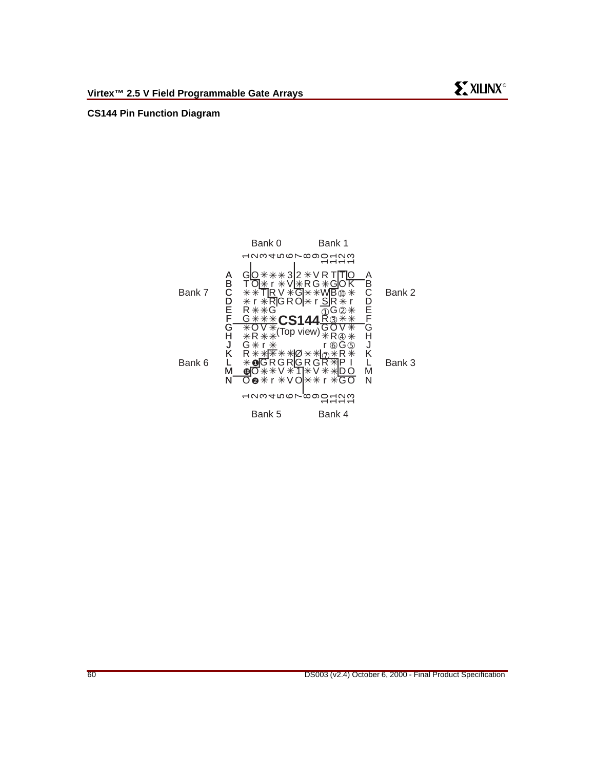#### <span id="page-59-0"></span>**CS144 Pin Function Diagram**

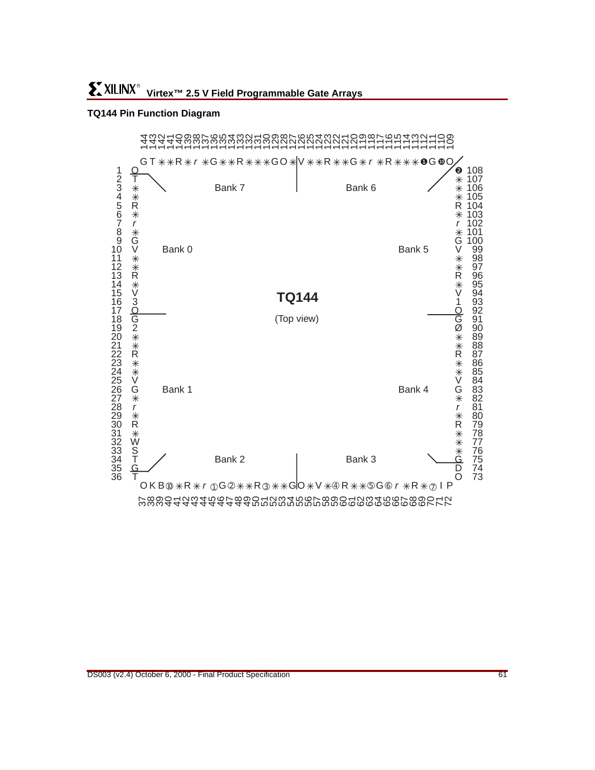#### **TQ144 Pin Function Diagram**

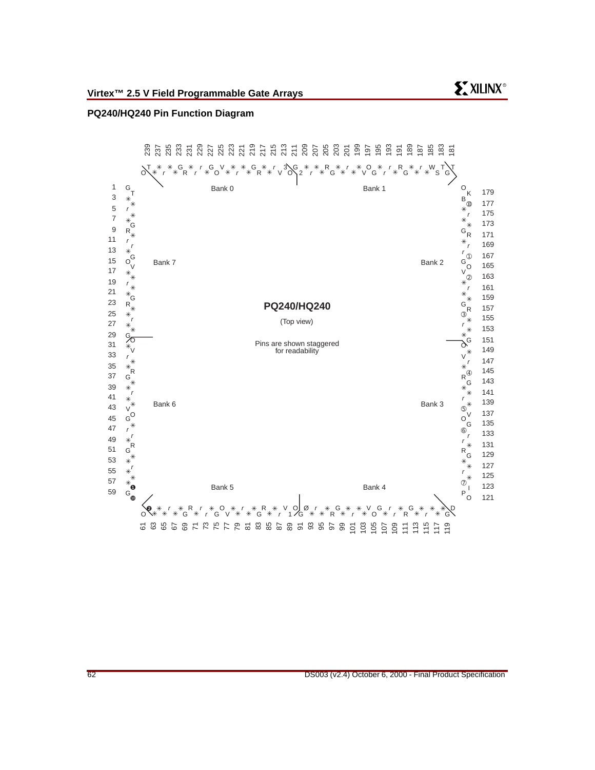#### **PQ240/HQ240 Pin Function Diagram**



**EXILINX®**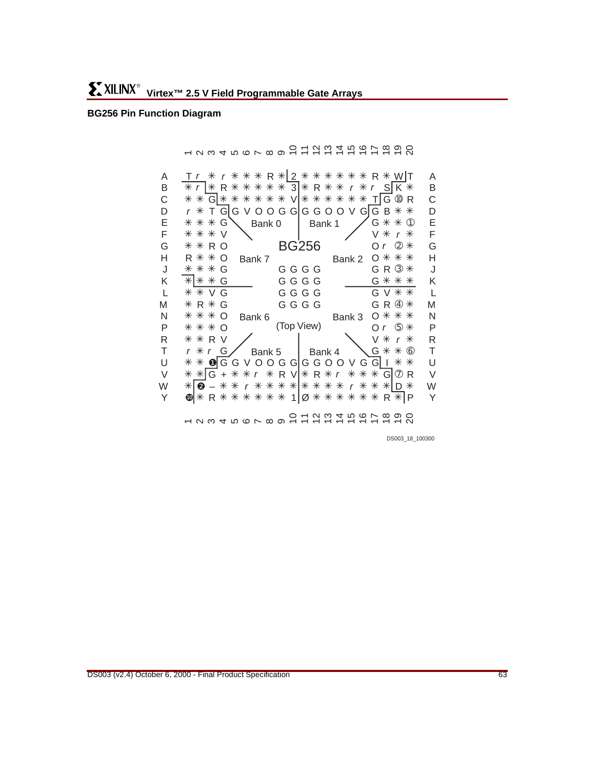#### <span id="page-62-0"></span>**BG256 Pin Function Diagram**

- 234 56 56 56 56 56 56 56 57 5 B C D E F G H J K L M N P R T U V W Y A ❷ ✳ ✳✳ ✳✳✳✳✳✳✳✳ ✳✳✳ ✳ – D r r \* <u>\* |</u>G + \* \* r \* R V|\* R \* r *\** \* \* G| @ R @|\* R \* \* \* \* \* \* 1|Ø \* \* \* \* \* \* R \*|P r r ✳ ✳✳✳ ✳ ✳✳✳✳✳✳ ✳ T R 2 R WT ❶ ✳✳ ✳✳ GGVOOGGGGOOVGG I ➂ ✳ G R ➃ ✳  $r$   $\circledast$   $*$ B C D E F G H J K L M N P R T U V W Y A 1 2 3 4 5 6 7 8 9 10 11 12 13 14 15 16 17 18 19 20 Bank 0 | Bank 1 Bank 5 O Bank 6 Bank 3 O \* \* \* Bank 4 Bank 6 R \* \* O Bank 7 Bank 2 O \* \* \* R O  $\cdot$  BG256 Or 2 (Top View) O O ✳ r ✳ ✳✳✳✳✳ ✳ ✳✳ ✳ r ✳ R R SK 3 r \* \* G <mark>\* \* \* \* \* \* V</mark> \* \* \* \* \* \* T G ® R r \* T G|G V O O G G|G G O O V G|G B \* \* ✳✳✳ ✳✳✳ ✳ ✳ R  $*$   $*$  O ✳✳✳  $*$   $*$  G ✳ ✳ ✳ ✳ ✳✳✳ ✳✳✳ ✳ ✳  $r * r$  $G \setminus$  Bank 0 | Bank 1  $\angle$  G  $\ast \ast \circ$ ✳ ✳ r Or  $@$   $*$ ✳✳✳ ✳ ✳ ✳ ✳ r  $G \diagup$  Bank 5 | Bank 4  $\bigvee G$  \* \*  $\circledcirc$  $V$   $V$   $V$ G GGGG G GGGG G VG GGGG GV R \* G G G G G G R RV / I \V

DS003\_18\_100300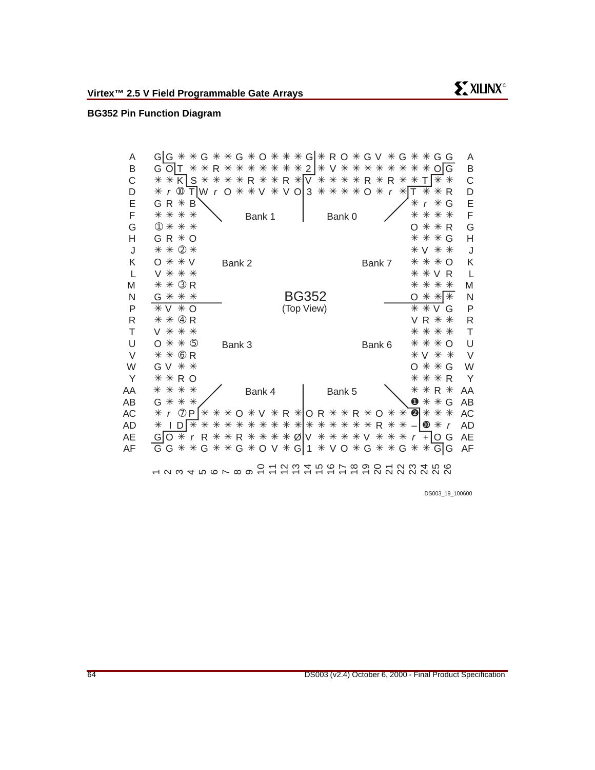# **BG352 Pin Function Diagram**

| Α  | 0 * * *<br>⋇<br>* G V<br>Α<br>$\ast$<br>G *<br>Gl<br>R O<br>⋇<br>⋇<br>$\ast$<br>GIG.<br>⋇<br>⋇<br>⋇<br>G<br>G<br>G<br>G                                                       |
|----|-------------------------------------------------------------------------------------------------------------------------------------------------------------------------------|
| Β  | B<br>G<br>$\ast$<br>* *<br>2<br>⋇<br>⋇<br>⋇<br>⋇<br>$\circ$<br>⋇<br>⋇<br>⋇<br>G<br>⋇<br>R<br>⋇<br>⋇<br>⋇<br>V<br>⋇<br>⋇<br>⋇<br>⋇<br>O                                        |
| С  | R * * R * V<br>C<br>⋇<br>⋇<br>⋇<br>K<br>S<br>⋇<br>$\ast$<br>*<br>⋇<br>⋇<br>⋇<br>⋇<br>⋇<br>R *<br>R<br>⋇<br>⋇<br>⋇<br>Τ                                                        |
| D  | $\divideontimes$<br>$^{\circledR}$<br>* V O<br>$\ast$<br>$\ast$<br>⋇<br>D<br>⋇<br>* ∨<br>⋇<br>⋇<br>ΤI<br>W<br>3<br>⋇<br>⋇<br>⋇<br>O<br>R<br>O<br>$\mathsf{r}$<br>$\mathbf{r}$ |
| E  | E<br>⋇<br>⋇<br>⋇<br>B<br>R<br>G<br>G<br>$\mathsf{r}$                                                                                                                          |
| F  | F<br>⋇<br>⋇<br>⋇<br>$\ast$<br>⋇<br>⋇<br>⋇<br>⋇<br>Bank 1<br>Bank 0                                                                                                            |
| G  | G<br>⋇<br>⋇<br>⋇<br>⋇<br>$^\circledR$<br>⋇<br>R<br>O                                                                                                                          |
| Η  | $\mathsf{H}$<br>$\ast$<br>⋇<br>⋇<br>⋇<br>R.<br>$\Omega$<br>G<br>G                                                                                                             |
| J  | ② 米<br>⋇<br>⋇<br>J<br>* ∨<br>⋇<br>⋇                                                                                                                                           |
| Κ  | Κ<br>⋇<br>* V<br>⋇<br>⋇<br>Ω<br>⋇<br>Ω<br>Bank 2<br>Bank 7                                                                                                                    |
| L  | ⋇<br>L<br>⋇<br>⋇<br>⋇<br>R<br>V<br>⋇<br>V                                                                                                                                     |
| M  | $\circled{3}$ R<br>⋇<br>M<br>⋇<br>⋇<br>⋇<br>⋇<br>⋇                                                                                                                            |
| N  | <b>BG352</b><br>∗<br>N<br>⋇<br>* *<br>⋇<br>G<br>$*$<br>∩                                                                                                                      |
| P  | (Top View)<br>$\vee$<br>$*$ O<br>⋇<br>P<br>⋇<br>⋇<br>V<br>G                                                                                                                   |
| R  | $\mathsf{R}$<br>$^{\circledA}$<br>⋇<br>R<br>R<br>⋇<br>⋇<br>V<br>⋇                                                                                                             |
| Т  | $\ast$<br>T<br>⋇<br>⋇<br>⋇<br>⋇<br>⋇<br>⋇<br>V                                                                                                                                |
| U  | U<br>$\circledS$<br>$\ast$<br>⋇<br>⋇<br>⋇<br>Ω<br>⋇<br>$\Omega$<br>Bank 3<br>Bank 6                                                                                           |
| V  | $\vee$<br>$\circled6$<br>⋇<br>⋇<br>R<br>V<br>⋇<br>⋇<br>⋇                                                                                                                      |
| W  | * *<br>W<br>⋇<br>⋇<br>G<br>V<br>G<br>O                                                                                                                                        |
| Y  | $\ast$<br>Y<br>⋇<br>⋇<br>R O<br>R<br>⋇<br>⋇                                                                                                                                   |
| AA | ⋇<br>⋇<br>⋇<br>⋇<br>R *<br>AA<br>⋇<br>⋇<br>Bank 5<br>Bank 4                                                                                                                   |
| AB | $\bullet *$<br>⋇<br>G<br>⋇<br>⋇<br>⋇<br>ΑB<br>G                                                                                                                               |
| AC | $\ast$<br>$\circled7$<br>V * R *<br>❷∣<br>* *<br>AC<br>P<br>⋇<br>⋇<br>⋇<br>O *<br>⋇<br>* R<br>⋇<br>* *<br>⋇<br>OR.<br>O<br>$\mathbf r$                                        |
| AD | * * * * *<br>⋇<br>⋇<br>⋇<br>⋇<br>⋇<br>$\mathbf{C}$<br>⋇<br>AD<br>⋇<br>⋇<br>⋇<br>⋇<br>$\ast$<br>⋇<br>⋇<br>R.<br>⋇<br>⋇<br>D<br>$\mathsf{r}$                                    |
| AE | ⋇<br>* * * * Ø<br>* * * *<br>⋇<br>O<br>⋇<br>R.<br>R.<br>V<br>V<br>⋇<br>AE<br>⋇<br>⋇<br>$+$<br>O<br>G<br>G<br>$\mathbf{r}$<br>$\mathsf{r}$                                     |
| AF | G * * G * O V<br>$V$ $O$ $*$ $G$ $*$ $*$<br>$\ast$<br>Gl<br>AF<br>⋇<br>⋇<br>⋇<br>⋇<br>G<br>G<br>G<br>G<br>-1<br>⋇<br>G                                                        |
|    | ៓៓៓៰៓ៜឨ៓៓ៜឨ៓៓៓ៜឨ៓៓<br>NWQQQQQQQ                                                                                                                                               |

DS003\_19\_100600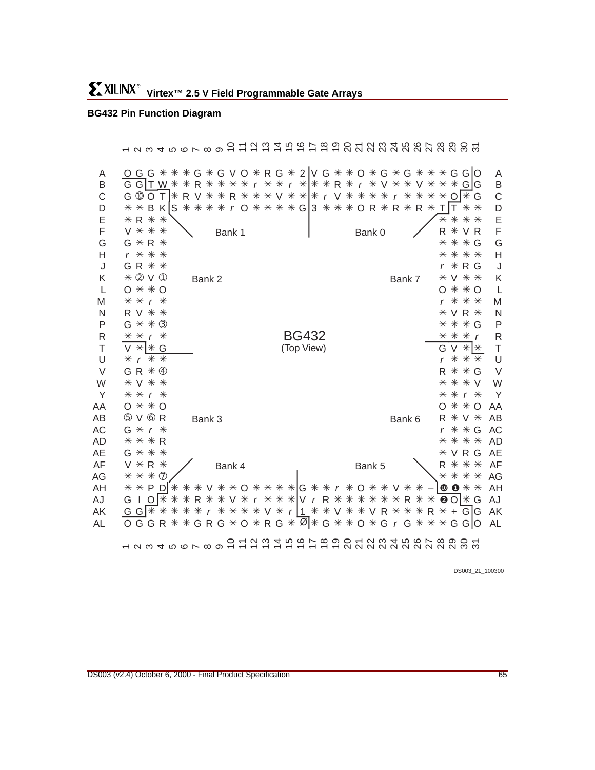# **BG432 Pin Function Diagram**

|                                                       | <u>ព្រំ ក្នុងប្អូត មាន ក្នុងប្អូត ម</u><br>$ \alpha$ $\alpha$ $+$ $\alpha$ $\alpha$ $\alpha$ $\alpha$ $\alpha$ $-$                                                                                                                                                                                                                                                                                                                                                                                    |                                                         |
|-------------------------------------------------------|-------------------------------------------------------------------------------------------------------------------------------------------------------------------------------------------------------------------------------------------------------------------------------------------------------------------------------------------------------------------------------------------------------------------------------------------------------------------------------------------------------|---------------------------------------------------------|
| A<br>B<br>C<br>D<br>E<br>F                            | OGG * * * G * G V O * R G * 2   V G * * O * G * G * * * G G   O<br>* * r * * * R * r * V<br>G GIT W *<br>$\ast$<br>$\ast$<br>⋇<br>$\angle$ G G<br>⋇<br>R.<br>⋇<br>⋇<br>⋇<br>⋇<br>$\mathsf{r}$<br>V<br>* \ * *  * r \ * * * *<br>G <sub>10</sub> O<br>$O$ $*$ G<br>$T$ $*$ R V $*$<br>* R * *<br>* * *<br>⋇<br>$\mathsf{r}$<br>S * * * * r O * * * * G 3 * * * O R * R * R *<br>$\ast$<br>* *<br>B KI<br>⋇<br>$\top$<br><b>* R * *</b><br>⋇<br>⋇<br>* *<br>V * * *<br>R<br>⋇<br>VR<br>Bank 0<br>Bank 1 | A<br>B<br>C<br>D<br>E<br>F                              |
| G<br>Н<br>J<br>K<br>L<br>M                            | G * R *<br>⋇<br>* * G<br>r * * *<br>* * *<br>⋇<br>GR * *<br>* R G<br>* 2 V 1<br>V * *<br>Bank 2<br>Bank 7<br>⋇<br>$0$ $*$ $*$ $0$<br>* * O<br>* *<br>$r *$<br>⋇<br>* *                                                                                                                                                                                                                                                                                                                                | G<br>Н<br>J<br>Κ<br>L<br>M                              |
| N<br>$\mathsf{P}$<br>R<br>$\top$<br>U                 | <b>VR *</b><br>R V * *<br>⋇<br>G * * 3<br>* * G<br>⋇<br><b>BG432</b><br>$* * r *$<br>* * * r<br>(Top View)<br>G V<br>$* *$<br>V<br>$* $ + G<br>$*$ $*$ $*$<br>* * *<br>r                                                                                                                                                                                                                                                                                                                              | N<br>P<br>R<br>T<br>U                                   |
| $\vee$<br>W<br>Y<br>AA<br>AB<br>AC<br><b>AD</b><br>AE | <b>R * * G</b><br>G R * 4<br>$\divideontimes$<br>$*V$<br>* ∨ * *<br>⋇<br>* *<br>* *<br>r *<br>r *<br>$0 * * 0$<br>O<br>* *<br>O<br>5 V 6 R<br>$\ast$<br>V *<br>Bank 6<br>R<br>Bank 3<br>* * G<br>G *<br>⋇<br>$\mathsf{r}$<br>* * * R<br>* * *<br>VRG<br>G * * *                                                                                                                                                                                                                                       | V<br>W<br>Υ<br>AA<br>AB<br><b>AC</b><br><b>AD</b><br>AE |
| AF<br>AG<br>AH<br>AJ<br>AK<br>AL                      | <b>V * R *</b><br>* *<br>⋇<br>Bank 4<br>Bank 5<br>* * * ⑦<br>* * *<br>⋇<br>* * * G * * r * O * * V<br>$\bullet$ 0 $\ast$ $\ast$<br>$*$ * P DI * * *<br>V * * O *<br>⋇<br>r * * *   V r R * * * * *<br>$\Theta$ O  $*$ G<br>G<br>$O$ $\ast$<br>⋇<br>⋇<br>* ∨ *<br>R<br>⋇<br>R.<br>⋇<br>⋇<br>$\mathbf{I}$<br>⋇<br>r * * * * V * r   1 * * V * * V R * * * R * + G G<br>G G   * *<br>⋇<br>⋇<br>⋇<br>$\boxed{0}$ * G * * O * G r G * * * G G O<br><b>**GRG*O*RG*</b><br>O G G<br>R.                       | AF<br>AG<br>AH<br>AJ<br>AK<br>AL                        |
|                                                       | 1 1 1 2 2 3 2 3 2 3 2 3 4 4 5 6 7 8 9 8 7 8 9 8 7                                                                                                                                                                                                                                                                                                                                                                                                                                                     |                                                         |

DS003\_21\_100300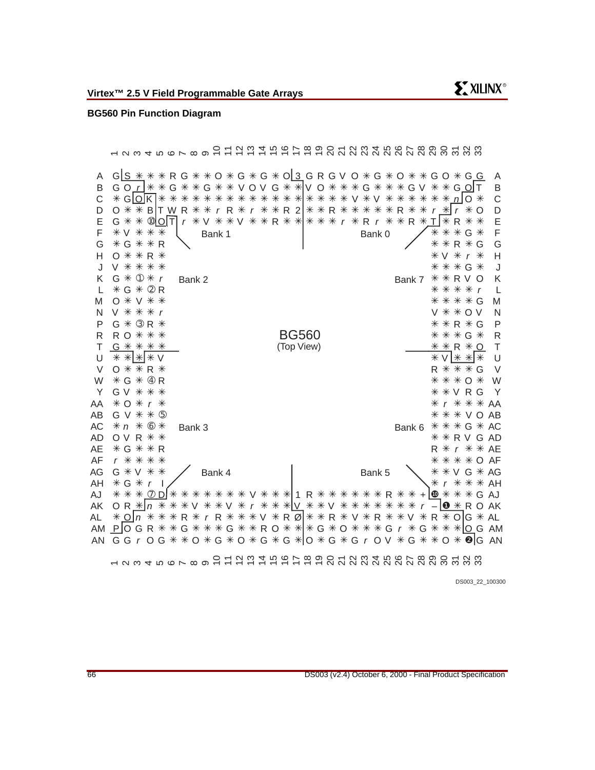#### **BG560 Pin Function Diagram**

12345678910 11 12 13 14 15 16 17 18 19 20 21 22 23 24 25 26 27 28 29 30 31 32 33 K C ✳ ✳✳✳✳✳✳✳✳✳✳✳✳✳✳✳✳✳ ✳ ✳✳✳✳✳✳ ✳ GO V n O V T R AJ \* \* \* <u>\* ⑦ D</u> \* \* \* \* \* \* \* \* V \* \* \* | 1 R \* \* \* \* \* \* \* R \* \* + <mark>@</mark> \* \* \* – ❶ AK O R r I  $+$ Ø AL ✳ ✳✳✳ ✳ ✳✳✳ ✳ ✳✳ ✳ ✳ ✳✳ ✳ ✳ ✳ O V R R G R R O R n V R V r AN GGrOG\*\*O\*G\*O\*G\*G\*O\*G\*GrOV\*G\*\*O\*❷|G AN D O \* \* B |T W R \* \* *r* R \* *r* \* \* R 2 | \* \* R \* \* \* \* \* \* R \* \* *r <u>\* |</u> r \** ➀ ✳ ✳ r ➁ ✳ ✳ G R ➃ W ✳ ✳ ➄ ✳ ✳ G V ➅ ✳✳✳ n ❿ AJ G 12345678910 11 12 13 14 15 16 17 18 19 20 21 22 23 24 25 26 27 28 29 30 31 32 33 ➉ E Bank 1 Bank 0 Bank 4 Bank 6 \* \* \* G \* AC Bank 5 Bank 3 Bank 2 Bank 7 BG560 (Top View) B GO\_r\_]\*\*G\*\*G\*\*VOVG\*\*|VO\*\*\*\*G\*\*\*GV\*\*G\_Q|T F G H J V \* \* \* \* \* \* \* G K  $\mathbf{L}$ M N P R ✳✳✳ R O G T  $\cup$ V Y AA AB AC AD AE AF A G<u>|S \*</u> \* \* R G \* \* O \* G \* G \* O <u>3</u> G R G V O \* G \* O \* \* G O \* G <u>G</u> AG ✳ ✳✳ G V AH \* G \* *r* AK OR<u> \* |</u>n \* \* \* V \* \* V \* r \* \* \* <u>|V</u> \* \* V \* \* \* \* \* \* \* r - |O \* AL AM\_P\_||O G R \* \* G \* \* \* G \* \* \* R O \* \* \* & G \* \* \* G \* \* \* G \* \* \* \* ||\_\_| G AM B C D E F G H J K L M N P R T U V W Y \* *r* \* \* \* AA \* \* \* V O AB **\* \* R V G AD** R \* r \* \* AE \* \* \* \* O AF A AG ✳✳ ✳ V G \* *r* \* \* \* AH ✳✳ ✳ ✳✳ ✳✳ ✳✳✳✳✳ ✳ ✳✳ ✳ ✳ ✳ ✳ G OT r VVR R R r r ✳ ✳✳✳ ✳ ✳✳  $\bigcirc$   $*$   $\cdot$   $\bigcirc$   $*$   $\vee$   $*$   $\vee$ ✳ ✳✳ V ✳✳✳ V O V r G  $*$  3 R  $*$ ✳✳✳✳ **☀ ☀ ☀ ☀ ☀** ✳✳ ✳ ✳✳✳ ✳✳✳ O r ✳ ✳ OV R ✳ ✳✳ R G ✳✳✳✳ r  $*$  G  $*$ ✳✳ ✳ ✳✳✳ ✳✳✳ ✳ G \* ① \* r Bank 2 Bank 7 \* \* R V 〇 ✳✳✳✳ r ○ **\* V \* \*** \* \* \* \* G ✳ ✳ V ✳✳ ✳ G ➂ R RG ✳✳✳ ✳ ✳✳ ✳ G R O **∗∨ ∗ ∗ ∗** ✳✳✳ OR R G ✳✳✳ ✳ ✳ ✳  $*$   $\Omega$ V\*\*\* ┃ Bank1 ┃ Bank0 / \*\*\*G G R RG V V G \* ④ R \* \* \* O G V V RG  $*|r$ r \*

DS003\_22\_100300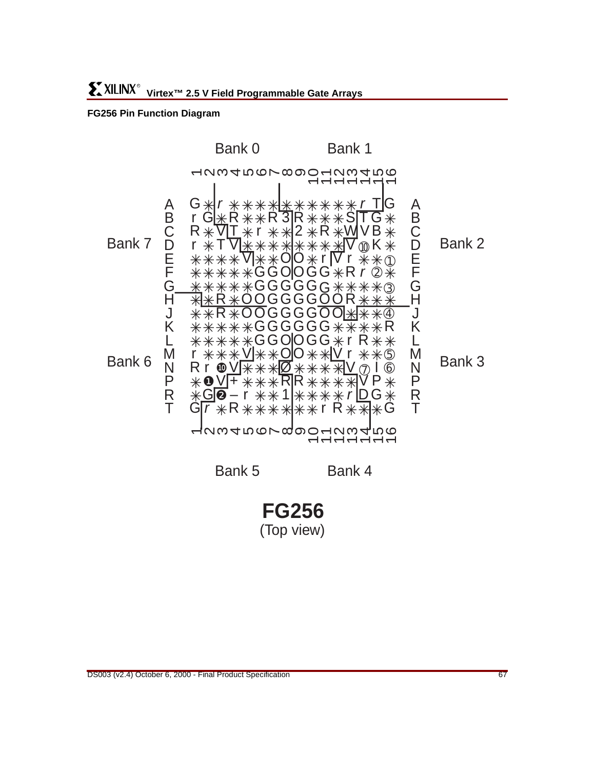# **FG256 Pin Function Diagram**



**FG256** (Top view)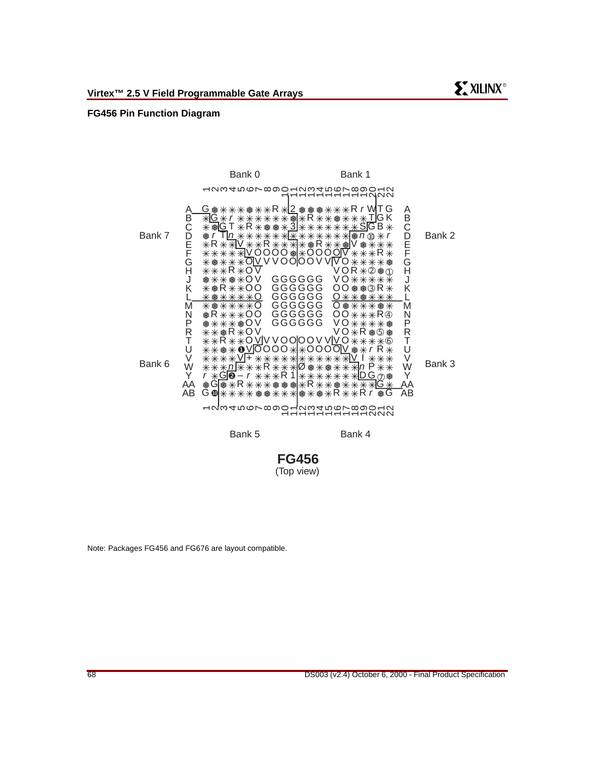#### **FG456 Pin Function Diagram**



Bank 5

Bank 4

# **FG456** (Top view)

Note: Packages FG456 and FG676 are layout compatible.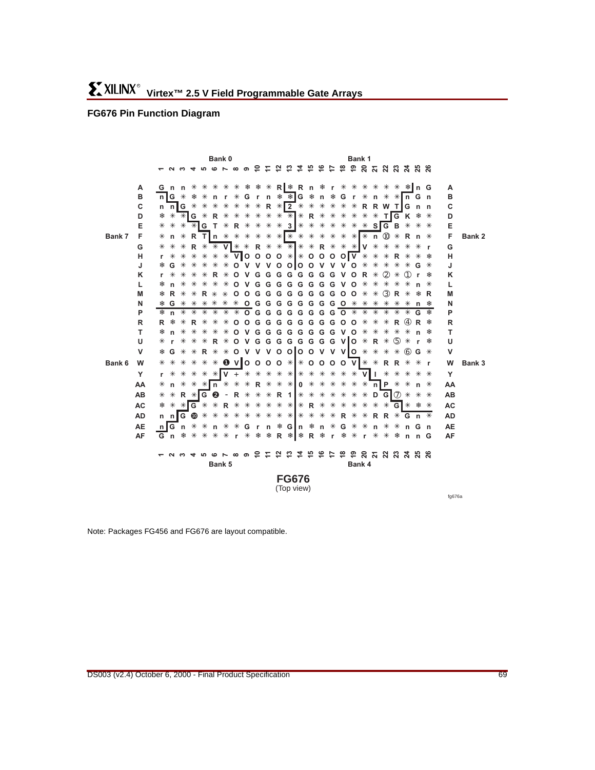# **FG676 Pin Function Diagram**

|        |           |     |    |       |                                                        |   |             | Bank 0                                    |         |          |                                    |       |                     |                            |       |     |   |         | Bank 1        |    |            |                |                 |                         |     |              |              |        |
|--------|-----------|-----|----|-------|--------------------------------------------------------|---|-------------|-------------------------------------------|---------|----------|------------------------------------|-------|---------------------|----------------------------|-------|-----|---|---------|---------------|----|------------|----------------|-----------------|-------------------------|-----|--------------|--------------|--------|
|        |           |     |    |       | 12345678907亿亿4万                                        |   |             |                                           |         |          |                                    |       |                     |                            |       |     |   |         |               |    |            |                |                 |                         |     |              |              |        |
|        |           |     |    |       |                                                        |   |             |                                           |         |          |                                    |       |                     |                            |       |     |   |         |               |    |            |                |                 |                         |     |              |              |        |
|        | А         |     |    |       | G n n * * * * * * * * K R * R n * r * * * * * * * 1n G |   |             |                                           |         |          |                                    |       |                     |                            |       |     |   |         |               |    |            |                |                 |                         |     |              | A            |        |
|        | в         |     |    |       | n G * * *                                              |   |             | n r * G r n * * G * n * G r * n * * n G n |         |          |                                    |       |                     |                            |       |     |   |         |               |    |            |                |                 |                         |     |              | в            |        |
|        | C         |     |    |       | n nig * *                                              |   |             | * * * * * R * 2 * * * * * * R R W T G n n |         |          |                                    |       |                     |                            |       |     |   |         |               |    |            |                |                 |                         |     |              | C            |        |
|        | D         | 楽   | ∗  |       | $*$ G $*$                                              |   |             | R * *                                     |         |          | * * * * * <mark>* R</mark> * * * * |       |                     |                            |       |     |   |         |               | ∗  | ₩          |                |                 | TGK * *                 |     |              | D            |        |
|        | Е         | *   | ∗  | *     |                                                        |   | $*$ G T $*$ |                                           |         |          | R * * * * 3 *                      |       |                     |                            |       | * * |   | * * *   |               |    |            |                |                 | $*$ SIG B $*$ $*$ $*$   |     |              | Е            |        |
| Bank 7 | F         | *   | n  |       |                                                        |   |             | R Th $*$ $*$                              |         | $*$      | $\ast$                             | ∗     | * * * *             |                            |       | ⋇   | ∗ | ∗       |               |    |            |                |                 |                         |     |              | F            | Bank 2 |
|        | G         | ∗   | ∗  | ∗     | R                                                      | ⋇ |             | * V * * R * * * * * R * * * V             |         |          |                                    |       |                     |                            |       |     |   |         |               |    | *          | ∗              | ∗               | ∗                       | $*$ | $\mathbf{r}$ | G            |        |
|        | н         | r   | ⋇  | ∗     | ∗                                                      | ∗ | ⋇           | * VOOOO * * 0000 V * *                    |         |          |                                    |       |                     |                            |       |     |   |         |               |    |            | ⋇              | R.              | ∗                       | $*$ | 楽            | н            |        |
|        | J         |     | G  | ⋇     | ⋇                                                      | ⋇ | ⋇           | *                                         |         |          | $0 V V V 0 0 0 0 V V V 0 *$        |       |                     |                            |       |     |   |         |               |    | *          | *              | ⋇               | ⋇                       | G   | ⋇            | J            |        |
|        | K         | r.  | ⋇  | ∗     | ⋇                                                      | ⋇ |             | <b>R</b> *                                |         | $O$ V    |                                    |       | G G G G G G G G V O |                            |       |     |   |         |               | R. | ∗          | $^{\circledR}$ | ∗               | (1)                     | r   |              | K            |        |
|        | L         |     | n  | ∗     | ⋇                                                      | ⋇ | ∗           | ∗                                         |         | O V      |                                    |       | G G G G G G G G V   |                            |       |     |   |         | $\circ$       | ∗  | ∗          | ∗              | ∗               | ∗                       |     | ⋇            | L            |        |
|        | M         |     | R  | ∗     | ⋇                                                      |   | <b>R</b> *  | $\ast$                                    | $\circ$ | $\circ$  |                                    |       | G G G G G G G G     |                            |       |     |   | $\circ$ | $\circ$       | ∗  | ∗          | $\circled{3}$  | R               | ∗                       | 案   | R            | M            |        |
|        | N         | 楽   | G  | ∗     | ∗                                                      |   | * *         | ⋇                                         | ∗       |          | 0 G G G G G G G G W                |       |                     |                            |       |     |   |         |               | *  | ₩          | *              | *               | ∗                       | n   | 楽            | N            |        |
|        | P         | *   | n  | ∗     | ∗                                                      | ∗ | ∗           | ∗                                         | ∗       |          | 0 G G G G G G G G W                |       |                     |                            |       |     |   |         |               | ∗  | *          | *              | ∗               | ∗                       | G   | 盎            | P            |        |
|        | R         | R.  | 楽  | ∗     | R.                                                     | ∗ | ∗           | ⋇                                         | O       | $\Omega$ |                                    | G G G |                     | GGGG                       |       |     |   | G O     | $\circ$       | ∗  | ∗          | *              | R               | $\circled{4}$           | R   | 器            | R<br>т       |        |
|        | т         |     | n  | ∗     | ⋇                                                      | ∗ | ∗           | ⋇                                         | O       |          | VGG                                |       | G                   | G G G G G V O              |       |     |   |         |               | ∗  | ∗          | ∗              | ∗               | ⋇                       |     | 楽            |              |        |
|        | U         | ⋇   | r  | ∗     | ⋇                                                      | ⋇ | R.          | ⋇                                         |         |          | O V G G G G G G G G V O *          |       |                     |                            |       |     |   |         |               |    | <b>R</b> * |                | $\circled{5}$   | ∗                       |     | 器            | U            |        |
|        | v         | 楽   | G  | ∗     | ∗                                                      | R | ∗           | ⋇                                         |         |          | $o$ v v v o olo o v v vlo $*$      |       |                     |                            |       |     |   |         |               |    | ∗          | *              | ∗               | $\circled{6}$           | G   | *            | $\mathsf{v}$ |        |
| Bank 6 | W         | ∗   | ∗  | ∗     | *                                                      | ∗ |             | $* 0$ V 0 0 0 0 $*$ $* 0$ 0 0 0 0 V $* *$ |         |          |                                    |       |                     |                            |       |     |   |         |               |    |            |                | <b>RR *</b>     |                         | *   | $\mathbf{r}$ | W            | Bank 3 |
|        | Y         | r.  | ∗  | ∗     | ∗                                                      |   |             | * *   V + * * * * *   * * *               |         |          |                                    |       |                     |                            |       |     | ∗ |         | $* * V$       |    |            | ∗              | ∗               | * *                     |     | *            | Y            |        |
|        | AA        | *   | n. | ∗     | $*$ * n *                                              |   |             |                                           | ☀       |          | * R * * * 0 * *                    |       |                     |                            |       |     | ∗ | ∗       | $* * n$ $P *$ |    |            |                |                 | ∗                       | n * |              | AA           |        |
|        | AB        | *   | ⋇  |       | R * G @                                                |   |             | $\overline{\phantom{a}}$                  |         | R *      | ⋇                                  | ∗     | R 1 * * *           |                            |       |     | ∗ | ∗       | ∗             | ∗  |            |                | $D$ G $\odot$ * |                         | ∗   | ∗            | AB           |        |
|        | <b>AC</b> | *   | ∗  |       | * IG *                                                 |   | ∗           | <b>R</b> *                                |         |          | * * *                              |       | * *                 |                            | * R * |     | ⋇ | ∗       | ∗             | ∗  | ∗          |                |                 | * GI * *                |     | *            | <b>AC</b>    |        |
|        | <b>AD</b> |     |    |       | n n∥G <sup>1</sup>                                     | ∗ | ∗           | ⋇                                         | ∗       |          | * *                                | ∗     | * * * * *           |                            |       |     | ∗ | R.      | ∗             | ∗  |            | R R            |                 | * G n *                 |     |              | <b>AD</b>    |        |
|        | <b>AE</b> | n I |    | G n * |                                                        | ∗ |             | n * * G r                                 |         |          |                                    | n     |                     | ≉ G∥n ≉                    |       |     |   |         | n * G * *     |    | n *        |                | ∗               | n Gn                    |     |              | <b>AE</b>    |        |
|        | AF        |     |    |       | G n * * *                                              |   |             | * * r * *                                 |         |          |                                    | 楽     |                     |                            | R     | 楽   |   |         | r * * r *     |    |            |                |                 | * * n n G               |     |              | AF           |        |
|        |           |     |    |       |                                                        |   |             |                                           |         |          |                                    |       |                     |                            |       |     |   |         |               |    |            |                |                 |                         |     |              |              |        |
|        |           |     |    |       | 12345678907亿はやおおわ                                      |   |             | Bank 5                                    |         |          |                                    |       |                     |                            |       |     |   | ≌       | Bank 4        |    |            |                |                 | <b>ទំ ន ដ ន ន ដ ន ន</b> |     |              |              |        |
|        |           |     |    |       |                                                        |   |             |                                           |         |          |                                    |       |                     |                            |       |     |   |         |               |    |            |                |                 |                         |     |              |              |        |
|        |           |     |    |       |                                                        |   |             |                                           |         |          |                                    |       |                     | <b>FG676</b><br>(Top view) |       |     |   |         |               |    |            |                |                 |                         |     |              |              |        |
|        |           |     |    |       |                                                        |   |             |                                           |         |          |                                    |       |                     |                            |       |     |   |         |               |    |            |                |                 |                         |     |              |              |        |

fg676a

Note: Packages FG456 and FG676 are layout compatible.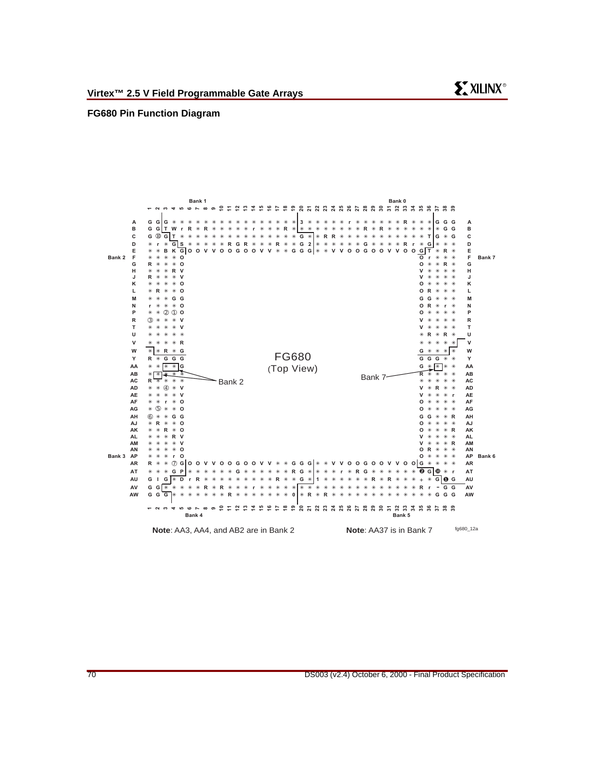#### <span id="page-69-0"></span>**FG680 Pin Function Diagram**



**SY XILINX®**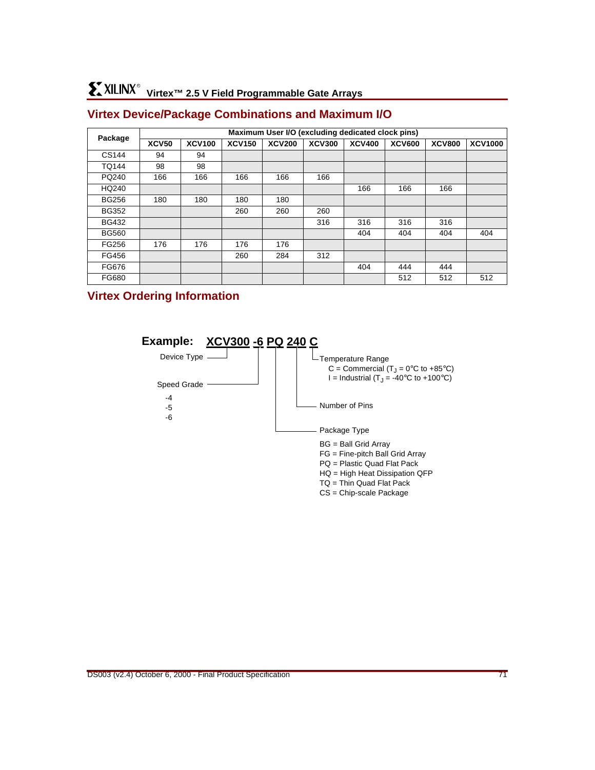# **Virtex™ 2.5 V Field Programmable Gate Arrays** R

# **Virtex Device/Package Combinations and Maximum I/O**

|              | Maximum User I/O (excluding dedicated clock pins) |               |               |               |               |               |               |               |                |  |  |  |  |  |
|--------------|---------------------------------------------------|---------------|---------------|---------------|---------------|---------------|---------------|---------------|----------------|--|--|--|--|--|
| Package      | <b>XCV50</b>                                      | <b>XCV100</b> | <b>XCV150</b> | <b>XCV200</b> | <b>XCV300</b> | <b>XCV400</b> | <b>XCV600</b> | <b>XCV800</b> | <b>XCV1000</b> |  |  |  |  |  |
| CS144        | 94                                                | 94            |               |               |               |               |               |               |                |  |  |  |  |  |
| <b>TQ144</b> | 98                                                | 98            |               |               |               |               |               |               |                |  |  |  |  |  |
| PQ240        | 166                                               | 166           | 166           | 166           | 166           |               |               |               |                |  |  |  |  |  |
| HQ240        |                                                   |               |               |               |               | 166           | 166           | 166           |                |  |  |  |  |  |
| <b>BG256</b> | 180                                               | 180           | 180           | 180           |               |               |               |               |                |  |  |  |  |  |
| <b>BG352</b> |                                                   |               | 260           | 260           | 260           |               |               |               |                |  |  |  |  |  |
| <b>BG432</b> |                                                   |               |               |               | 316           | 316           | 316           | 316           |                |  |  |  |  |  |
| <b>BG560</b> |                                                   |               |               |               |               | 404           | 404           | 404           | 404            |  |  |  |  |  |
| FG256        | 176                                               | 176           | 176           | 176           |               |               |               |               |                |  |  |  |  |  |
| FG456        |                                                   |               | 260           | 284           | 312           |               |               |               |                |  |  |  |  |  |
| FG676        |                                                   |               |               |               |               | 404           | 444           | 444           |                |  |  |  |  |  |
| FG680        |                                                   |               |               |               |               |               | 512           | 512           | 512            |  |  |  |  |  |

# **Virtex Ordering Information**